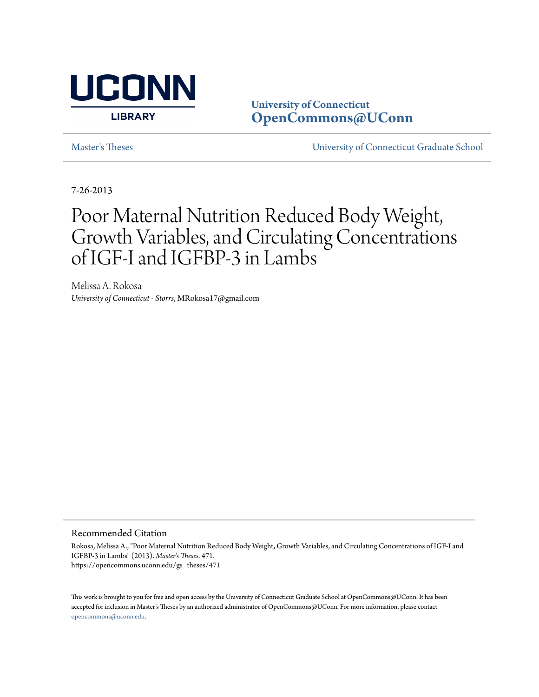

**University of Connecticut [OpenCommons@UConn](https://opencommons.uconn.edu)**

[Master's Theses](https://opencommons.uconn.edu/gs_theses) [University of Connecticut Graduate School](https://opencommons.uconn.edu/gs)

7-26-2013

# Poor Maternal Nutrition Reduced Body Weight, Growth Variables, and Circulating Concentrations of IGF-I and IGFBP-3 in Lambs

Melissa A. Rokosa *University of Connecticut - Storrs*, MRokosa17@gmail.com

#### Recommended Citation

Rokosa, Melissa A., "Poor Maternal Nutrition Reduced Body Weight, Growth Variables, and Circulating Concentrations of IGF-I and IGFBP-3 in Lambs" (2013). *Master's Theses*. 471. https://opencommons.uconn.edu/gs\_theses/471

This work is brought to you for free and open access by the University of Connecticut Graduate School at OpenCommons@UConn. It has been accepted for inclusion in Master's Theses by an authorized administrator of OpenCommons@UConn. For more information, please contact [opencommons@uconn.edu](mailto:opencommons@uconn.edu).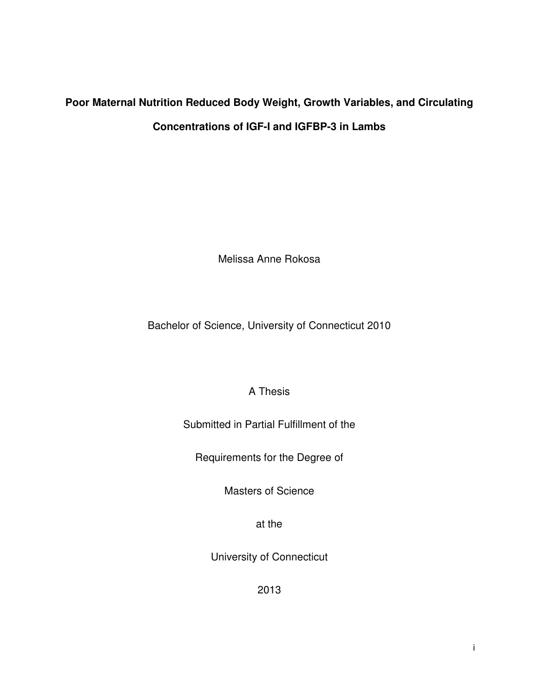# **Poor Maternal Nutrition Reduced Body Weight, Growth Variables, and Circulating Concentrations of IGF-I and IGFBP-3 in Lambs**

Melissa Anne Rokosa

Bachelor of Science, University of Connecticut 2010

# A Thesis

# Submitted in Partial Fulfillment of the

Requirements for the Degree of

Masters of Science

at the

University of Connecticut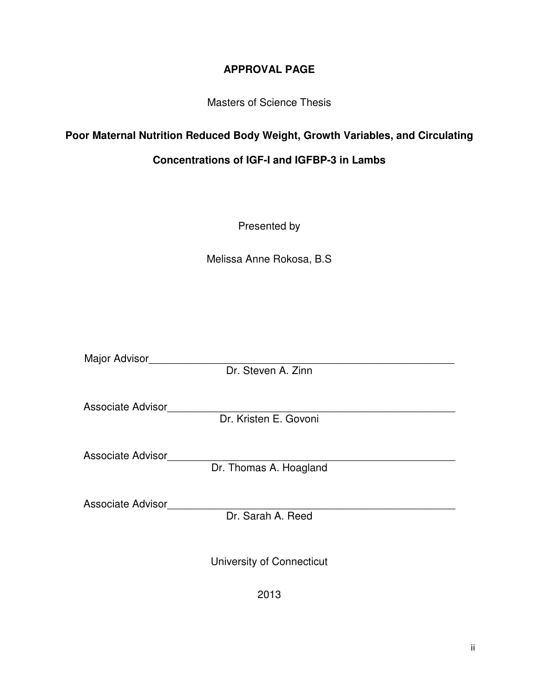# **APPROVAL PAGE**

Masters of Science Thesis

# **Poor Maternal Nutrition Reduced Body Weight, Growth Variables, and Circulating**

# **Concentrations of IGF-I and IGFBP-3 in Lambs**

Presented by

Melissa Anne Rokosa, B.S

Major Advisor

Dr. Steven A. Zinn

Associate Advisor\_\_\_\_\_\_\_\_\_\_\_\_\_\_\_\_\_\_\_\_\_\_\_\_\_\_\_\_\_\_\_\_\_\_\_\_\_\_\_\_\_\_\_\_\_\_\_\_\_

Dr. Kristen E. Govoni

Associate Advisor\_\_\_\_\_\_\_\_\_\_\_\_\_\_\_\_\_\_\_\_\_\_\_\_\_\_\_\_\_\_\_\_\_\_\_\_\_\_\_\_\_\_\_\_\_\_\_\_\_

Dr. Thomas A. Hoagland

Associate Advisor

Dr. Sarah A. Reed

University of Connecticut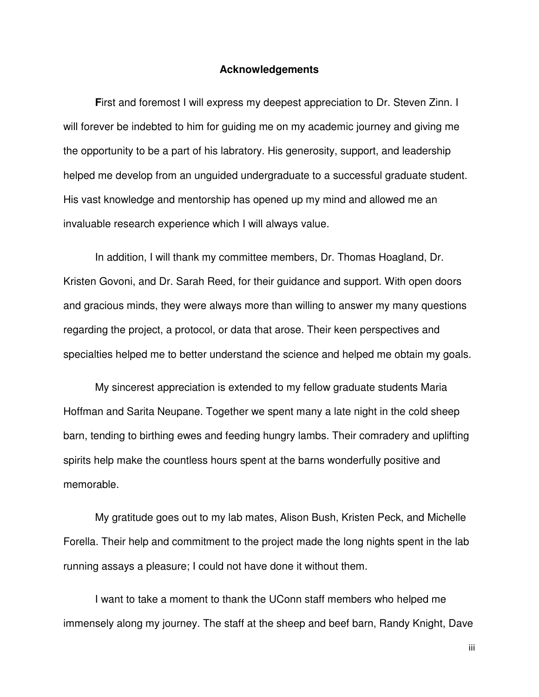#### **Acknowledgements**

 **F**irst and foremost I will express my deepest appreciation to Dr. Steven Zinn. I will forever be indebted to him for guiding me on my academic journey and giving me the opportunity to be a part of his labratory. His generosity, support, and leadership helped me develop from an unguided undergraduate to a successful graduate student. His vast knowledge and mentorship has opened up my mind and allowed me an invaluable research experience which I will always value.

 In addition, I will thank my committee members, Dr. Thomas Hoagland, Dr. Kristen Govoni, and Dr. Sarah Reed, for their guidance and support. With open doors and gracious minds, they were always more than willing to answer my many questions regarding the project, a protocol, or data that arose. Their keen perspectives and specialties helped me to better understand the science and helped me obtain my goals.

 My sincerest appreciation is extended to my fellow graduate students Maria Hoffman and Sarita Neupane. Together we spent many a late night in the cold sheep barn, tending to birthing ewes and feeding hungry lambs. Their comradery and uplifting spirits help make the countless hours spent at the barns wonderfully positive and memorable.

 My gratitude goes out to my lab mates, Alison Bush, Kristen Peck, and Michelle Forella. Their help and commitment to the project made the long nights spent in the lab running assays a pleasure; I could not have done it without them.

 I want to take a moment to thank the UConn staff members who helped me immensely along my journey. The staff at the sheep and beef barn, Randy Knight, Dave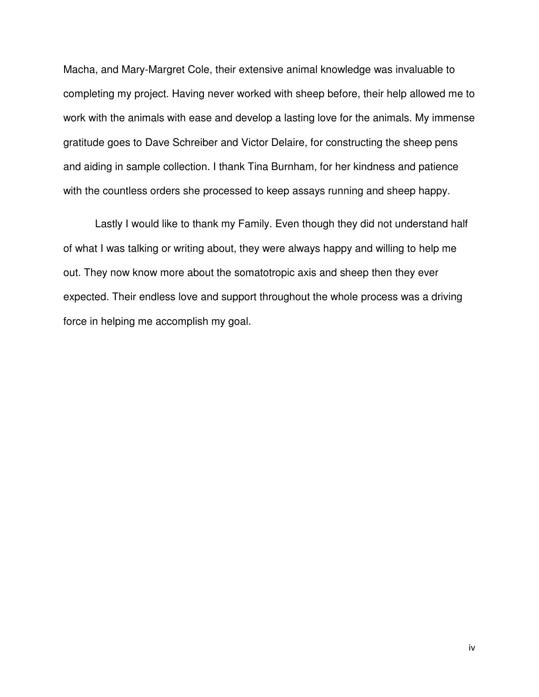Macha, and Mary-Margret Cole, their extensive animal knowledge was invaluable to completing my project. Having never worked with sheep before, their help allowed me to work with the animals with ease and develop a lasting love for the animals. My immense gratitude goes to Dave Schreiber and Victor Delaire, for constructing the sheep pens and aiding in sample collection. I thank Tina Burnham, for her kindness and patience with the countless orders she processed to keep assays running and sheep happy.

 Lastly I would like to thank my Family. Even though they did not understand half of what I was talking or writing about, they were always happy and willing to help me out. They now know more about the somatotropic axis and sheep then they ever expected. Their endless love and support throughout the whole process was a driving force in helping me accomplish my goal.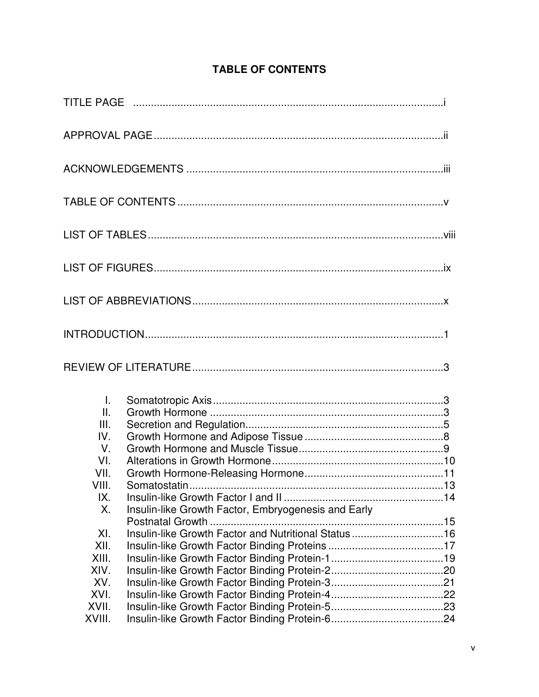| Τ.<br>$\mathbf{II}$ .<br>III.<br>IV.<br>$V_{\cdot}$<br>VI.<br>VII. |                                                     |  |
|--------------------------------------------------------------------|-----------------------------------------------------|--|
| VIII.<br>IX.<br>X.                                                 | Insulin-like Growth Factor, Embryogenesis and Early |  |
| XI.<br>XII.<br>XIII.<br>XIV.<br>XV.<br>XVI.                        | Insulin-like Growth Factor and Nutritional Status16 |  |
| XVII.<br>XVIII.                                                    |                                                     |  |

# **TABLE OF CONTENTS**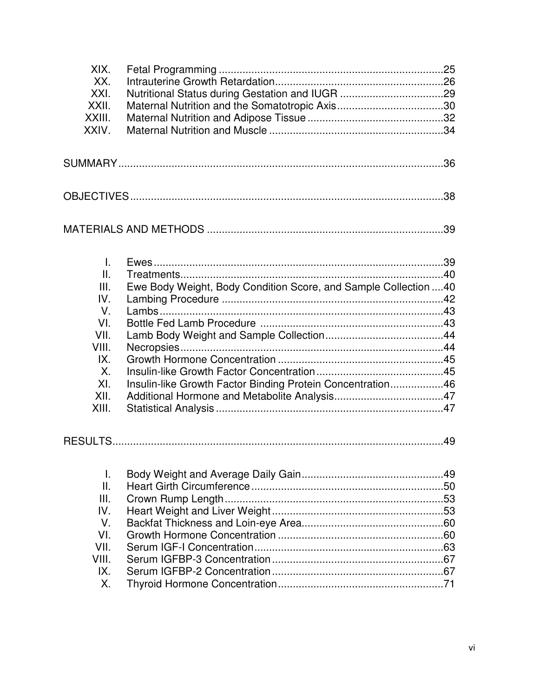| XIX.<br>XX.<br>XXI.<br>XXII.<br>XXIII.<br>XXIV.                                                                 |                                                                                                                                |  |  |  |
|-----------------------------------------------------------------------------------------------------------------|--------------------------------------------------------------------------------------------------------------------------------|--|--|--|
|                                                                                                                 |                                                                                                                                |  |  |  |
|                                                                                                                 |                                                                                                                                |  |  |  |
|                                                                                                                 |                                                                                                                                |  |  |  |
| $\mathbf{I}$ .<br>Ш.<br>III.<br>IV.<br>$V_{\cdot}$<br>VI.<br>VII.<br>VIII.<br>IX.<br>Χ.<br>XI.<br>XII.<br>XIII. | Ewe Body Weight, Body Condition Score, and Sample Collection  40<br>Insulin-like Growth Factor Binding Protein Concentration46 |  |  |  |
|                                                                                                                 |                                                                                                                                |  |  |  |
| Τ.<br>Ш.<br>III.<br>IV.<br>V.<br>VI.<br>VII.<br>VIII.<br>IX.<br>Х.                                              |                                                                                                                                |  |  |  |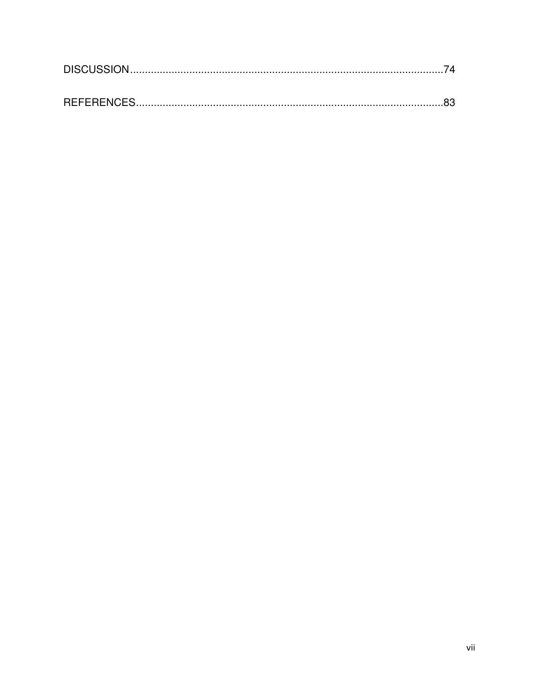| REFERENCES |  |
|------------|--|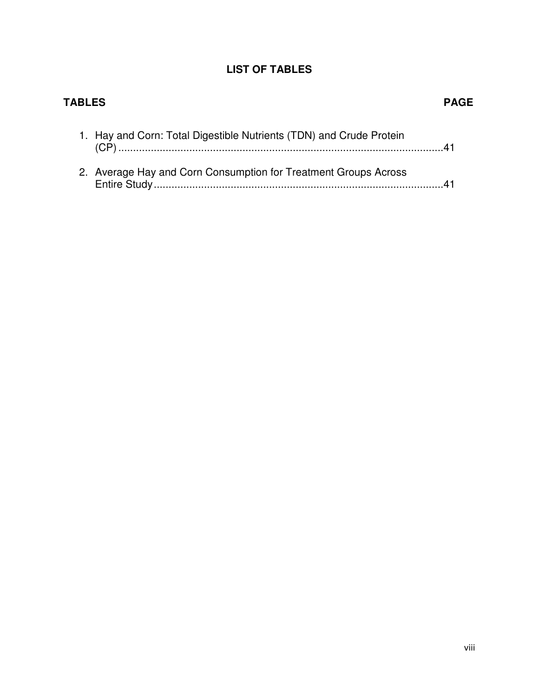# **LIST OF TABLES**

| <b>TABLES</b> |                                                                     | PAGE |
|---------------|---------------------------------------------------------------------|------|
|               | 1. Hay and Corn: Total Digestible Nutrients (TDN) and Crude Protein |      |
|               | 2. Average Hay and Corn Consumption for Treatment Groups Across     |      |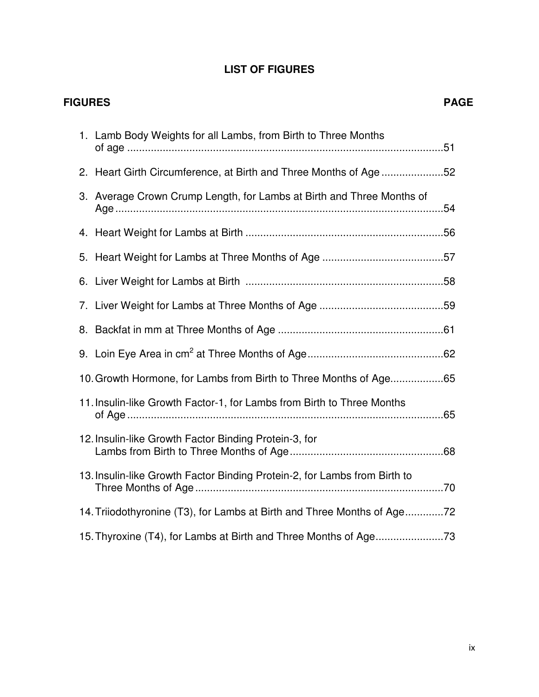# **LIST OF FIGURES**

| <b>FIGURES</b> |    |                                                                           | <b>PAGE</b> |
|----------------|----|---------------------------------------------------------------------------|-------------|
|                |    | 1. Lamb Body Weights for all Lambs, from Birth to Three Months            |             |
|                |    | 2. Heart Girth Circumference, at Birth and Three Months of Age52          |             |
|                |    | 3. Average Crown Crump Length, for Lambs at Birth and Three Months of     |             |
|                |    |                                                                           |             |
|                | 5. |                                                                           |             |
|                | 6. |                                                                           |             |
|                |    |                                                                           |             |
|                |    |                                                                           |             |
|                |    |                                                                           |             |
|                |    | 10. Growth Hormone, for Lambs from Birth to Three Months of Age65         |             |
|                |    | 11. Insulin-like Growth Factor-1, for Lambs from Birth to Three Months    |             |
|                |    | 12. Insulin-like Growth Factor Binding Protein-3, for                     |             |
|                |    | 13. Insulin-like Growth Factor Binding Protein-2, for Lambs from Birth to |             |
|                |    | 14. Triiodothyronine (T3), for Lambs at Birth and Three Months of Age72   |             |
|                |    |                                                                           |             |

ix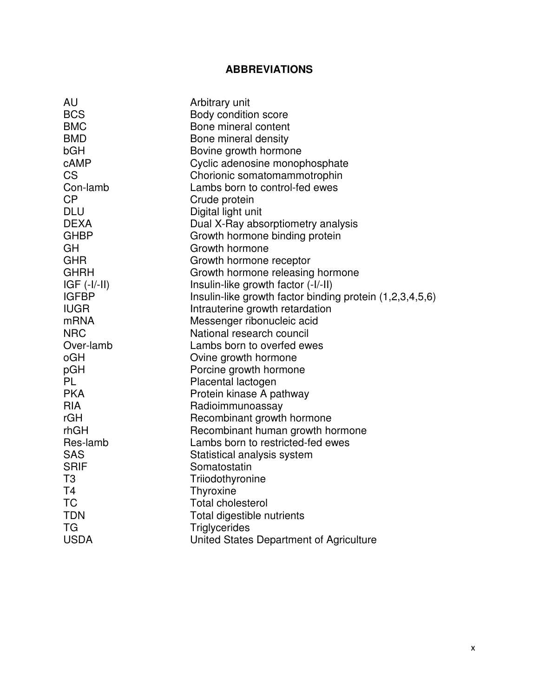# **ABBREVIATIONS**

| AU             | Arbitrary unit                                           |
|----------------|----------------------------------------------------------|
| <b>BCS</b>     | Body condition score                                     |
| <b>BMC</b>     | Bone mineral content                                     |
| <b>BMD</b>     | Bone mineral density                                     |
| bGH            | Bovine growth hormone                                    |
| cAMP           | Cyclic adenosine monophosphate                           |
| <b>CS</b>      | Chorionic somatomammotrophin                             |
| Con-lamb       | Lambs born to control-fed ewes                           |
| CP             | Crude protein                                            |
| <b>DLU</b>     | Digital light unit                                       |
| <b>DEXA</b>    | Dual X-Ray absorptiometry analysis                       |
| <b>GHBP</b>    | Growth hormone binding protein                           |
| GH             | Growth hormone                                           |
| <b>GHR</b>     | Growth hormone receptor                                  |
| <b>GHRH</b>    | Growth hormone releasing hormone                         |
| $IGF (-I/-II)$ | Insulin-like growth factor (-I/-II)                      |
| <b>IGFBP</b>   | Insulin-like growth factor binding protein (1,2,3,4,5,6) |
| <b>IUGR</b>    | Intrauterine growth retardation                          |
| <b>mRNA</b>    | Messenger ribonucleic acid                               |
| <b>NRC</b>     | National research council                                |
| Over-lamb      | Lambs born to overfed ewes                               |
| oGH            | Ovine growth hormone                                     |
| pGH            | Porcine growth hormone                                   |
| PL             | Placental lactogen                                       |
| <b>PKA</b>     | Protein kinase A pathway                                 |
| <b>RIA</b>     | Radioimmunoassay                                         |
| rGH            | Recombinant growth hormone                               |
| rhGH           | Recombinant human growth hormone                         |
| Res-lamb       | Lambs born to restricted-fed ewes                        |
| <b>SAS</b>     | Statistical analysis system                              |
| <b>SRIF</b>    | Somatostatin                                             |
| T <sub>3</sub> | Triiodothyronine                                         |
| T <sub>4</sub> | Thyroxine                                                |
| <b>TC</b>      | <b>Total cholesterol</b>                                 |
| <b>TDN</b>     | Total digestible nutrients                               |
| <b>TG</b>      | Triglycerides                                            |
| <b>USDA</b>    | United States Department of Agriculture                  |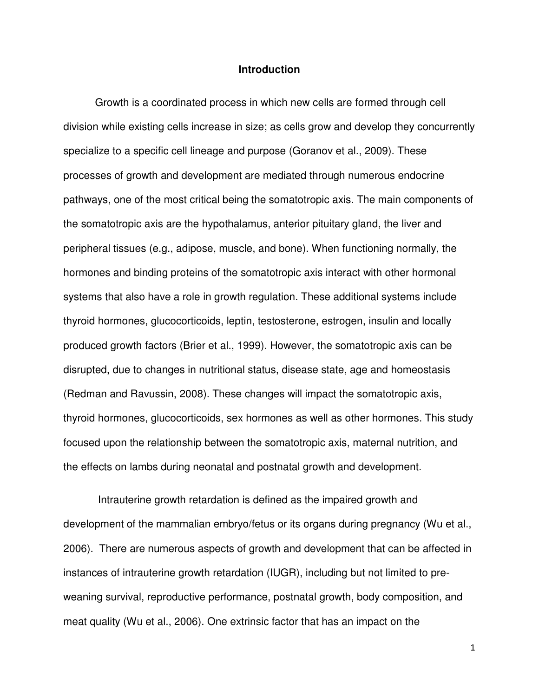# **Introduction**

Growth is a coordinated process in which new cells are formed through cell division while existing cells increase in size; as cells grow and develop they concurrently specialize to a specific cell lineage and purpose (Goranov et al., 2009). These processes of growth and development are mediated through numerous endocrine pathways, one of the most critical being the somatotropic axis. The main components of the somatotropic axis are the hypothalamus, anterior pituitary gland, the liver and peripheral tissues (e.g., adipose, muscle, and bone). When functioning normally, the hormones and binding proteins of the somatotropic axis interact with other hormonal systems that also have a role in growth regulation. These additional systems include thyroid hormones, glucocorticoids, leptin, testosterone, estrogen, insulin and locally produced growth factors (Brier et al., 1999). However, the somatotropic axis can be disrupted, due to changes in nutritional status, disease state, age and homeostasis (Redman and Ravussin, 2008). These changes will impact the somatotropic axis, thyroid hormones, glucocorticoids, sex hormones as well as other hormones. This study focused upon the relationship between the somatotropic axis, maternal nutrition, and the effects on lambs during neonatal and postnatal growth and development.

 Intrauterine growth retardation is defined as the impaired growth and development of the mammalian embryo/fetus or its organs during pregnancy (Wu et al., 2006). There are numerous aspects of growth and development that can be affected in instances of intrauterine growth retardation (IUGR), including but not limited to preweaning survival, reproductive performance, postnatal growth, body composition, and meat quality (Wu et al., 2006). One extrinsic factor that has an impact on the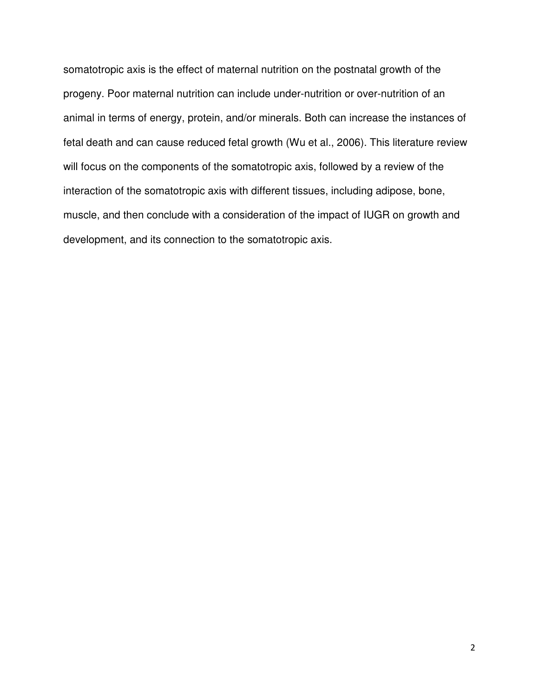somatotropic axis is the effect of maternal nutrition on the postnatal growth of the progeny. Poor maternal nutrition can include under-nutrition or over-nutrition of an animal in terms of energy, protein, and/or minerals. Both can increase the instances of fetal death and can cause reduced fetal growth (Wu et al., 2006). This literature review will focus on the components of the somatotropic axis, followed by a review of the interaction of the somatotropic axis with different tissues, including adipose, bone, muscle, and then conclude with a consideration of the impact of IUGR on growth and development, and its connection to the somatotropic axis.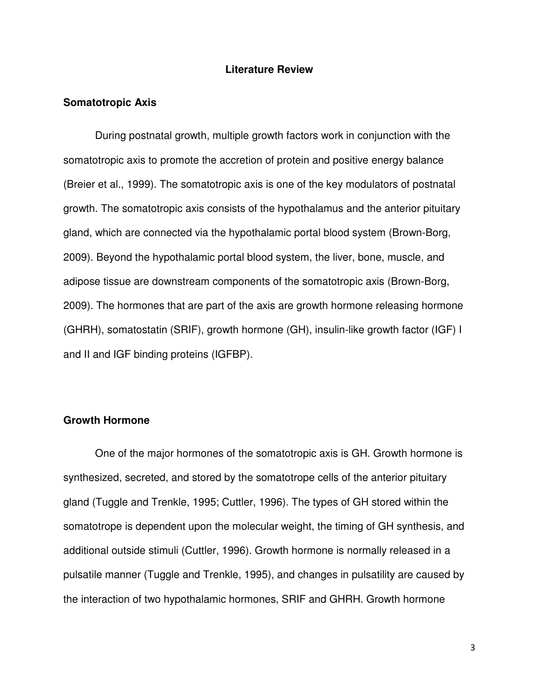## **Literature Review**

## **Somatotropic Axis**

 During postnatal growth, multiple growth factors work in conjunction with the somatotropic axis to promote the accretion of protein and positive energy balance (Breier et al., 1999). The somatotropic axis is one of the key modulators of postnatal growth. The somatotropic axis consists of the hypothalamus and the anterior pituitary gland, which are connected via the hypothalamic portal blood system (Brown-Borg, 2009). Beyond the hypothalamic portal blood system, the liver, bone, muscle, and adipose tissue are downstream components of the somatotropic axis (Brown-Borg, 2009). The hormones that are part of the axis are growth hormone releasing hormone (GHRH), somatostatin (SRIF), growth hormone (GH), insulin-like growth factor (IGF) I and II and IGF binding proteins (IGFBP).

# **Growth Hormone**

One of the major hormones of the somatotropic axis is GH. Growth hormone is synthesized, secreted, and stored by the somatotrope cells of the anterior pituitary gland (Tuggle and Trenkle, 1995; Cuttler, 1996). The types of GH stored within the somatotrope is dependent upon the molecular weight, the timing of GH synthesis, and additional outside stimuli (Cuttler, 1996). Growth hormone is normally released in a pulsatile manner (Tuggle and Trenkle, 1995), and changes in pulsatility are caused by the interaction of two hypothalamic hormones, SRIF and GHRH. Growth hormone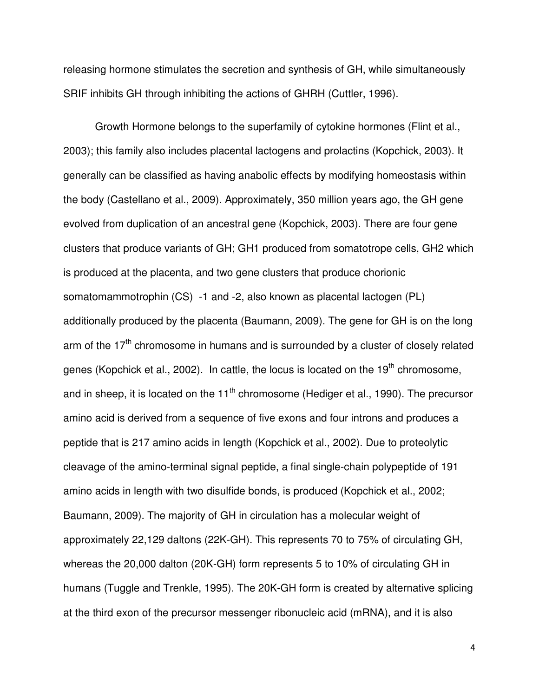releasing hormone stimulates the secretion and synthesis of GH, while simultaneously SRIF inhibits GH through inhibiting the actions of GHRH (Cuttler, 1996).

Growth Hormone belongs to the superfamily of cytokine hormones (Flint et al., 2003); this family also includes placental lactogens and prolactins (Kopchick, 2003). It generally can be classified as having anabolic effects by modifying homeostasis within the body (Castellano et al., 2009). Approximately, 350 million years ago, the GH gene evolved from duplication of an ancestral gene (Kopchick, 2003). There are four gene clusters that produce variants of GH; GH1 produced from somatotrope cells, GH2 which is produced at the placenta, and two gene clusters that produce chorionic somatomammotrophin (CS) -1 and -2, also known as placental lactogen (PL) additionally produced by the placenta (Baumann, 2009). The gene for GH is on the long arm of the  $17<sup>th</sup>$  chromosome in humans and is surrounded by a cluster of closely related genes (Kopchick et al., 2002). In cattle, the locus is located on the 19<sup>th</sup> chromosome, and in sheep, it is located on the 11<sup>th</sup> chromosome (Hediger et al., 1990). The precursor amino acid is derived from a sequence of five exons and four introns and produces a peptide that is 217 amino acids in length (Kopchick et al., 2002). Due to proteolytic cleavage of the amino-terminal signal peptide, a final single-chain polypeptide of 191 amino acids in length with two disulfide bonds, is produced (Kopchick et al., 2002; Baumann, 2009). The majority of GH in circulation has a molecular weight of approximately 22,129 daltons (22K-GH). This represents 70 to 75% of circulating GH, whereas the 20,000 dalton (20K-GH) form represents 5 to 10% of circulating GH in humans (Tuggle and Trenkle, 1995). The 20K-GH form is created by alternative splicing at the third exon of the precursor messenger ribonucleic acid (mRNA), and it is also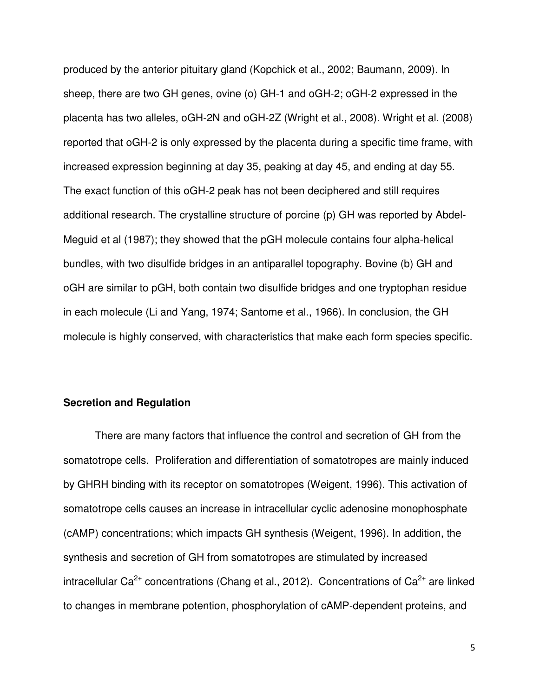produced by the anterior pituitary gland (Kopchick et al., 2002; Baumann, 2009). In sheep, there are two GH genes, ovine (o) GH-1 and oGH-2; oGH-2 expressed in the placenta has two alleles, oGH-2N and oGH-2Z (Wright et al., 2008). Wright et al. (2008) reported that oGH-2 is only expressed by the placenta during a specific time frame, with increased expression beginning at day 35, peaking at day 45, and ending at day 55. The exact function of this oGH-2 peak has not been deciphered and still requires additional research. The crystalline structure of porcine (p) GH was reported by Abdel-Meguid et al (1987); they showed that the pGH molecule contains four alpha-helical bundles, with two disulfide bridges in an antiparallel topography. Bovine (b) GH and oGH are similar to pGH, both contain two disulfide bridges and one tryptophan residue in each molecule (Li and Yang, 1974; Santome et al., 1966). In conclusion, the GH molecule is highly conserved, with characteristics that make each form species specific.

# **Secretion and Regulation**

There are many factors that influence the control and secretion of GH from the somatotrope cells. Proliferation and differentiation of somatotropes are mainly induced by GHRH binding with its receptor on somatotropes (Weigent, 1996). This activation of somatotrope cells causes an increase in intracellular cyclic adenosine monophosphate (cAMP) concentrations; which impacts GH synthesis (Weigent, 1996). In addition, the synthesis and secretion of GH from somatotropes are stimulated by increased intracellular Ca<sup>2+</sup> concentrations (Chang et al., 2012). Concentrations of Ca<sup>2+</sup> are linked to changes in membrane potention, phosphorylation of cAMP-dependent proteins, and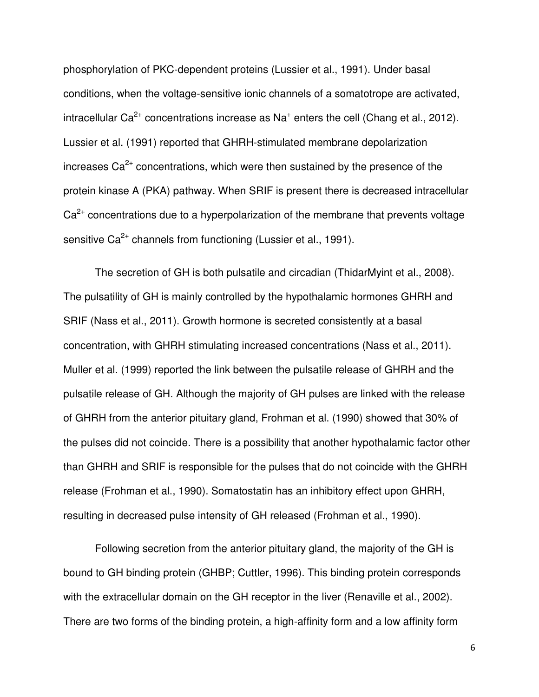phosphorylation of PKC-dependent proteins (Lussier et al., 1991). Under basal conditions, when the voltage-sensitive ionic channels of a somatotrope are activated, intracellular Ca<sup>2+</sup> concentrations increase as Na<sup>+</sup> enters the cell (Chang et al., 2012). Lussier et al. (1991) reported that GHRH-stimulated membrane depolarization increases  $Ca<sup>2+</sup>$  concentrations, which were then sustained by the presence of the protein kinase A (PKA) pathway. When SRIF is present there is decreased intracellular  $Ca<sup>2+</sup>$  concentrations due to a hyperpolarization of the membrane that prevents voltage sensitive  $Ca^{2+}$  channels from functioning (Lussier et al., 1991).

The secretion of GH is both pulsatile and circadian (ThidarMyint et al., 2008). The pulsatility of GH is mainly controlled by the hypothalamic hormones GHRH and SRIF (Nass et al., 2011). Growth hormone is secreted consistently at a basal concentration, with GHRH stimulating increased concentrations (Nass et al., 2011). Muller et al. (1999) reported the link between the pulsatile release of GHRH and the pulsatile release of GH. Although the majority of GH pulses are linked with the release of GHRH from the anterior pituitary gland, Frohman et al. (1990) showed that 30% of the pulses did not coincide. There is a possibility that another hypothalamic factor other than GHRH and SRIF is responsible for the pulses that do not coincide with the GHRH release (Frohman et al., 1990). Somatostatin has an inhibitory effect upon GHRH, resulting in decreased pulse intensity of GH released (Frohman et al., 1990).

Following secretion from the anterior pituitary gland, the majority of the GH is bound to GH binding protein (GHBP; Cuttler, 1996). This binding protein corresponds with the extracellular domain on the GH receptor in the liver (Renaville et al., 2002). There are two forms of the binding protein, a high-affinity form and a low affinity form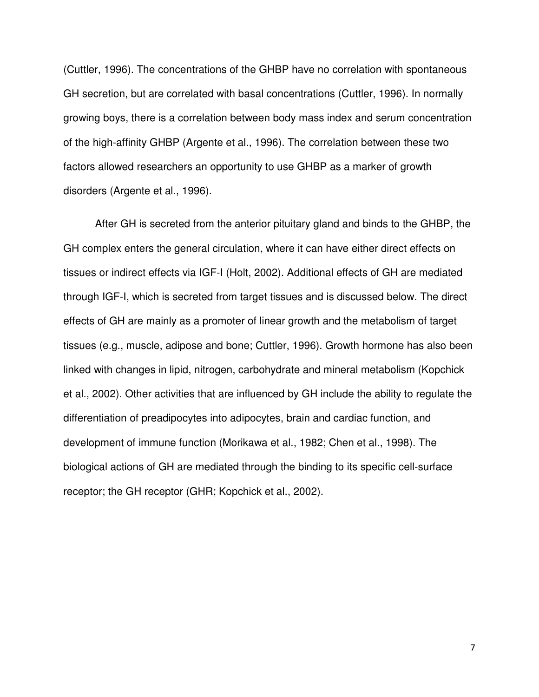(Cuttler, 1996). The concentrations of the GHBP have no correlation with spontaneous GH secretion, but are correlated with basal concentrations (Cuttler, 1996). In normally growing boys, there is a correlation between body mass index and serum concentration of the high-affinity GHBP (Argente et al., 1996). The correlation between these two factors allowed researchers an opportunity to use GHBP as a marker of growth disorders (Argente et al., 1996).

After GH is secreted from the anterior pituitary gland and binds to the GHBP, the GH complex enters the general circulation, where it can have either direct effects on tissues or indirect effects via IGF-I (Holt, 2002). Additional effects of GH are mediated through IGF-I, which is secreted from target tissues and is discussed below. The direct effects of GH are mainly as a promoter of linear growth and the metabolism of target tissues (e.g., muscle, adipose and bone; Cuttler, 1996). Growth hormone has also been linked with changes in lipid, nitrogen, carbohydrate and mineral metabolism (Kopchick et al., 2002). Other activities that are influenced by GH include the ability to regulate the differentiation of preadipocytes into adipocytes, brain and cardiac function, and development of immune function (Morikawa et al., 1982; Chen et al., 1998). The biological actions of GH are mediated through the binding to its specific cell-surface receptor; the GH receptor (GHR; Kopchick et al., 2002).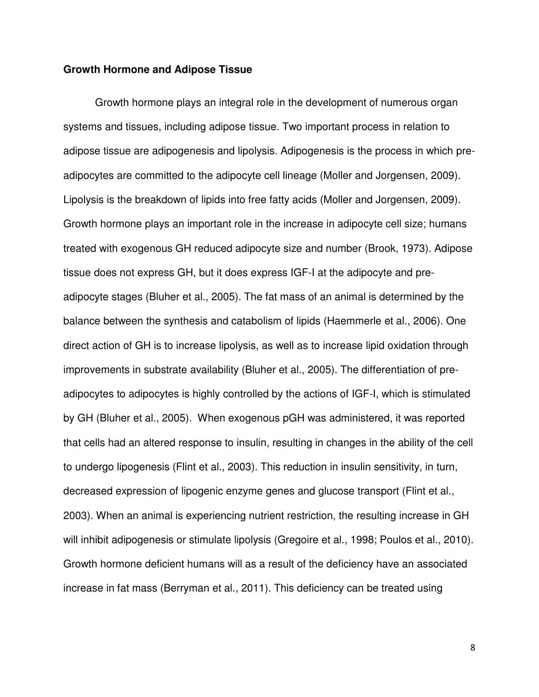#### **Growth Hormone and Adipose Tissue**

Growth hormone plays an integral role in the development of numerous organ systems and tissues, including adipose tissue. Two important process in relation to adipose tissue are adipogenesis and lipolysis. Adipogenesis is the process in which preadipocytes are committed to the adipocyte cell lineage (Moller and Jorgensen, 2009). Lipolysis is the breakdown of lipids into free fatty acids (Moller and Jorgensen, 2009). Growth hormone plays an important role in the increase in adipocyte cell size; humans treated with exogenous GH reduced adipocyte size and number (Brook, 1973). Adipose tissue does not express GH, but it does express IGF-I at the adipocyte and preadipocyte stages (Bluher et al., 2005). The fat mass of an animal is determined by the balance between the synthesis and catabolism of lipids (Haemmerle et al., 2006). One direct action of GH is to increase lipolysis, as well as to increase lipid oxidation through improvements in substrate availability (Bluher et al., 2005). The differentiation of preadipocytes to adipocytes is highly controlled by the actions of IGF-I, which is stimulated by GH (Bluher et al., 2005). When exogenous pGH was administered, it was reported that cells had an altered response to insulin, resulting in changes in the ability of the cell to undergo lipogenesis (Flint et al., 2003). This reduction in insulin sensitivity, in turn, decreased expression of lipogenic enzyme genes and glucose transport (Flint et al., 2003). When an animal is experiencing nutrient restriction, the resulting increase in GH will inhibit adipogenesis or stimulate lipolysis (Gregoire et al., 1998; Poulos et al., 2010). Growth hormone deficient humans will as a result of the deficiency have an associated increase in fat mass (Berryman et al., 2011). This deficiency can be treated using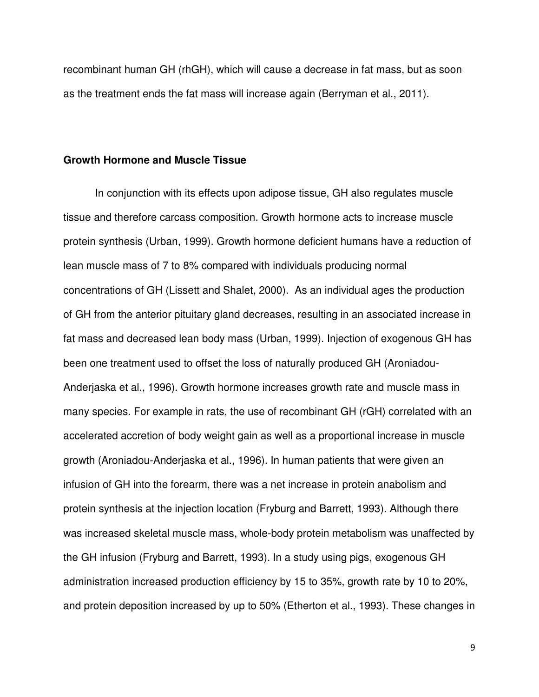recombinant human GH (rhGH), which will cause a decrease in fat mass, but as soon as the treatment ends the fat mass will increase again (Berryman et al., 2011).

# **Growth Hormone and Muscle Tissue**

In conjunction with its effects upon adipose tissue, GH also regulates muscle tissue and therefore carcass composition. Growth hormone acts to increase muscle protein synthesis (Urban, 1999). Growth hormone deficient humans have a reduction of lean muscle mass of 7 to 8% compared with individuals producing normal concentrations of GH (Lissett and Shalet, 2000). As an individual ages the production of GH from the anterior pituitary gland decreases, resulting in an associated increase in fat mass and decreased lean body mass (Urban, 1999). Injection of exogenous GH has been one treatment used to offset the loss of naturally produced GH (Aroniadou-Anderjaska et al., 1996). Growth hormone increases growth rate and muscle mass in many species. For example in rats, the use of recombinant GH (rGH) correlated with an accelerated accretion of body weight gain as well as a proportional increase in muscle growth (Aroniadou-Anderjaska et al., 1996). In human patients that were given an infusion of GH into the forearm, there was a net increase in protein anabolism and protein synthesis at the injection location (Fryburg and Barrett, 1993). Although there was increased skeletal muscle mass, whole-body protein metabolism was unaffected by the GH infusion (Fryburg and Barrett, 1993). In a study using pigs, exogenous GH administration increased production efficiency by 15 to 35%, growth rate by 10 to 20%, and protein deposition increased by up to 50% (Etherton et al., 1993). These changes in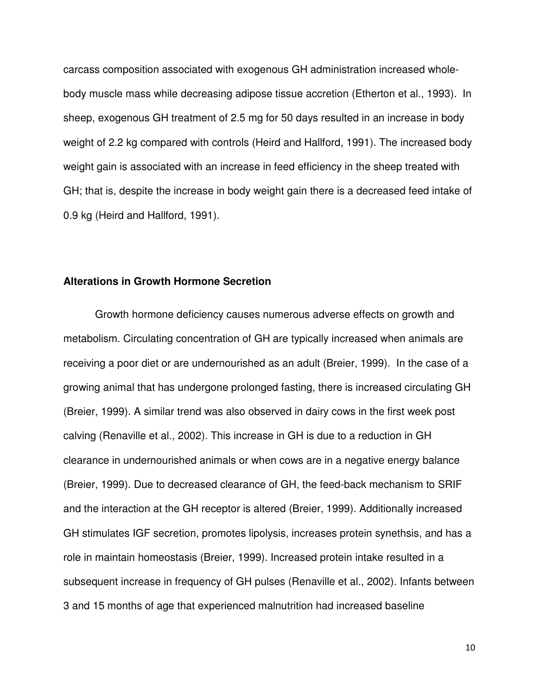carcass composition associated with exogenous GH administration increased wholebody muscle mass while decreasing adipose tissue accretion (Etherton et al., 1993). In sheep, exogenous GH treatment of 2.5 mg for 50 days resulted in an increase in body weight of 2.2 kg compared with controls (Heird and Hallford, 1991). The increased body weight gain is associated with an increase in feed efficiency in the sheep treated with GH; that is, despite the increase in body weight gain there is a decreased feed intake of 0.9 kg (Heird and Hallford, 1991).

# **Alterations in Growth Hormone Secretion**

 Growth hormone deficiency causes numerous adverse effects on growth and metabolism. Circulating concentration of GH are typically increased when animals are receiving a poor diet or are undernourished as an adult (Breier, 1999). In the case of a growing animal that has undergone prolonged fasting, there is increased circulating GH (Breier, 1999). A similar trend was also observed in dairy cows in the first week post calving (Renaville et al., 2002). This increase in GH is due to a reduction in GH clearance in undernourished animals or when cows are in a negative energy balance (Breier, 1999). Due to decreased clearance of GH, the feed-back mechanism to SRIF and the interaction at the GH receptor is altered (Breier, 1999). Additionally increased GH stimulates IGF secretion, promotes lipolysis, increases protein synethsis, and has a role in maintain homeostasis (Breier, 1999). Increased protein intake resulted in a subsequent increase in frequency of GH pulses (Renaville et al., 2002). Infants between 3 and 15 months of age that experienced malnutrition had increased baseline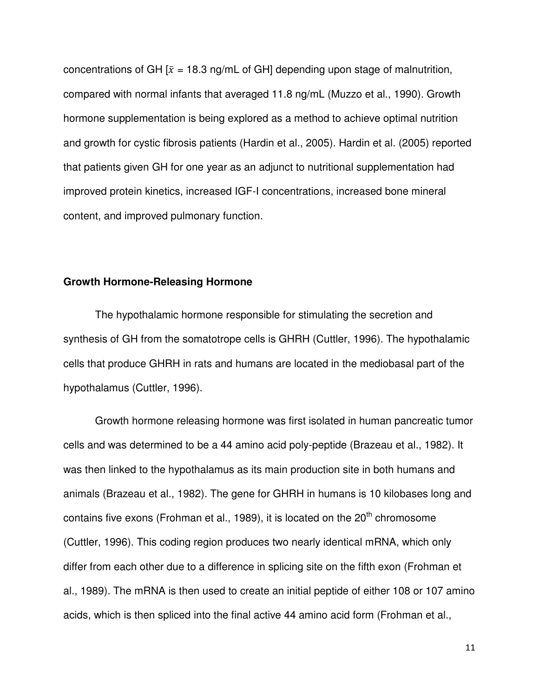concentrations of GH  $[\bar{x} = 18.3 \text{ ng/mL}$  of GH] depending upon stage of malnutrition, compared with normal infants that averaged 11.8 ng/mL (Muzzo et al., 1990). Growth hormone supplementation is being explored as a method to achieve optimal nutrition and growth for cystic fibrosis patients (Hardin et al., 2005). Hardin et al. (2005) reported that patients given GH for one year as an adjunct to nutritional supplementation had improved protein kinetics, increased IGF-I concentrations, increased bone mineral content, and improved pulmonary function.

# **Growth Hormone-Releasing Hormone**

The hypothalamic hormone responsible for stimulating the secretion and synthesis of GH from the somatotrope cells is GHRH (Cuttler, 1996). The hypothalamic cells that produce GHRH in rats and humans are located in the mediobasal part of the hypothalamus (Cuttler, 1996).

Growth hormone releasing hormone was first isolated in human pancreatic tumor cells and was determined to be a 44 amino acid poly-peptide (Brazeau et al., 1982). It was then linked to the hypothalamus as its main production site in both humans and animals (Brazeau et al., 1982). The gene for GHRH in humans is 10 kilobases long and contains five exons (Frohman et al., 1989), it is located on the  $20<sup>th</sup>$  chromosome (Cuttler, 1996). This coding region produces two nearly identical mRNA, which only differ from each other due to a difference in splicing site on the fifth exon (Frohman et al., 1989). The mRNA is then used to create an initial peptide of either 108 or 107 amino acids, which is then spliced into the final active 44 amino acid form (Frohman et al.,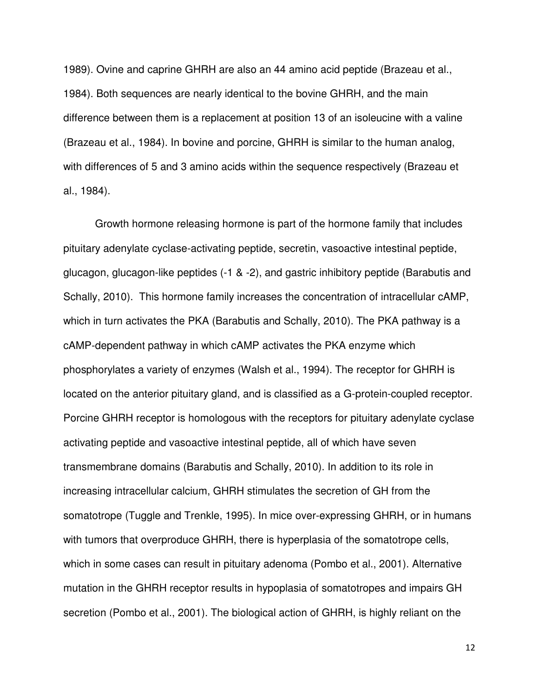1989). Ovine and caprine GHRH are also an 44 amino acid peptide (Brazeau et al., 1984). Both sequences are nearly identical to the bovine GHRH, and the main difference between them is a replacement at position 13 of an isoleucine with a valine (Brazeau et al., 1984). In bovine and porcine, GHRH is similar to the human analog, with differences of 5 and 3 amino acids within the sequence respectively (Brazeau et al., 1984).

Growth hormone releasing hormone is part of the hormone family that includes pituitary adenylate cyclase-activating peptide, secretin, vasoactive intestinal peptide, glucagon, glucagon-like peptides (-1 & -2), and gastric inhibitory peptide (Barabutis and Schally, 2010). This hormone family increases the concentration of intracellular cAMP, which in turn activates the PKA (Barabutis and Schally, 2010). The PKA pathway is a cAMP-dependent pathway in which cAMP activates the PKA enzyme which phosphorylates a variety of enzymes (Walsh et al., 1994). The receptor for GHRH is located on the anterior pituitary gland, and is classified as a G-protein-coupled receptor. Porcine GHRH receptor is homologous with the receptors for pituitary adenylate cyclase activating peptide and vasoactive intestinal peptide, all of which have seven transmembrane domains (Barabutis and Schally, 2010). In addition to its role in increasing intracellular calcium, GHRH stimulates the secretion of GH from the somatotrope (Tuggle and Trenkle, 1995). In mice over-expressing GHRH, or in humans with tumors that overproduce GHRH, there is hyperplasia of the somatotrope cells, which in some cases can result in pituitary adenoma (Pombo et al., 2001). Alternative mutation in the GHRH receptor results in hypoplasia of somatotropes and impairs GH secretion (Pombo et al., 2001). The biological action of GHRH, is highly reliant on the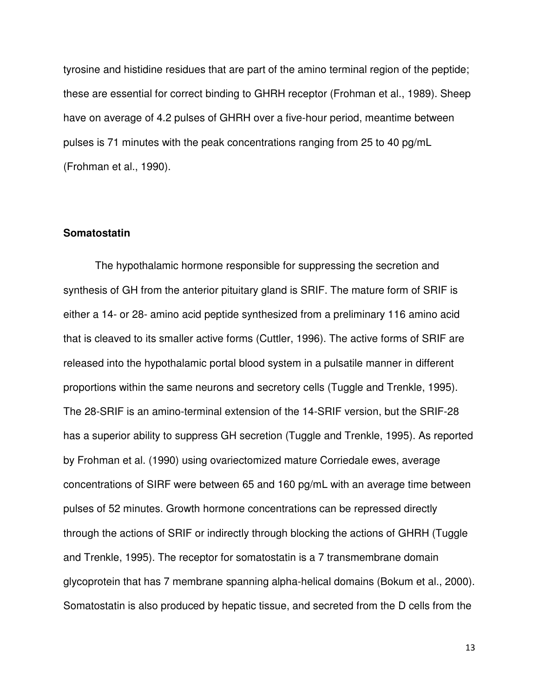tyrosine and histidine residues that are part of the amino terminal region of the peptide; these are essential for correct binding to GHRH receptor (Frohman et al., 1989). Sheep have on average of 4.2 pulses of GHRH over a five-hour period, meantime between pulses is 71 minutes with the peak concentrations ranging from 25 to 40 pg/mL (Frohman et al., 1990).

# **Somatostatin**

The hypothalamic hormone responsible for suppressing the secretion and synthesis of GH from the anterior pituitary gland is SRIF. The mature form of SRIF is either a 14- or 28- amino acid peptide synthesized from a preliminary 116 amino acid that is cleaved to its smaller active forms (Cuttler, 1996). The active forms of SRIF are released into the hypothalamic portal blood system in a pulsatile manner in different proportions within the same neurons and secretory cells (Tuggle and Trenkle, 1995). The 28-SRIF is an amino-terminal extension of the 14-SRIF version, but the SRIF-28 has a superior ability to suppress GH secretion (Tuggle and Trenkle, 1995). As reported by Frohman et al. (1990) using ovariectomized mature Corriedale ewes, average concentrations of SIRF were between 65 and 160 pg/mL with an average time between pulses of 52 minutes. Growth hormone concentrations can be repressed directly through the actions of SRIF or indirectly through blocking the actions of GHRH (Tuggle and Trenkle, 1995). The receptor for somatostatin is a 7 transmembrane domain glycoprotein that has 7 membrane spanning alpha-helical domains (Bokum et al., 2000). Somatostatin is also produced by hepatic tissue, and secreted from the D cells from the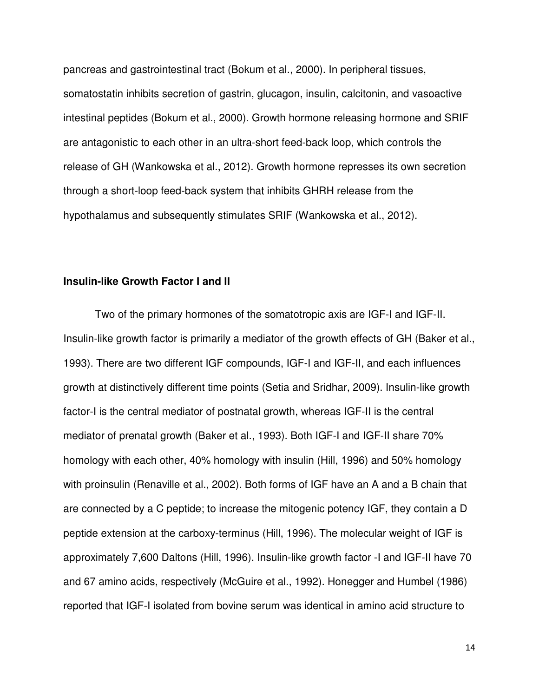pancreas and gastrointestinal tract (Bokum et al., 2000). In peripheral tissues, somatostatin inhibits secretion of gastrin, glucagon, insulin, calcitonin, and vasoactive intestinal peptides (Bokum et al., 2000). Growth hormone releasing hormone and SRIF are antagonistic to each other in an ultra-short feed-back loop, which controls the release of GH (Wankowska et al., 2012). Growth hormone represses its own secretion through a short-loop feed-back system that inhibits GHRH release from the hypothalamus and subsequently stimulates SRIF (Wankowska et al., 2012).

# **Insulin-like Growth Factor I and II**

Two of the primary hormones of the somatotropic axis are IGF-I and IGF-II. Insulin-like growth factor is primarily a mediator of the growth effects of GH (Baker et al., 1993). There are two different IGF compounds, IGF-I and IGF-II, and each influences growth at distinctively different time points (Setia and Sridhar, 2009). Insulin-like growth factor-I is the central mediator of postnatal growth, whereas IGF-II is the central mediator of prenatal growth (Baker et al., 1993). Both IGF-I and IGF-II share 70% homology with each other, 40% homology with insulin (Hill, 1996) and 50% homology with proinsulin (Renaville et al., 2002). Both forms of IGF have an A and a B chain that are connected by a C peptide; to increase the mitogenic potency IGF, they contain a D peptide extension at the carboxy-terminus (Hill, 1996). The molecular weight of IGF is approximately 7,600 Daltons (Hill, 1996). Insulin-like growth factor -I and IGF-II have 70 and 67 amino acids, respectively (McGuire et al., 1992). Honegger and Humbel (1986) reported that IGF-I isolated from bovine serum was identical in amino acid structure to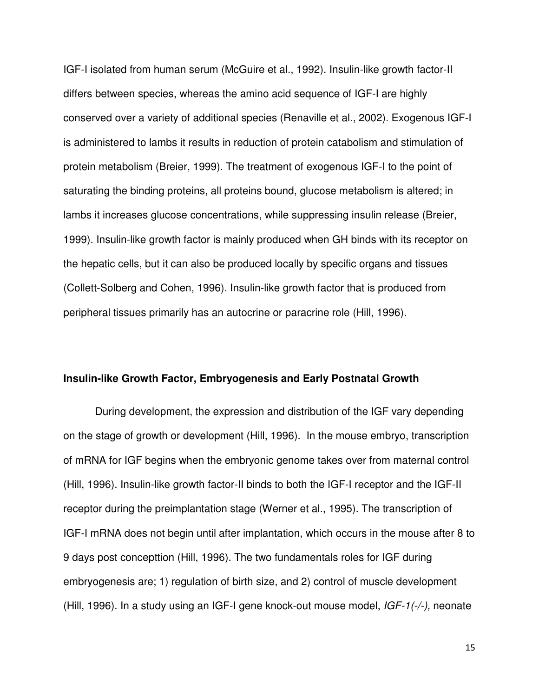IGF-I isolated from human serum (McGuire et al., 1992). Insulin-like growth factor-II differs between species, whereas the amino acid sequence of IGF-I are highly conserved over a variety of additional species (Renaville et al., 2002). Exogenous IGF-I is administered to lambs it results in reduction of protein catabolism and stimulation of protein metabolism (Breier, 1999). The treatment of exogenous IGF-I to the point of saturating the binding proteins, all proteins bound, glucose metabolism is altered; in lambs it increases glucose concentrations, while suppressing insulin release (Breier, 1999). Insulin-like growth factor is mainly produced when GH binds with its receptor on the hepatic cells, but it can also be produced locally by specific organs and tissues (Collett-Solberg and Cohen, 1996). Insulin-like growth factor that is produced from peripheral tissues primarily has an autocrine or paracrine role (Hill, 1996).

## **Insulin-like Growth Factor, Embryogenesis and Early Postnatal Growth**

During development, the expression and distribution of the IGF vary depending on the stage of growth or development (Hill, 1996). In the mouse embryo, transcription of mRNA for IGF begins when the embryonic genome takes over from maternal control (Hill, 1996). Insulin-like growth factor-II binds to both the IGF-I receptor and the IGF-II receptor during the preimplantation stage (Werner et al., 1995). The transcription of IGF-I mRNA does not begin until after implantation, which occurs in the mouse after 8 to 9 days post concepttion (Hill, 1996). The two fundamentals roles for IGF during embryogenesis are; 1) regulation of birth size, and 2) control of muscle development (Hill, 1996). In a study using an IGF-I gene knock-out mouse model, IGF-1(-/-), neonate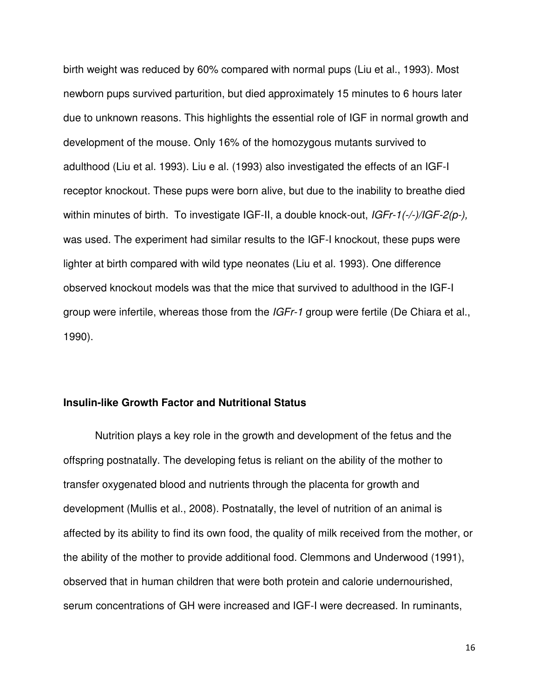birth weight was reduced by 60% compared with normal pups (Liu et al., 1993). Most newborn pups survived parturition, but died approximately 15 minutes to 6 hours later due to unknown reasons. This highlights the essential role of IGF in normal growth and development of the mouse. Only 16% of the homozygous mutants survived to adulthood (Liu et al. 1993). Liu e al. (1993) also investigated the effects of an IGF-I receptor knockout. These pups were born alive, but due to the inability to breathe died within minutes of birth. To investigate IGF-II, a double knock-out, IGFr-1(-/-)/IGF-2(p-), was used. The experiment had similar results to the IGF-I knockout, these pups were lighter at birth compared with wild type neonates (Liu et al. 1993). One difference observed knockout models was that the mice that survived to adulthood in the IGF-I group were infertile, whereas those from the *IGFr-1* group were fertile (De Chiara et al., 1990).

# **Insulin-like Growth Factor and Nutritional Status**

Nutrition plays a key role in the growth and development of the fetus and the offspring postnatally. The developing fetus is reliant on the ability of the mother to transfer oxygenated blood and nutrients through the placenta for growth and development (Mullis et al., 2008). Postnatally, the level of nutrition of an animal is affected by its ability to find its own food, the quality of milk received from the mother, or the ability of the mother to provide additional food. Clemmons and Underwood (1991), observed that in human children that were both protein and calorie undernourished, serum concentrations of GH were increased and IGF-I were decreased. In ruminants,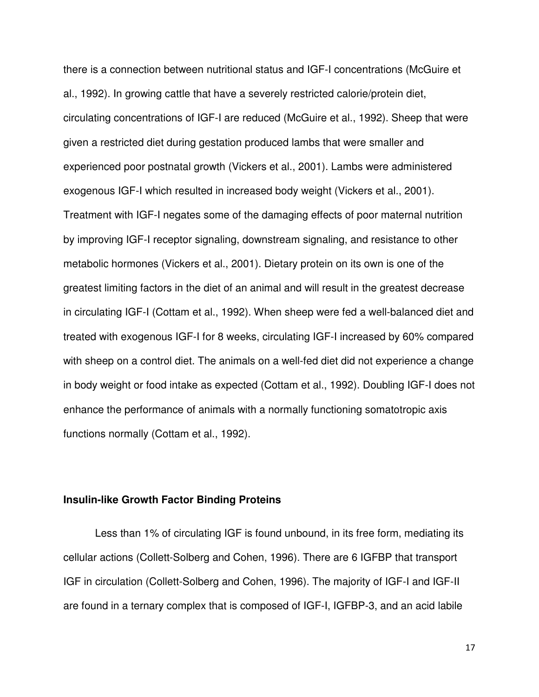there is a connection between nutritional status and IGF-I concentrations (McGuire et al., 1992). In growing cattle that have a severely restricted calorie/protein diet, circulating concentrations of IGF-I are reduced (McGuire et al., 1992). Sheep that were given a restricted diet during gestation produced lambs that were smaller and experienced poor postnatal growth (Vickers et al., 2001). Lambs were administered exogenous IGF-I which resulted in increased body weight (Vickers et al., 2001). Treatment with IGF-I negates some of the damaging effects of poor maternal nutrition by improving IGF-I receptor signaling, downstream signaling, and resistance to other metabolic hormones (Vickers et al., 2001). Dietary protein on its own is one of the greatest limiting factors in the diet of an animal and will result in the greatest decrease in circulating IGF-I (Cottam et al., 1992). When sheep were fed a well-balanced diet and treated with exogenous IGF-I for 8 weeks, circulating IGF-I increased by 60% compared with sheep on a control diet. The animals on a well-fed diet did not experience a change in body weight or food intake as expected (Cottam et al., 1992). Doubling IGF-I does not enhance the performance of animals with a normally functioning somatotropic axis functions normally (Cottam et al., 1992).

# **Insulin-like Growth Factor Binding Proteins**

 Less than 1% of circulating IGF is found unbound, in its free form, mediating its cellular actions (Collett-Solberg and Cohen, 1996). There are 6 IGFBP that transport IGF in circulation (Collett-Solberg and Cohen, 1996). The majority of IGF-I and IGF-II are found in a ternary complex that is composed of IGF-I, IGFBP-3, and an acid labile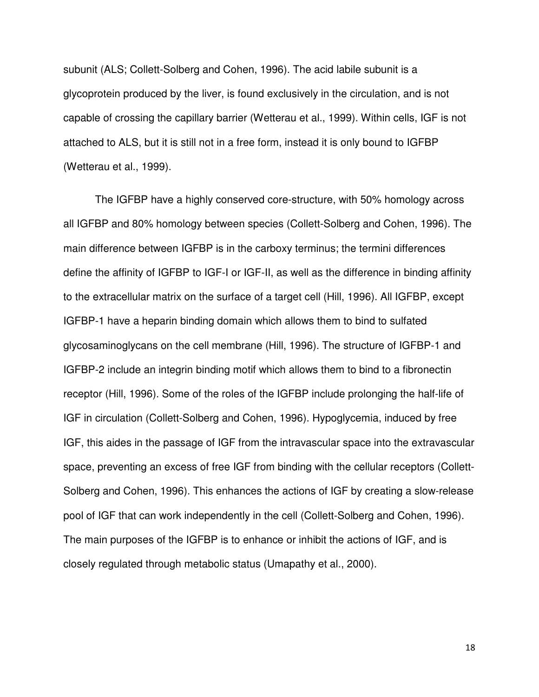subunit (ALS; Collett-Solberg and Cohen, 1996). The acid labile subunit is a glycoprotein produced by the liver, is found exclusively in the circulation, and is not capable of crossing the capillary barrier (Wetterau et al., 1999). Within cells, IGF is not attached to ALS, but it is still not in a free form, instead it is only bound to IGFBP (Wetterau et al., 1999).

The IGFBP have a highly conserved core-structure, with 50% homology across all IGFBP and 80% homology between species (Collett-Solberg and Cohen, 1996). The main difference between IGFBP is in the carboxy terminus; the termini differences define the affinity of IGFBP to IGF-I or IGF-II, as well as the difference in binding affinity to the extracellular matrix on the surface of a target cell (Hill, 1996). All IGFBP, except IGFBP-1 have a heparin binding domain which allows them to bind to sulfated glycosaminoglycans on the cell membrane (Hill, 1996). The structure of IGFBP-1 and IGFBP-2 include an integrin binding motif which allows them to bind to a fibronectin receptor (Hill, 1996). Some of the roles of the IGFBP include prolonging the half-life of IGF in circulation (Collett-Solberg and Cohen, 1996). Hypoglycemia, induced by free IGF, this aides in the passage of IGF from the intravascular space into the extravascular space, preventing an excess of free IGF from binding with the cellular receptors (Collett-Solberg and Cohen, 1996). This enhances the actions of IGF by creating a slow-release pool of IGF that can work independently in the cell (Collett-Solberg and Cohen, 1996). The main purposes of the IGFBP is to enhance or inhibit the actions of IGF, and is closely regulated through metabolic status (Umapathy et al., 2000).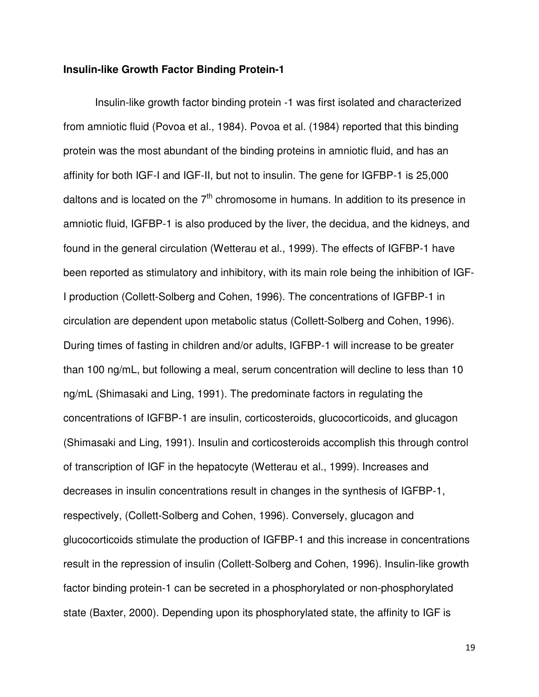# **Insulin-like Growth Factor Binding Protein-1**

 Insulin-like growth factor binding protein -1 was first isolated and characterized from amniotic fluid (Povoa et al., 1984). Povoa et al. (1984) reported that this binding protein was the most abundant of the binding proteins in amniotic fluid, and has an affinity for both IGF-I and IGF-II, but not to insulin. The gene for IGFBP-1 is 25,000 daltons and is located on the  $7<sup>th</sup>$  chromosome in humans. In addition to its presence in amniotic fluid, IGFBP-1 is also produced by the liver, the decidua, and the kidneys, and found in the general circulation (Wetterau et al., 1999). The effects of IGFBP-1 have been reported as stimulatory and inhibitory, with its main role being the inhibition of IGF-I production (Collett-Solberg and Cohen, 1996). The concentrations of IGFBP-1 in circulation are dependent upon metabolic status (Collett-Solberg and Cohen, 1996). During times of fasting in children and/or adults, IGFBP-1 will increase to be greater than 100 ng/mL, but following a meal, serum concentration will decline to less than 10 ng/mL (Shimasaki and Ling, 1991). The predominate factors in regulating the concentrations of IGFBP-1 are insulin, corticosteroids, glucocorticoids, and glucagon (Shimasaki and Ling, 1991). Insulin and corticosteroids accomplish this through control of transcription of IGF in the hepatocyte (Wetterau et al., 1999). Increases and decreases in insulin concentrations result in changes in the synthesis of IGFBP-1, respectively, (Collett-Solberg and Cohen, 1996). Conversely, glucagon and glucocorticoids stimulate the production of IGFBP-1 and this increase in concentrations result in the repression of insulin (Collett-Solberg and Cohen, 1996). Insulin-like growth factor binding protein-1 can be secreted in a phosphorylated or non-phosphorylated state (Baxter, 2000). Depending upon its phosphorylated state, the affinity to IGF is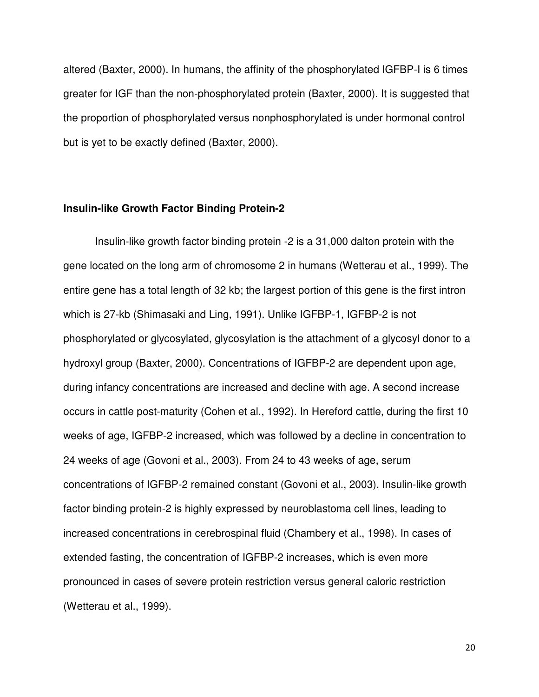altered (Baxter, 2000). In humans, the affinity of the phosphorylated IGFBP-I is 6 times greater for IGF than the non-phosphorylated protein (Baxter, 2000). It is suggested that the proportion of phosphorylated versus nonphosphorylated is under hormonal control but is yet to be exactly defined (Baxter, 2000).

## **Insulin-like Growth Factor Binding Protein-2**

Insulin-like growth factor binding protein -2 is a 31,000 dalton protein with the gene located on the long arm of chromosome 2 in humans (Wetterau et al., 1999). The entire gene has a total length of 32 kb; the largest portion of this gene is the first intron which is 27-kb (Shimasaki and Ling, 1991). Unlike IGFBP-1, IGFBP-2 is not phosphorylated or glycosylated, glycosylation is the attachment of a glycosyl donor to a hydroxyl group (Baxter, 2000). Concentrations of IGFBP-2 are dependent upon age, during infancy concentrations are increased and decline with age. A second increase occurs in cattle post-maturity (Cohen et al., 1992). In Hereford cattle, during the first 10 weeks of age, IGFBP-2 increased, which was followed by a decline in concentration to 24 weeks of age (Govoni et al., 2003). From 24 to 43 weeks of age, serum concentrations of IGFBP-2 remained constant (Govoni et al., 2003). Insulin-like growth factor binding protein-2 is highly expressed by neuroblastoma cell lines, leading to increased concentrations in cerebrospinal fluid (Chambery et al., 1998). In cases of extended fasting, the concentration of IGFBP-2 increases, which is even more pronounced in cases of severe protein restriction versus general caloric restriction (Wetterau et al., 1999).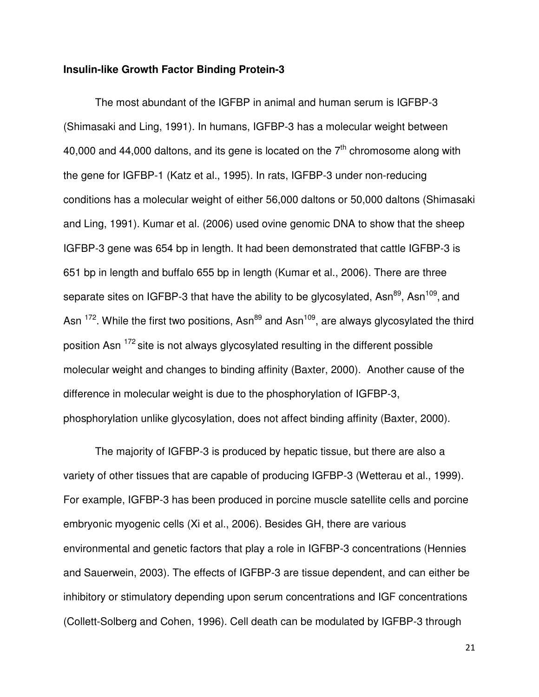## **Insulin-like Growth Factor Binding Protein-3**

The most abundant of the IGFBP in animal and human serum is IGFBP-3 (Shimasaki and Ling, 1991). In humans, IGFBP-3 has a molecular weight between 40,000 and 44,000 daltons, and its gene is located on the  $7<sup>th</sup>$  chromosome along with the gene for IGFBP-1 (Katz et al., 1995). In rats, IGFBP-3 under non-reducing conditions has a molecular weight of either 56,000 daltons or 50,000 daltons (Shimasaki and Ling, 1991). Kumar et al. (2006) used ovine genomic DNA to show that the sheep IGFBP-3 gene was 654 bp in length. It had been demonstrated that cattle IGFBP-3 is 651 bp in length and buffalo 655 bp in length (Kumar et al., 2006). There are three separate sites on IGFBP-3 that have the ability to be glycosylated, Asn<sup>89</sup>, Asn<sup>109</sup>, and Asn  $172$ . While the first two positions, Asn<sup>89</sup> and Asn<sup>109</sup>, are always glycosylated the third position Asn  $172$  site is not always glycosylated resulting in the different possible molecular weight and changes to binding affinity (Baxter, 2000). Another cause of the difference in molecular weight is due to the phosphorylation of IGFBP-3, phosphorylation unlike glycosylation, does not affect binding affinity (Baxter, 2000).

The majority of IGFBP-3 is produced by hepatic tissue, but there are also a variety of other tissues that are capable of producing IGFBP-3 (Wetterau et al., 1999). For example, IGFBP-3 has been produced in porcine muscle satellite cells and porcine embryonic myogenic cells (Xi et al., 2006). Besides GH, there are various environmental and genetic factors that play a role in IGFBP-3 concentrations (Hennies and Sauerwein, 2003). The effects of IGFBP-3 are tissue dependent, and can either be inhibitory or stimulatory depending upon serum concentrations and IGF concentrations (Collett-Solberg and Cohen, 1996). Cell death can be modulated by IGFBP-3 through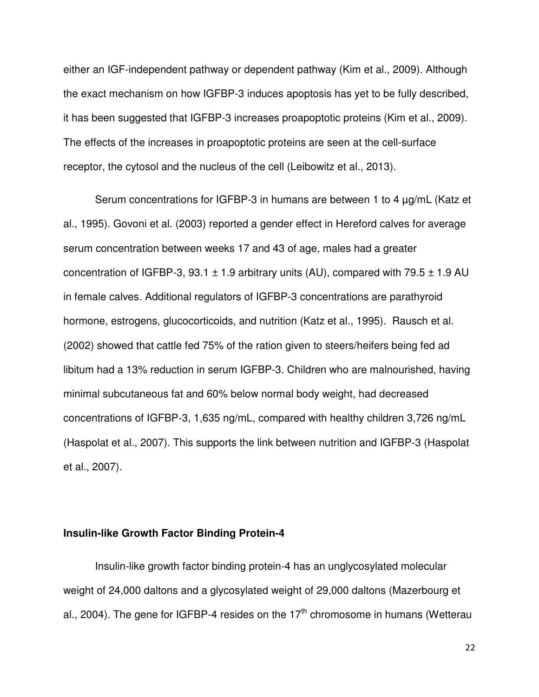either an IGF-independent pathway or dependent pathway (Kim et al., 2009). Although the exact mechanism on how IGFBP-3 induces apoptosis has yet to be fully described, it has been suggested that IGFBP-3 increases proapoptotic proteins (Kim et al., 2009). The effects of the increases in proapoptotic proteins are seen at the cell-surface receptor, the cytosol and the nucleus of the cell (Leibowitz et al., 2013).

Serum concentrations for IGFBP-3 in humans are between 1 to 4 µg/mL (Katz et al., 1995). Govoni et al. (2003) reported a gender effect in Hereford calves for average serum concentration between weeks 17 and 43 of age, males had a greater concentration of IGFBP-3, 93.1  $\pm$  1.9 arbitrary units (AU), compared with 79.5  $\pm$  1.9 AU in female calves. Additional regulators of IGFBP-3 concentrations are parathyroid hormone, estrogens, glucocorticoids, and nutrition (Katz et al., 1995). Rausch et al. (2002) showed that cattle fed 75% of the ration given to steers/heifers being fed ad libitum had a 13% reduction in serum IGFBP-3. Children who are malnourished, having minimal subcutaneous fat and 60% below normal body weight, had decreased concentrations of IGFBP-3, 1,635 ng/mL, compared with healthy children 3,726 ng/mL (Haspolat et al., 2007). This supports the link between nutrition and IGFBP-3 (Haspolat et al., 2007).

# **Insulin-like Growth Factor Binding Protein-4**

Insulin-like growth factor binding protein-4 has an unglycosylated molecular weight of 24,000 daltons and a glycosylated weight of 29,000 daltons (Mazerbourg et al., 2004). The gene for IGFBP-4 resides on the  $17<sup>th</sup>$  chromosome in humans (Wetterau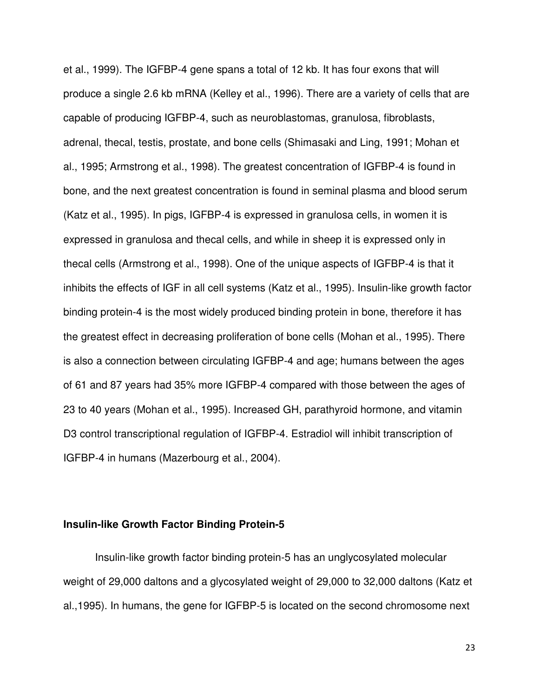et al., 1999). The IGFBP-4 gene spans a total of 12 kb. It has four exons that will produce a single 2.6 kb mRNA (Kelley et al., 1996). There are a variety of cells that are capable of producing IGFBP-4, such as neuroblastomas, granulosa, fibroblasts, adrenal, thecal, testis, prostate, and bone cells (Shimasaki and Ling, 1991; Mohan et al., 1995; Armstrong et al., 1998). The greatest concentration of IGFBP-4 is found in bone, and the next greatest concentration is found in seminal plasma and blood serum (Katz et al., 1995). In pigs, IGFBP-4 is expressed in granulosa cells, in women it is expressed in granulosa and thecal cells, and while in sheep it is expressed only in thecal cells (Armstrong et al., 1998). One of the unique aspects of IGFBP-4 is that it inhibits the effects of IGF in all cell systems (Katz et al., 1995). Insulin-like growth factor binding protein-4 is the most widely produced binding protein in bone, therefore it has the greatest effect in decreasing proliferation of bone cells (Mohan et al., 1995). There is also a connection between circulating IGFBP-4 and age; humans between the ages of 61 and 87 years had 35% more IGFBP-4 compared with those between the ages of 23 to 40 years (Mohan et al., 1995). Increased GH, parathyroid hormone, and vitamin D3 control transcriptional regulation of IGFBP-4. Estradiol will inhibit transcription of IGFBP-4 in humans (Mazerbourg et al., 2004).

# **Insulin-like Growth Factor Binding Protein-5**

Insulin-like growth factor binding protein-5 has an unglycosylated molecular weight of 29,000 daltons and a glycosylated weight of 29,000 to 32,000 daltons (Katz et al.,1995). In humans, the gene for IGFBP-5 is located on the second chromosome next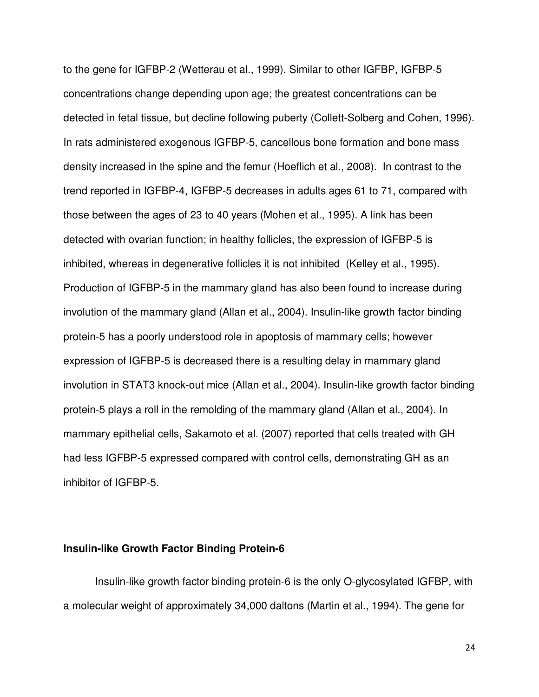to the gene for IGFBP-2 (Wetterau et al., 1999). Similar to other IGFBP, IGFBP-5 concentrations change depending upon age; the greatest concentrations can be detected in fetal tissue, but decline following puberty (Collett-Solberg and Cohen, 1996). In rats administered exogenous IGFBP-5, cancellous bone formation and bone mass density increased in the spine and the femur (Hoeflich et al., 2008). In contrast to the trend reported in IGFBP-4, IGFBP-5 decreases in adults ages 61 to 71, compared with those between the ages of 23 to 40 years (Mohen et al., 1995). A link has been detected with ovarian function; in healthy follicles, the expression of IGFBP-5 is inhibited, whereas in degenerative follicles it is not inhibited (Kelley et al., 1995). Production of IGFBP-5 in the mammary gland has also been found to increase during involution of the mammary gland (Allan et al., 2004). Insulin-like growth factor binding protein-5 has a poorly understood role in apoptosis of mammary cells; however expression of IGFBP-5 is decreased there is a resulting delay in mammary gland involution in STAT3 knock-out mice (Allan et al., 2004). Insulin-like growth factor binding protein-5 plays a roll in the remolding of the mammary gland (Allan et al., 2004). In mammary epithelial cells, Sakamoto et al. (2007) reported that cells treated with GH had less IGFBP-5 expressed compared with control cells, demonstrating GH as an inhibitor of IGFBP-5.

# **Insulin-like Growth Factor Binding Protein-6**

Insulin-like growth factor binding protein-6 is the only O-glycosylated IGFBP, with a molecular weight of approximately 34,000 daltons (Martin et al., 1994). The gene for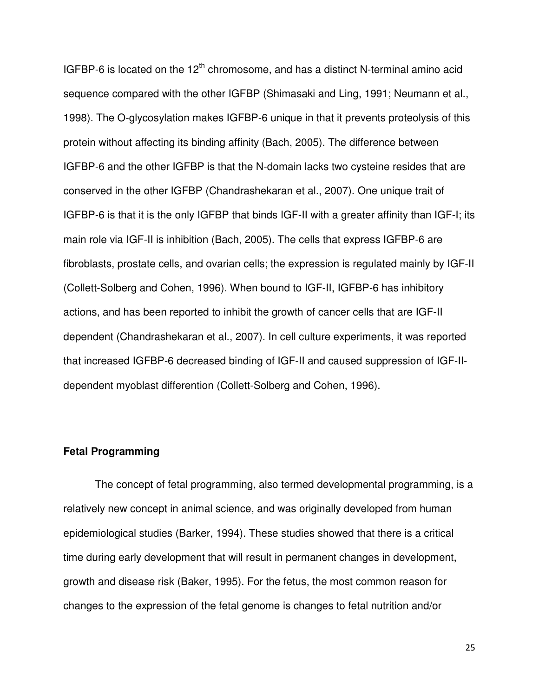IGFBP-6 is located on the  $12<sup>th</sup>$  chromosome, and has a distinct N-terminal amino acid sequence compared with the other IGFBP (Shimasaki and Ling, 1991; Neumann et al., 1998). The O-glycosylation makes IGFBP-6 unique in that it prevents proteolysis of this protein without affecting its binding affinity (Bach, 2005). The difference between IGFBP-6 and the other IGFBP is that the N-domain lacks two cysteine resides that are conserved in the other IGFBP (Chandrashekaran et al., 2007). One unique trait of IGFBP-6 is that it is the only IGFBP that binds IGF-II with a greater affinity than IGF-I; its main role via IGF-II is inhibition (Bach, 2005). The cells that express IGFBP-6 are fibroblasts, prostate cells, and ovarian cells; the expression is regulated mainly by IGF-II (Collett-Solberg and Cohen, 1996). When bound to IGF-II, IGFBP-6 has inhibitory actions, and has been reported to inhibit the growth of cancer cells that are IGF-II dependent (Chandrashekaran et al., 2007). In cell culture experiments, it was reported that increased IGFBP-6 decreased binding of IGF-II and caused suppression of IGF-IIdependent myoblast differention (Collett-Solberg and Cohen, 1996).

## **Fetal Programming**

The concept of fetal programming, also termed developmental programming, is a relatively new concept in animal science, and was originally developed from human epidemiological studies (Barker, 1994). These studies showed that there is a critical time during early development that will result in permanent changes in development, growth and disease risk (Baker, 1995). For the fetus, the most common reason for changes to the expression of the fetal genome is changes to fetal nutrition and/or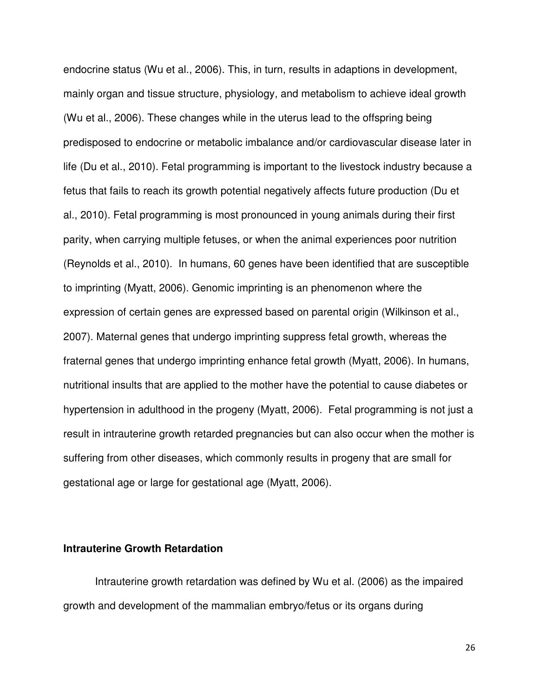endocrine status (Wu et al., 2006). This, in turn, results in adaptions in development, mainly organ and tissue structure, physiology, and metabolism to achieve ideal growth (Wu et al., 2006). These changes while in the uterus lead to the offspring being predisposed to endocrine or metabolic imbalance and/or cardiovascular disease later in life (Du et al., 2010). Fetal programming is important to the livestock industry because a fetus that fails to reach its growth potential negatively affects future production (Du et al., 2010). Fetal programming is most pronounced in young animals during their first parity, when carrying multiple fetuses, or when the animal experiences poor nutrition (Reynolds et al., 2010). In humans, 60 genes have been identified that are susceptible to imprinting (Myatt, 2006). Genomic imprinting is an phenomenon where the expression of certain genes are expressed based on parental origin (Wilkinson et al., 2007). Maternal genes that undergo imprinting suppress fetal growth, whereas the fraternal genes that undergo imprinting enhance fetal growth (Myatt, 2006). In humans, nutritional insults that are applied to the mother have the potential to cause diabetes or hypertension in adulthood in the progeny (Myatt, 2006). Fetal programming is not just a result in intrauterine growth retarded pregnancies but can also occur when the mother is suffering from other diseases, which commonly results in progeny that are small for gestational age or large for gestational age (Myatt, 2006).

## **Intrauterine Growth Retardation**

Intrauterine growth retardation was defined by Wu et al. (2006) as the impaired growth and development of the mammalian embryo/fetus or its organs during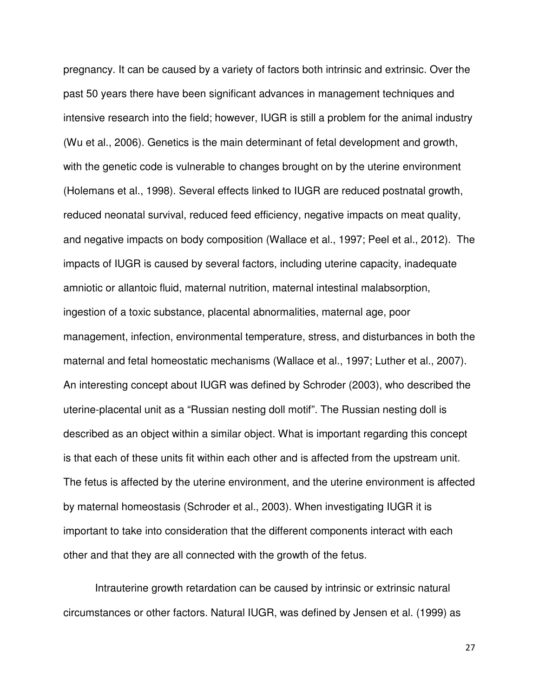pregnancy. It can be caused by a variety of factors both intrinsic and extrinsic. Over the past 50 years there have been significant advances in management techniques and intensive research into the field; however, IUGR is still a problem for the animal industry (Wu et al., 2006). Genetics is the main determinant of fetal development and growth, with the genetic code is vulnerable to changes brought on by the uterine environment (Holemans et al., 1998). Several effects linked to IUGR are reduced postnatal growth, reduced neonatal survival, reduced feed efficiency, negative impacts on meat quality, and negative impacts on body composition (Wallace et al., 1997; Peel et al., 2012). The impacts of IUGR is caused by several factors, including uterine capacity, inadequate amniotic or allantoic fluid, maternal nutrition, maternal intestinal malabsorption, ingestion of a toxic substance, placental abnormalities, maternal age, poor management, infection, environmental temperature, stress, and disturbances in both the maternal and fetal homeostatic mechanisms (Wallace et al., 1997; Luther et al., 2007). An interesting concept about IUGR was defined by Schroder (2003), who described the uterine-placental unit as a "Russian nesting doll motif". The Russian nesting doll is described as an object within a similar object. What is important regarding this concept is that each of these units fit within each other and is affected from the upstream unit. The fetus is affected by the uterine environment, and the uterine environment is affected by maternal homeostasis (Schroder et al., 2003). When investigating IUGR it is important to take into consideration that the different components interact with each other and that they are all connected with the growth of the fetus.

Intrauterine growth retardation can be caused by intrinsic or extrinsic natural circumstances or other factors. Natural IUGR, was defined by Jensen et al. (1999) as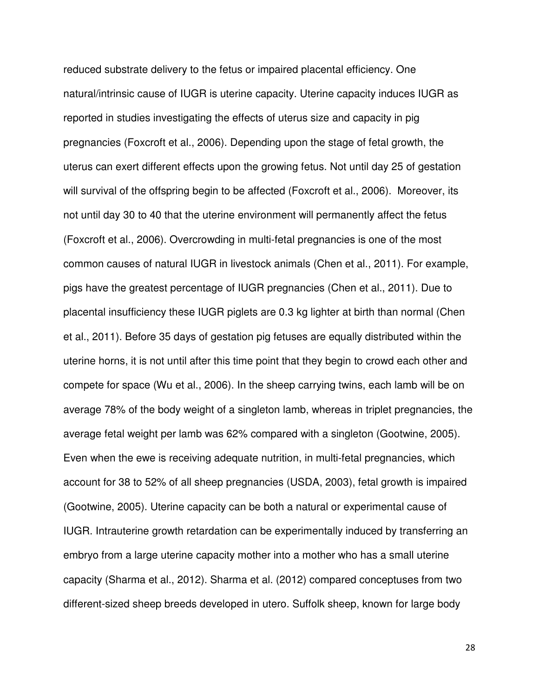reduced substrate delivery to the fetus or impaired placental efficiency. One natural/intrinsic cause of IUGR is uterine capacity. Uterine capacity induces IUGR as reported in studies investigating the effects of uterus size and capacity in pig pregnancies (Foxcroft et al., 2006). Depending upon the stage of fetal growth, the uterus can exert different effects upon the growing fetus. Not until day 25 of gestation will survival of the offspring begin to be affected (Foxcroft et al., 2006). Moreover, its not until day 30 to 40 that the uterine environment will permanently affect the fetus (Foxcroft et al., 2006). Overcrowding in multi-fetal pregnancies is one of the most common causes of natural IUGR in livestock animals (Chen et al., 2011). For example, pigs have the greatest percentage of IUGR pregnancies (Chen et al., 2011). Due to placental insufficiency these IUGR piglets are 0.3 kg lighter at birth than normal (Chen et al., 2011). Before 35 days of gestation pig fetuses are equally distributed within the uterine horns, it is not until after this time point that they begin to crowd each other and compete for space (Wu et al., 2006). In the sheep carrying twins, each lamb will be on average 78% of the body weight of a singleton lamb, whereas in triplet pregnancies, the average fetal weight per lamb was 62% compared with a singleton (Gootwine, 2005). Even when the ewe is receiving adequate nutrition, in multi-fetal pregnancies, which account for 38 to 52% of all sheep pregnancies (USDA, 2003), fetal growth is impaired (Gootwine, 2005). Uterine capacity can be both a natural or experimental cause of IUGR. Intrauterine growth retardation can be experimentally induced by transferring an embryo from a large uterine capacity mother into a mother who has a small uterine capacity (Sharma et al., 2012). Sharma et al. (2012) compared conceptuses from two different-sized sheep breeds developed in utero. Suffolk sheep, known for large body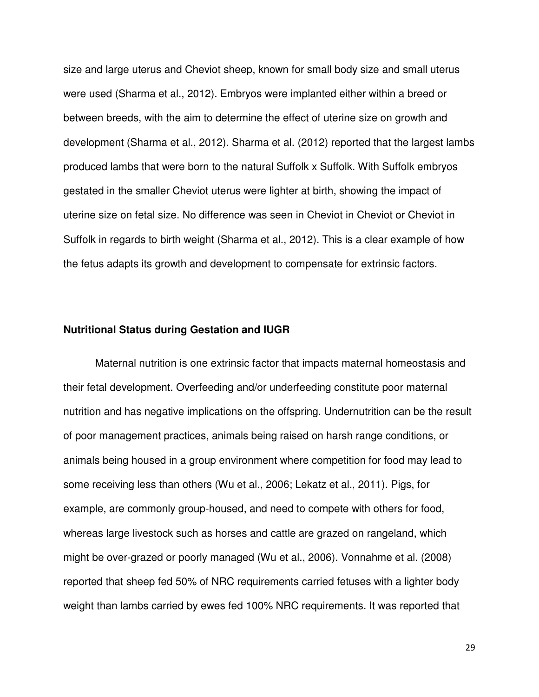size and large uterus and Cheviot sheep, known for small body size and small uterus were used (Sharma et al., 2012). Embryos were implanted either within a breed or between breeds, with the aim to determine the effect of uterine size on growth and development (Sharma et al., 2012). Sharma et al. (2012) reported that the largest lambs produced lambs that were born to the natural Suffolk x Suffolk. With Suffolk embryos gestated in the smaller Cheviot uterus were lighter at birth, showing the impact of uterine size on fetal size. No difference was seen in Cheviot in Cheviot or Cheviot in Suffolk in regards to birth weight (Sharma et al., 2012). This is a clear example of how the fetus adapts its growth and development to compensate for extrinsic factors.

### **Nutritional Status during Gestation and IUGR**

Maternal nutrition is one extrinsic factor that impacts maternal homeostasis and their fetal development. Overfeeding and/or underfeeding constitute poor maternal nutrition and has negative implications on the offspring. Undernutrition can be the result of poor management practices, animals being raised on harsh range conditions, or animals being housed in a group environment where competition for food may lead to some receiving less than others (Wu et al., 2006; Lekatz et al., 2011). Pigs, for example, are commonly group-housed, and need to compete with others for food, whereas large livestock such as horses and cattle are grazed on rangeland, which might be over-grazed or poorly managed (Wu et al., 2006). Vonnahme et al. (2008) reported that sheep fed 50% of NRC requirements carried fetuses with a lighter body weight than lambs carried by ewes fed 100% NRC requirements. It was reported that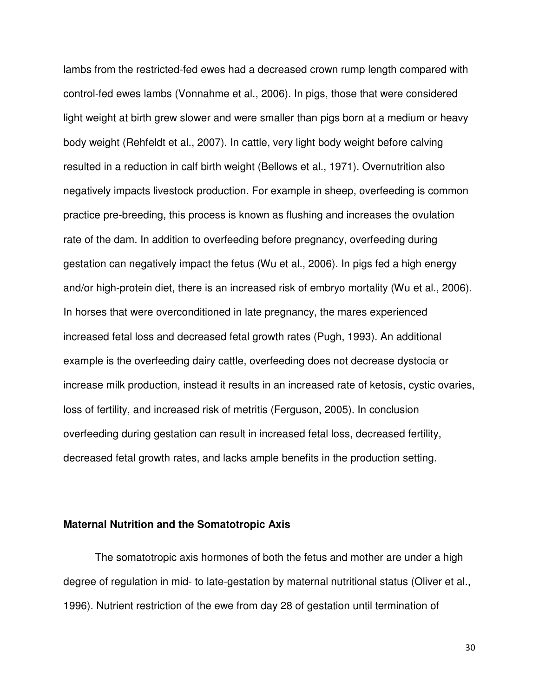lambs from the restricted-fed ewes had a decreased crown rump length compared with control-fed ewes lambs (Vonnahme et al., 2006). In pigs, those that were considered light weight at birth grew slower and were smaller than pigs born at a medium or heavy body weight (Rehfeldt et al., 2007). In cattle, very light body weight before calving resulted in a reduction in calf birth weight (Bellows et al., 1971). Overnutrition also negatively impacts livestock production. For example in sheep, overfeeding is common practice pre-breeding, this process is known as flushing and increases the ovulation rate of the dam. In addition to overfeeding before pregnancy, overfeeding during gestation can negatively impact the fetus (Wu et al., 2006). In pigs fed a high energy and/or high-protein diet, there is an increased risk of embryo mortality (Wu et al., 2006). In horses that were overconditioned in late pregnancy, the mares experienced increased fetal loss and decreased fetal growth rates (Pugh, 1993). An additional example is the overfeeding dairy cattle, overfeeding does not decrease dystocia or increase milk production, instead it results in an increased rate of ketosis, cystic ovaries, loss of fertility, and increased risk of metritis (Ferguson, 2005). In conclusion overfeeding during gestation can result in increased fetal loss, decreased fertility, decreased fetal growth rates, and lacks ample benefits in the production setting.

### **Maternal Nutrition and the Somatotropic Axis**

 The somatotropic axis hormones of both the fetus and mother are under a high degree of regulation in mid- to late-gestation by maternal nutritional status (Oliver et al., 1996). Nutrient restriction of the ewe from day 28 of gestation until termination of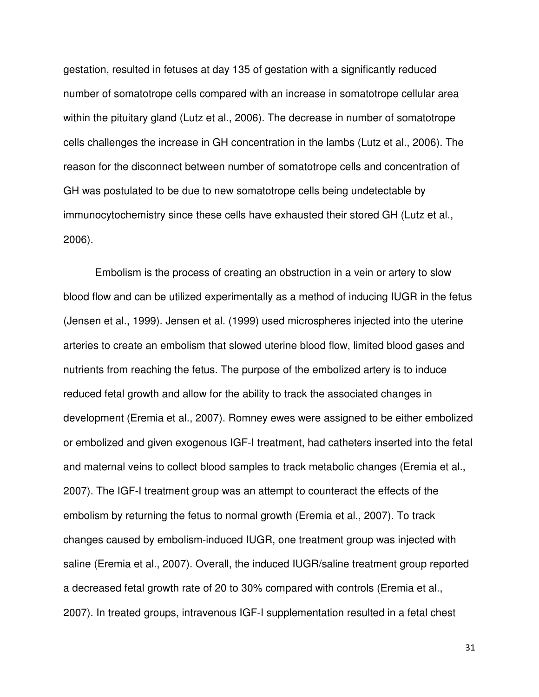gestation, resulted in fetuses at day 135 of gestation with a significantly reduced number of somatotrope cells compared with an increase in somatotrope cellular area within the pituitary gland (Lutz et al., 2006). The decrease in number of somatotrope cells challenges the increase in GH concentration in the lambs (Lutz et al., 2006). The reason for the disconnect between number of somatotrope cells and concentration of GH was postulated to be due to new somatotrope cells being undetectable by immunocytochemistry since these cells have exhausted their stored GH (Lutz et al., 2006).

Embolism is the process of creating an obstruction in a vein or artery to slow blood flow and can be utilized experimentally as a method of inducing IUGR in the fetus (Jensen et al., 1999). Jensen et al. (1999) used microspheres injected into the uterine arteries to create an embolism that slowed uterine blood flow, limited blood gases and nutrients from reaching the fetus. The purpose of the embolized artery is to induce reduced fetal growth and allow for the ability to track the associated changes in development (Eremia et al., 2007). Romney ewes were assigned to be either embolized or embolized and given exogenous IGF-I treatment, had catheters inserted into the fetal and maternal veins to collect blood samples to track metabolic changes (Eremia et al., 2007). The IGF-I treatment group was an attempt to counteract the effects of the embolism by returning the fetus to normal growth (Eremia et al., 2007). To track changes caused by embolism-induced IUGR, one treatment group was injected with saline (Eremia et al., 2007). Overall, the induced IUGR/saline treatment group reported a decreased fetal growth rate of 20 to 30% compared with controls (Eremia et al., 2007). In treated groups, intravenous IGF-I supplementation resulted in a fetal chest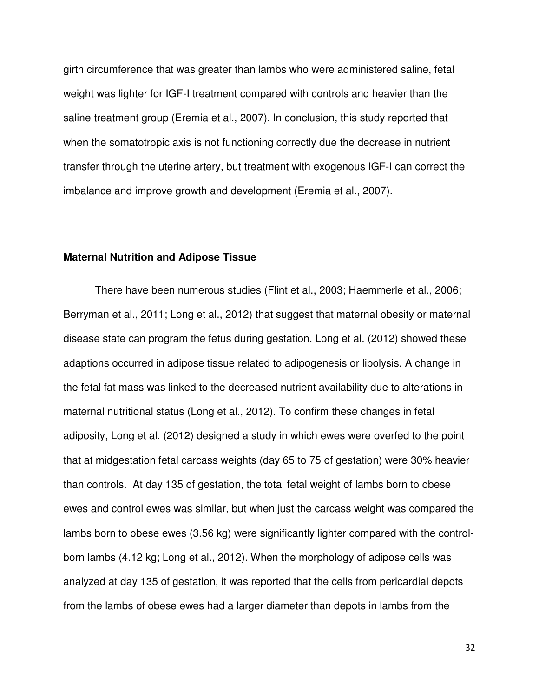girth circumference that was greater than lambs who were administered saline, fetal weight was lighter for IGF-I treatment compared with controls and heavier than the saline treatment group (Eremia et al., 2007). In conclusion, this study reported that when the somatotropic axis is not functioning correctly due the decrease in nutrient transfer through the uterine artery, but treatment with exogenous IGF-I can correct the imbalance and improve growth and development (Eremia et al., 2007).

### **Maternal Nutrition and Adipose Tissue**

 There have been numerous studies (Flint et al., 2003; Haemmerle et al., 2006; Berryman et al., 2011; Long et al., 2012) that suggest that maternal obesity or maternal disease state can program the fetus during gestation. Long et al. (2012) showed these adaptions occurred in adipose tissue related to adipogenesis or lipolysis. A change in the fetal fat mass was linked to the decreased nutrient availability due to alterations in maternal nutritional status (Long et al., 2012). To confirm these changes in fetal adiposity, Long et al. (2012) designed a study in which ewes were overfed to the point that at midgestation fetal carcass weights (day 65 to 75 of gestation) were 30% heavier than controls. At day 135 of gestation, the total fetal weight of lambs born to obese ewes and control ewes was similar, but when just the carcass weight was compared the lambs born to obese ewes (3.56 kg) were significantly lighter compared with the controlborn lambs (4.12 kg; Long et al., 2012). When the morphology of adipose cells was analyzed at day 135 of gestation, it was reported that the cells from pericardial depots from the lambs of obese ewes had a larger diameter than depots in lambs from the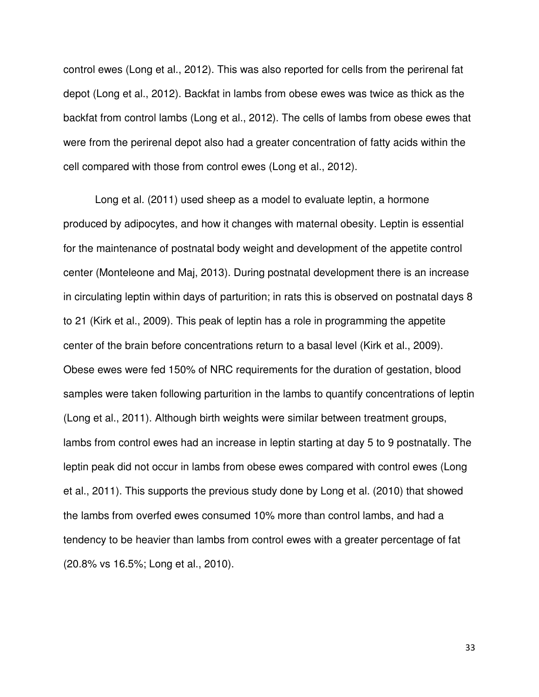control ewes (Long et al., 2012). This was also reported for cells from the perirenal fat depot (Long et al., 2012). Backfat in lambs from obese ewes was twice as thick as the backfat from control lambs (Long et al., 2012). The cells of lambs from obese ewes that were from the perirenal depot also had a greater concentration of fatty acids within the cell compared with those from control ewes (Long et al., 2012).

Long et al. (2011) used sheep as a model to evaluate leptin, a hormone produced by adipocytes, and how it changes with maternal obesity. Leptin is essential for the maintenance of postnatal body weight and development of the appetite control center (Monteleone and Maj, 2013). During postnatal development there is an increase in circulating leptin within days of parturition; in rats this is observed on postnatal days 8 to 21 (Kirk et al., 2009). This peak of leptin has a role in programming the appetite center of the brain before concentrations return to a basal level (Kirk et al., 2009). Obese ewes were fed 150% of NRC requirements for the duration of gestation, blood samples were taken following parturition in the lambs to quantify concentrations of leptin (Long et al., 2011). Although birth weights were similar between treatment groups, lambs from control ewes had an increase in leptin starting at day 5 to 9 postnatally. The leptin peak did not occur in lambs from obese ewes compared with control ewes (Long et al., 2011). This supports the previous study done by Long et al. (2010) that showed the lambs from overfed ewes consumed 10% more than control lambs, and had a tendency to be heavier than lambs from control ewes with a greater percentage of fat (20.8% vs 16.5%; Long et al., 2010).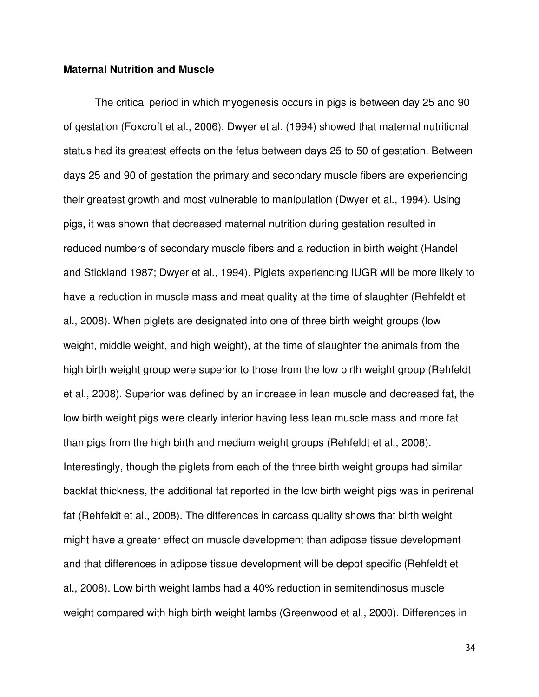### **Maternal Nutrition and Muscle**

The critical period in which myogenesis occurs in pigs is between day 25 and 90 of gestation (Foxcroft et al., 2006). Dwyer et al. (1994) showed that maternal nutritional status had its greatest effects on the fetus between days 25 to 50 of gestation. Between days 25 and 90 of gestation the primary and secondary muscle fibers are experiencing their greatest growth and most vulnerable to manipulation (Dwyer et al., 1994). Using pigs, it was shown that decreased maternal nutrition during gestation resulted in reduced numbers of secondary muscle fibers and a reduction in birth weight (Handel and Stickland 1987; Dwyer et al., 1994). Piglets experiencing IUGR will be more likely to have a reduction in muscle mass and meat quality at the time of slaughter (Rehfeldt et al., 2008). When piglets are designated into one of three birth weight groups (low weight, middle weight, and high weight), at the time of slaughter the animals from the high birth weight group were superior to those from the low birth weight group (Rehfeldt et al., 2008). Superior was defined by an increase in lean muscle and decreased fat, the low birth weight pigs were clearly inferior having less lean muscle mass and more fat than pigs from the high birth and medium weight groups (Rehfeldt et al., 2008). Interestingly, though the piglets from each of the three birth weight groups had similar backfat thickness, the additional fat reported in the low birth weight pigs was in perirenal fat (Rehfeldt et al., 2008). The differences in carcass quality shows that birth weight might have a greater effect on muscle development than adipose tissue development and that differences in adipose tissue development will be depot specific (Rehfeldt et al., 2008). Low birth weight lambs had a 40% reduction in semitendinosus muscle weight compared with high birth weight lambs (Greenwood et al., 2000). Differences in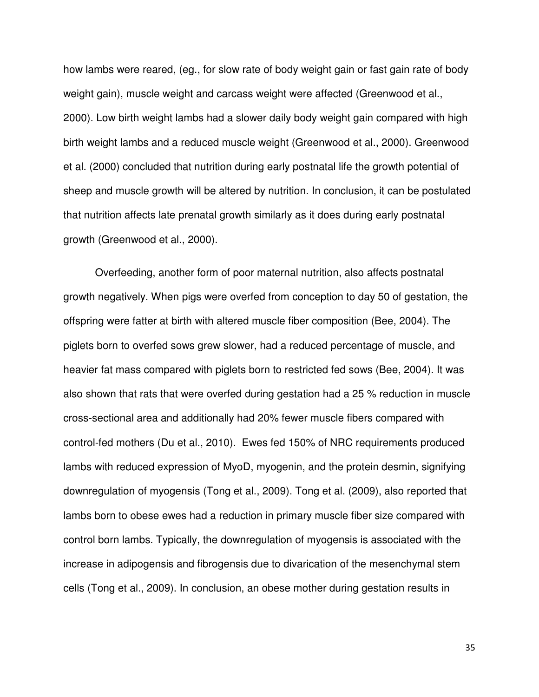how lambs were reared, (eg., for slow rate of body weight gain or fast gain rate of body weight gain), muscle weight and carcass weight were affected (Greenwood et al., 2000). Low birth weight lambs had a slower daily body weight gain compared with high birth weight lambs and a reduced muscle weight (Greenwood et al., 2000). Greenwood et al. (2000) concluded that nutrition during early postnatal life the growth potential of sheep and muscle growth will be altered by nutrition. In conclusion, it can be postulated that nutrition affects late prenatal growth similarly as it does during early postnatal growth (Greenwood et al., 2000).

Overfeeding, another form of poor maternal nutrition, also affects postnatal growth negatively. When pigs were overfed from conception to day 50 of gestation, the offspring were fatter at birth with altered muscle fiber composition (Bee, 2004). The piglets born to overfed sows grew slower, had a reduced percentage of muscle, and heavier fat mass compared with piglets born to restricted fed sows (Bee, 2004). It was also shown that rats that were overfed during gestation had a 25 % reduction in muscle cross-sectional area and additionally had 20% fewer muscle fibers compared with control-fed mothers (Du et al., 2010). Ewes fed 150% of NRC requirements produced lambs with reduced expression of MyoD, myogenin, and the protein desmin, signifying downregulation of myogensis (Tong et al., 2009). Tong et al. (2009), also reported that lambs born to obese ewes had a reduction in primary muscle fiber size compared with control born lambs. Typically, the downregulation of myogensis is associated with the increase in adipogensis and fibrogensis due to divarication of the mesenchymal stem cells (Tong et al., 2009). In conclusion, an obese mother during gestation results in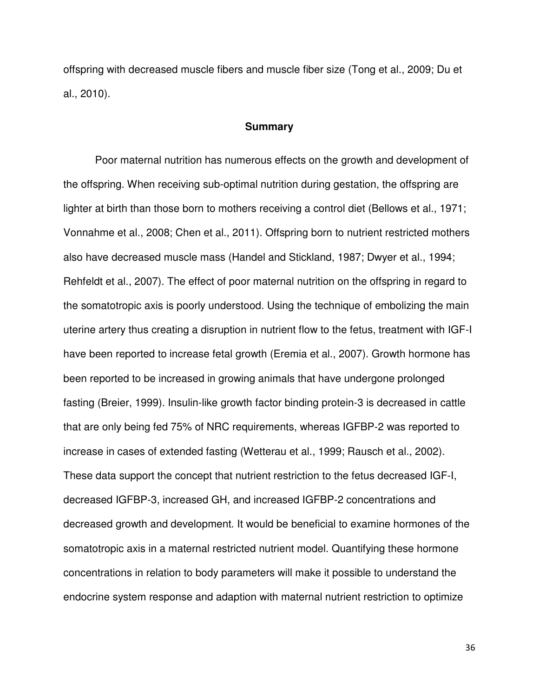offspring with decreased muscle fibers and muscle fiber size (Tong et al., 2009; Du et al., 2010).

## **Summary**

Poor maternal nutrition has numerous effects on the growth and development of the offspring. When receiving sub-optimal nutrition during gestation, the offspring are lighter at birth than those born to mothers receiving a control diet (Bellows et al., 1971; Vonnahme et al., 2008; Chen et al., 2011). Offspring born to nutrient restricted mothers also have decreased muscle mass (Handel and Stickland, 1987; Dwyer et al., 1994; Rehfeldt et al., 2007). The effect of poor maternal nutrition on the offspring in regard to the somatotropic axis is poorly understood. Using the technique of embolizing the main uterine artery thus creating a disruption in nutrient flow to the fetus, treatment with IGF-I have been reported to increase fetal growth (Eremia et al., 2007). Growth hormone has been reported to be increased in growing animals that have undergone prolonged fasting (Breier, 1999). Insulin-like growth factor binding protein-3 is decreased in cattle that are only being fed 75% of NRC requirements, whereas IGFBP-2 was reported to increase in cases of extended fasting (Wetterau et al., 1999; Rausch et al., 2002). These data support the concept that nutrient restriction to the fetus decreased IGF-I, decreased IGFBP-3, increased GH, and increased IGFBP-2 concentrations and decreased growth and development. It would be beneficial to examine hormones of the somatotropic axis in a maternal restricted nutrient model. Quantifying these hormone concentrations in relation to body parameters will make it possible to understand the endocrine system response and adaption with maternal nutrient restriction to optimize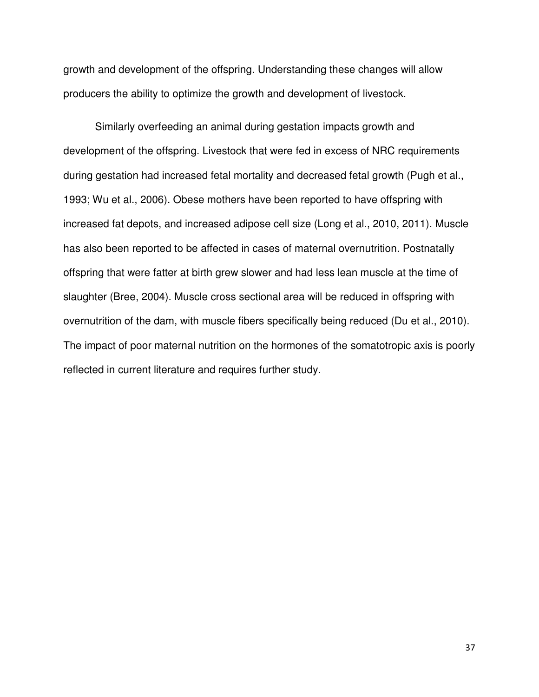growth and development of the offspring. Understanding these changes will allow producers the ability to optimize the growth and development of livestock.

 Similarly overfeeding an animal during gestation impacts growth and development of the offspring. Livestock that were fed in excess of NRC requirements during gestation had increased fetal mortality and decreased fetal growth (Pugh et al., 1993; Wu et al., 2006). Obese mothers have been reported to have offspring with increased fat depots, and increased adipose cell size (Long et al., 2010, 2011). Muscle has also been reported to be affected in cases of maternal overnutrition. Postnatally offspring that were fatter at birth grew slower and had less lean muscle at the time of slaughter (Bree, 2004). Muscle cross sectional area will be reduced in offspring with overnutrition of the dam, with muscle fibers specifically being reduced (Du et al., 2010). The impact of poor maternal nutrition on the hormones of the somatotropic axis is poorly reflected in current literature and requires further study.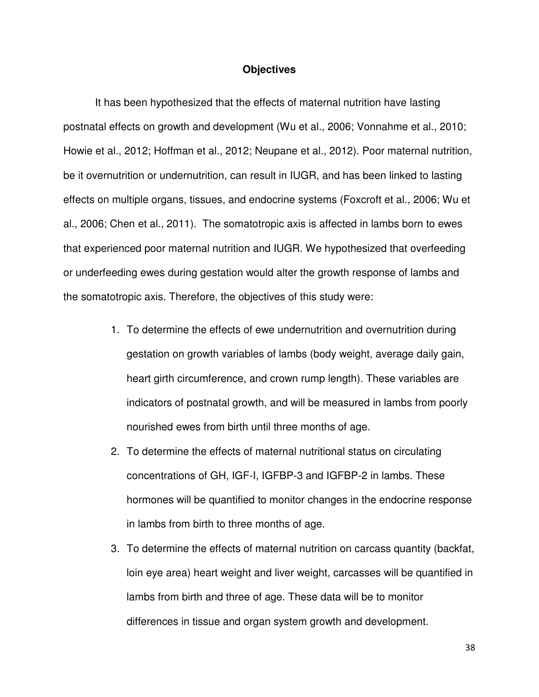#### **Objectives**

 It has been hypothesized that the effects of maternal nutrition have lasting postnatal effects on growth and development (Wu et al., 2006; Vonnahme et al., 2010; Howie et al., 2012; Hoffman et al., 2012; Neupane et al., 2012). Poor maternal nutrition, be it overnutrition or undernutrition, can result in IUGR, and has been linked to lasting effects on multiple organs, tissues, and endocrine systems (Foxcroft et al., 2006; Wu et al., 2006; Chen et al., 2011). The somatotropic axis is affected in lambs born to ewes that experienced poor maternal nutrition and IUGR. We hypothesized that overfeeding or underfeeding ewes during gestation would alter the growth response of lambs and the somatotropic axis. Therefore, the objectives of this study were:

- 1. To determine the effects of ewe undernutrition and overnutrition during gestation on growth variables of lambs (body weight, average daily gain, heart girth circumference, and crown rump length). These variables are indicators of postnatal growth, and will be measured in lambs from poorly nourished ewes from birth until three months of age.
- 2. To determine the effects of maternal nutritional status on circulating concentrations of GH, IGF-I, IGFBP-3 and IGFBP-2 in lambs. These hormones will be quantified to monitor changes in the endocrine response in lambs from birth to three months of age.
- 3. To determine the effects of maternal nutrition on carcass quantity (backfat, loin eye area) heart weight and liver weight, carcasses will be quantified in lambs from birth and three of age. These data will be to monitor differences in tissue and organ system growth and development.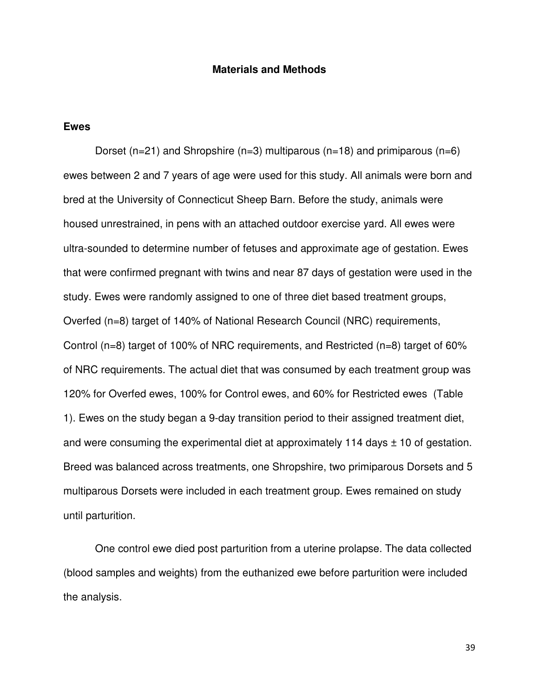### **Materials and Methods**

#### **Ewes**

Dorset (n=21) and Shropshire (n=3) multiparous (n=18) and primiparous (n=6) ewes between 2 and 7 years of age were used for this study. All animals were born and bred at the University of Connecticut Sheep Barn. Before the study, animals were housed unrestrained, in pens with an attached outdoor exercise yard. All ewes were ultra-sounded to determine number of fetuses and approximate age of gestation. Ewes that were confirmed pregnant with twins and near 87 days of gestation were used in the study. Ewes were randomly assigned to one of three diet based treatment groups, Overfed (n=8) target of 140% of National Research Council (NRC) requirements, Control (n=8) target of 100% of NRC requirements, and Restricted (n=8) target of 60% of NRC requirements. The actual diet that was consumed by each treatment group was 120% for Overfed ewes, 100% for Control ewes, and 60% for Restricted ewes (Table 1). Ewes on the study began a 9-day transition period to their assigned treatment diet, and were consuming the experimental diet at approximately 114 days  $\pm$  10 of gestation. Breed was balanced across treatments, one Shropshire, two primiparous Dorsets and 5 multiparous Dorsets were included in each treatment group. Ewes remained on study until parturition.

One control ewe died post parturition from a uterine prolapse. The data collected (blood samples and weights) from the euthanized ewe before parturition were included the analysis.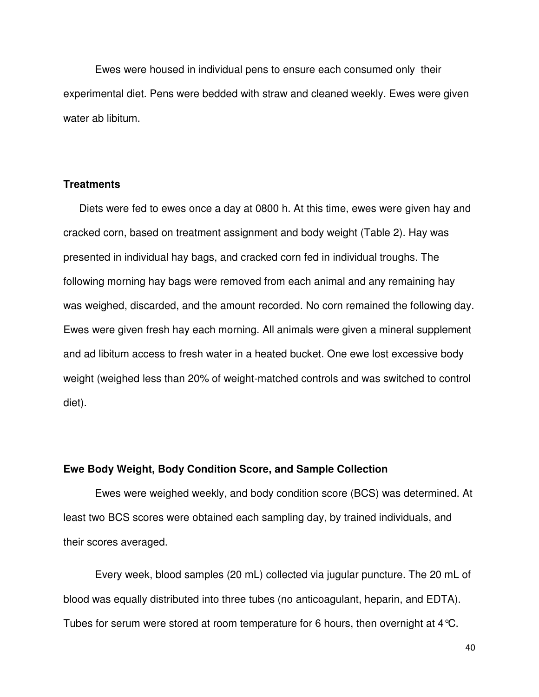Ewes were housed in individual pens to ensure each consumed only their experimental diet. Pens were bedded with straw and cleaned weekly. Ewes were given water ab libitum.

### **Treatments**

Diets were fed to ewes once a day at 0800 h. At this time, ewes were given hay and cracked corn, based on treatment assignment and body weight (Table 2). Hay was presented in individual hay bags, and cracked corn fed in individual troughs. The following morning hay bags were removed from each animal and any remaining hay was weighed, discarded, and the amount recorded. No corn remained the following day. Ewes were given fresh hay each morning. All animals were given a mineral supplement and ad libitum access to fresh water in a heated bucket. One ewe lost excessive body weight (weighed less than 20% of weight-matched controls and was switched to control diet).

#### **Ewe Body Weight, Body Condition Score, and Sample Collection**

Ewes were weighed weekly, and body condition score (BCS) was determined. At least two BCS scores were obtained each sampling day, by trained individuals, and their scores averaged.

Every week, blood samples (20 mL) collected via jugular puncture. The 20 mL of blood was equally distributed into three tubes (no anticoagulant, heparin, and EDTA). Tubes for serum were stored at room temperature for 6 hours, then overnight at 4°C.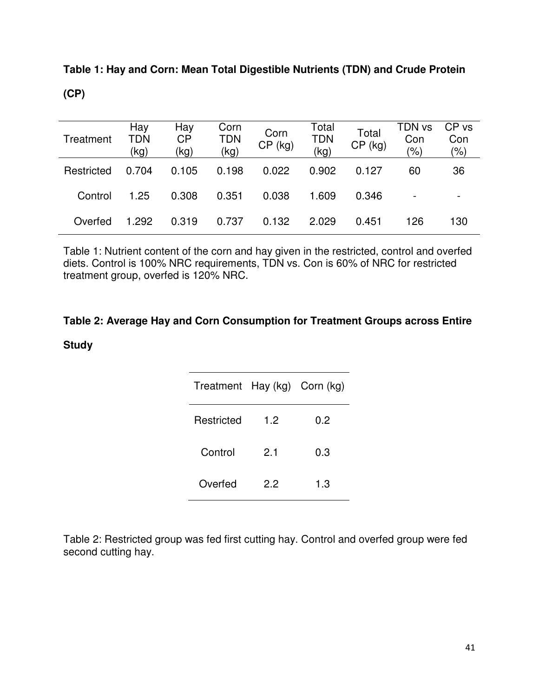| Treatment  | Hay<br>TDN<br>(kg) | Hay<br><b>CP</b><br>(kg) | Corn<br>TDN<br>(kg) | Corn<br>$CP$ (kg) | Total<br><b>TDN</b><br>(kg) | Total<br>$CP$ (kg) | TDN vs<br>Con<br>$(\% )$ | CP vs<br>Con<br>$\frac{1}{2}$ |
|------------|--------------------|--------------------------|---------------------|-------------------|-----------------------------|--------------------|--------------------------|-------------------------------|
| Restricted | 0.704              | 0.105                    | 0.198               | 0.022             | 0.902                       | 0.127              | 60                       | 36                            |
| Control    | 1.25               | 0.308                    | 0.351               | 0.038             | 1.609                       | 0.346              | $\overline{\phantom{a}}$ |                               |
| Overfed    | 1.292              | 0.319                    | 0.737               | 0.132             | 2.029                       | 0.451              | 126                      | 130                           |

**Table 1: Hay and Corn: Mean Total Digestible Nutrients (TDN) and Crude Protein (CP)**

Table 1: Nutrient content of the corn and hay given in the restricted, control and overfed diets. Control is 100% NRC requirements, TDN vs. Con is 60% of NRC for restricted treatment group, overfed is 120% NRC.

# **Table 2: Average Hay and Corn Consumption for Treatment Groups across Entire**

**Study** 

| Treatment Hay (kg) Corn (kg) |     |     |  |  |
|------------------------------|-----|-----|--|--|
| Restricted                   | 1.2 | 0.2 |  |  |
| Control                      | 2.1 | 0.3 |  |  |
| Overfed                      | 2.2 | 1.3 |  |  |

Table 2: Restricted group was fed first cutting hay. Control and overfed group were fed second cutting hay.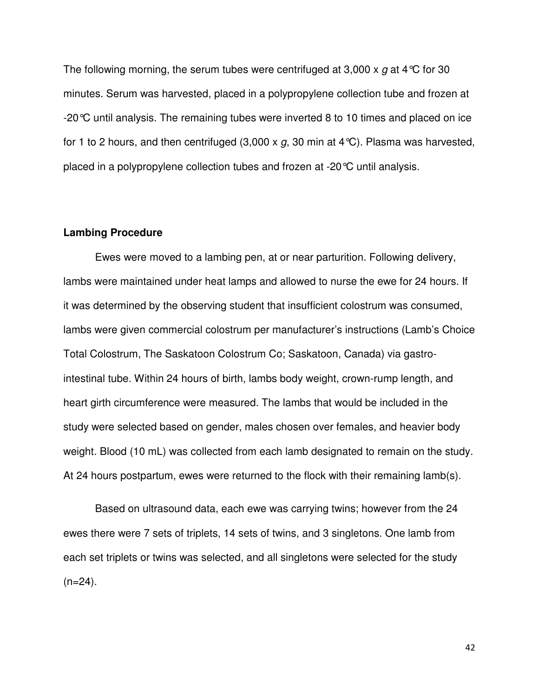The following morning, the serum tubes were centrifuged at 3,000 x g at 4 °C for 30 minutes. Serum was harvested, placed in a polypropylene collection tube and frozen at -20°C until analysis. The remaining tubes were inverted 8 to 10 times and placed on ice for 1 to 2 hours, and then centrifuged (3,000 x g, 30 min at 4 °C). Plasma was harvested, placed in a polypropylene collection tubes and frozen at -20°C until analysis.

### **Lambing Procedure**

Ewes were moved to a lambing pen, at or near parturition. Following delivery, lambs were maintained under heat lamps and allowed to nurse the ewe for 24 hours. If it was determined by the observing student that insufficient colostrum was consumed, lambs were given commercial colostrum per manufacturer's instructions (Lamb's Choice Total Colostrum, The Saskatoon Colostrum Co; Saskatoon, Canada) via gastrointestinal tube. Within 24 hours of birth, lambs body weight, crown-rump length, and heart girth circumference were measured. The lambs that would be included in the study were selected based on gender, males chosen over females, and heavier body weight. Blood (10 mL) was collected from each lamb designated to remain on the study. At 24 hours postpartum, ewes were returned to the flock with their remaining lamb(s).

Based on ultrasound data, each ewe was carrying twins; however from the 24 ewes there were 7 sets of triplets, 14 sets of twins, and 3 singletons. One lamb from each set triplets or twins was selected, and all singletons were selected for the study  $(n=24)$ .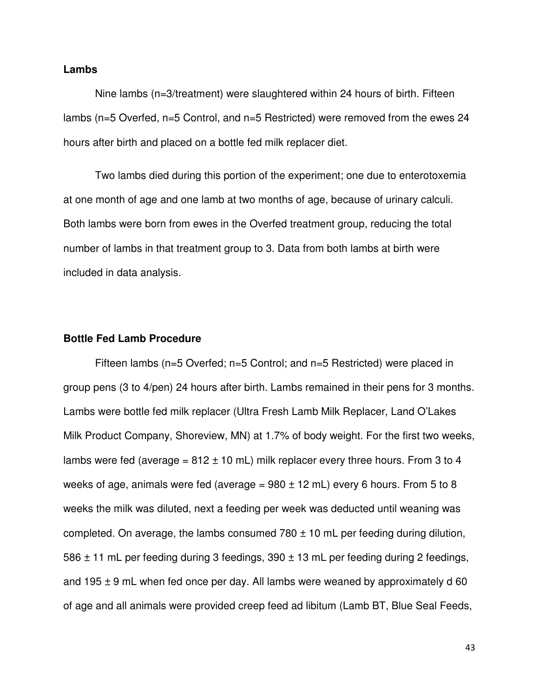### **Lambs**

Nine lambs (n=3/treatment) were slaughtered within 24 hours of birth. Fifteen lambs (n=5 Overfed, n=5 Control, and n=5 Restricted) were removed from the ewes 24 hours after birth and placed on a bottle fed milk replacer diet.

Two lambs died during this portion of the experiment; one due to enterotoxemia at one month of age and one lamb at two months of age, because of urinary calculi. Both lambs were born from ewes in the Overfed treatment group, reducing the total number of lambs in that treatment group to 3. Data from both lambs at birth were included in data analysis.

## **Bottle Fed Lamb Procedure**

Fifteen lambs (n=5 Overfed; n=5 Control; and n=5 Restricted) were placed in group pens (3 to 4/pen) 24 hours after birth. Lambs remained in their pens for 3 months. Lambs were bottle fed milk replacer (Ultra Fresh Lamb Milk Replacer, Land O'Lakes Milk Product Company, Shoreview, MN) at 1.7% of body weight. For the first two weeks, lambs were fed (average =  $812 \pm 10$  mL) milk replacer every three hours. From 3 to 4 weeks of age, animals were fed (average =  $980 \pm 12$  mL) every 6 hours. From 5 to 8 weeks the milk was diluted, next a feeding per week was deducted until weaning was completed. On average, the lambs consumed  $780 \pm 10$  mL per feeding during dilution, 586  $\pm$  11 mL per feeding during 3 feedings, 390  $\pm$  13 mL per feeding during 2 feedings, and 195  $\pm$  9 mL when fed once per day. All lambs were weaned by approximately d 60 of age and all animals were provided creep feed ad libitum (Lamb BT, Blue Seal Feeds,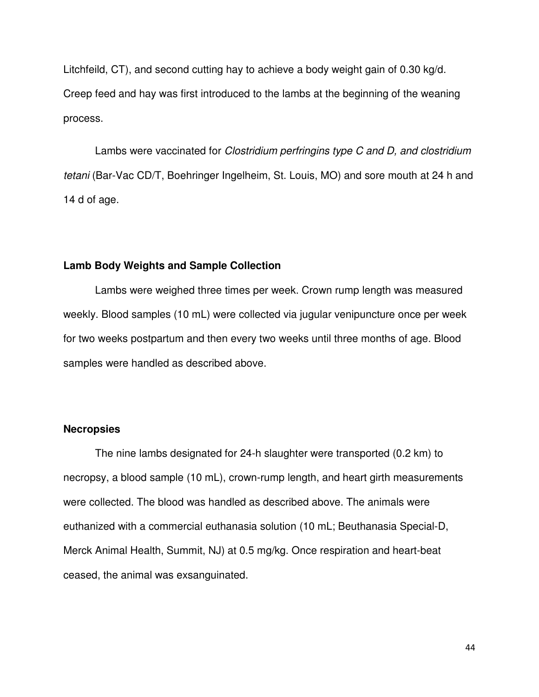Litchfeild, CT), and second cutting hay to achieve a body weight gain of 0.30 kg/d. Creep feed and hay was first introduced to the lambs at the beginning of the weaning process.

Lambs were vaccinated for *Clostridium perfringins type C and D, and clostridium* tetani (Bar-Vac CD/T, Boehringer Ingelheim, St. Louis, MO) and sore mouth at 24 h and 14 d of age.

#### **Lamb Body Weights and Sample Collection**

Lambs were weighed three times per week. Crown rump length was measured weekly. Blood samples (10 mL) were collected via jugular venipuncture once per week for two weeks postpartum and then every two weeks until three months of age. Blood samples were handled as described above.

#### **Necropsies**

The nine lambs designated for 24-h slaughter were transported (0.2 km) to necropsy, a blood sample (10 mL), crown-rump length, and heart girth measurements were collected. The blood was handled as described above. The animals were euthanized with a commercial euthanasia solution (10 mL; Beuthanasia Special-D, Merck Animal Health, Summit, NJ) at 0.5 mg/kg. Once respiration and heart-beat ceased, the animal was exsanguinated.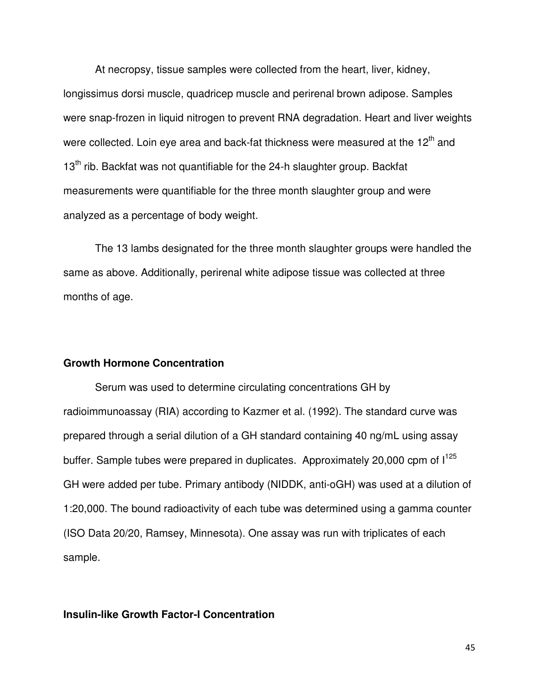At necropsy, tissue samples were collected from the heart, liver, kidney, longissimus dorsi muscle, quadricep muscle and perirenal brown adipose. Samples were snap-frozen in liquid nitrogen to prevent RNA degradation. Heart and liver weights were collected. Loin eye area and back-fat thickness were measured at the 12<sup>th</sup> and  $13<sup>th</sup>$  rib. Backfat was not quantifiable for the 24-h slaughter group. Backfat measurements were quantifiable for the three month slaughter group and were analyzed as a percentage of body weight.

The 13 lambs designated for the three month slaughter groups were handled the same as above. Additionally, perirenal white adipose tissue was collected at three months of age.

### **Growth Hormone Concentration**

Serum was used to determine circulating concentrations GH by radioimmunoassay (RIA) according to Kazmer et al. (1992). The standard curve was prepared through a serial dilution of a GH standard containing 40 ng/mL using assay buffer. Sample tubes were prepared in duplicates. Approximately 20,000 cpm of  $1^{125}$ GH were added per tube. Primary antibody (NIDDK, anti-oGH) was used at a dilution of 1:20,000. The bound radioactivity of each tube was determined using a gamma counter (ISO Data 20/20, Ramsey, Minnesota). One assay was run with triplicates of each sample.

## **Insulin-like Growth Factor-I Concentration**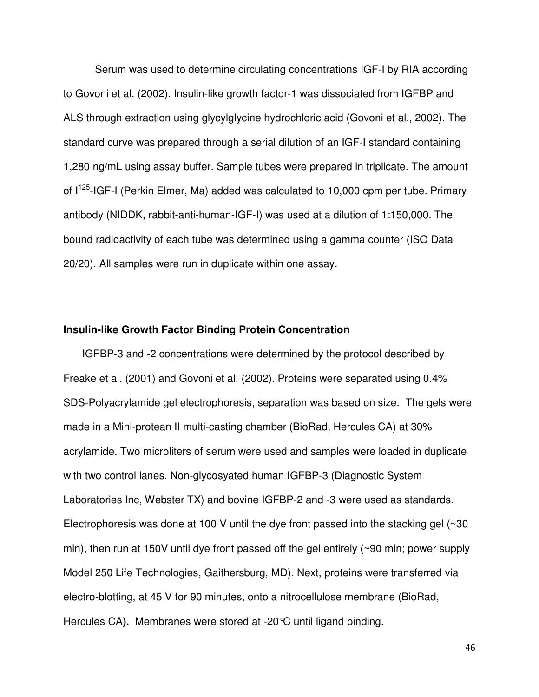Serum was used to determine circulating concentrations IGF-I by RIA according to Govoni et al. (2002). Insulin-like growth factor-1 was dissociated from IGFBP and ALS through extraction using glycylglycine hydrochloric acid (Govoni et al., 2002). The standard curve was prepared through a serial dilution of an IGF-I standard containing 1,280 ng/mL using assay buffer. Sample tubes were prepared in triplicate. The amount of I<sup>125</sup>-IGF-I (Perkin Elmer, Ma) added was calculated to 10,000 cpm per tube. Primary antibody (NIDDK, rabbit-anti-human-IGF-I) was used at a dilution of 1:150,000. The bound radioactivity of each tube was determined using a gamma counter (ISO Data 20/20). All samples were run in duplicate within one assay.

#### **Insulin-like Growth Factor Binding Protein Concentration**

 IGFBP-3 and -2 concentrations were determined by the protocol described by Freake et al. (2001) and Govoni et al. (2002). Proteins were separated using 0.4% SDS-Polyacrylamide gel electrophoresis, separation was based on size. The gels were made in a Mini-protean II multi-casting chamber (BioRad, Hercules CA) at 30% acrylamide. Two microliters of serum were used and samples were loaded in duplicate with two control lanes. Non-glycosyated human IGFBP-3 (Diagnostic System Laboratories Inc, Webster TX) and bovine IGFBP-2 and -3 were used as standards. Electrophoresis was done at 100 V until the dye front passed into the stacking gel  $(\sim]30$ min), then run at 150V until dye front passed off the gel entirely (~90 min; power supply Model 250 Life Technologies, Gaithersburg, MD). Next, proteins were transferred via electro-blotting, at 45 V for 90 minutes, onto a nitrocellulose membrane (BioRad, Hercules CA**).** Membranes were stored at -20°C until ligand binding.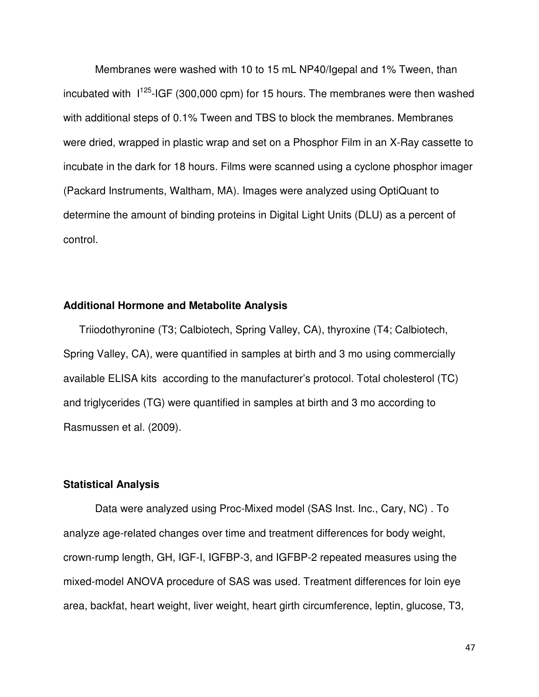Membranes were washed with 10 to 15 mL NP40/Igepal and 1% Tween, than incubated with  $1^{125}$ -IGF (300,000 cpm) for 15 hours. The membranes were then washed with additional steps of 0.1% Tween and TBS to block the membranes. Membranes were dried, wrapped in plastic wrap and set on a Phosphor Film in an X-Ray cassette to incubate in the dark for 18 hours. Films were scanned using a cyclone phosphor imager (Packard Instruments, Waltham, MA). Images were analyzed using OptiQuant to determine the amount of binding proteins in Digital Light Units (DLU) as a percent of control.

### **Additional Hormone and Metabolite Analysis**

Triiodothyronine (T3; Calbiotech, Spring Valley, CA), thyroxine (T4; Calbiotech, Spring Valley, CA), were quantified in samples at birth and 3 mo using commercially available ELISA kits according to the manufacturer's protocol. Total cholesterol (TC) and triglycerides (TG) were quantified in samples at birth and 3 mo according to Rasmussen et al. (2009).

### **Statistical Analysis**

Data were analyzed using Proc-Mixed model (SAS Inst. Inc., Cary, NC) . To analyze age-related changes over time and treatment differences for body weight, crown-rump length, GH, IGF-I, IGFBP-3, and IGFBP-2 repeated measures using the mixed-model ANOVA procedure of SAS was used. Treatment differences for loin eye area, backfat, heart weight, liver weight, heart girth circumference, leptin, glucose, T3,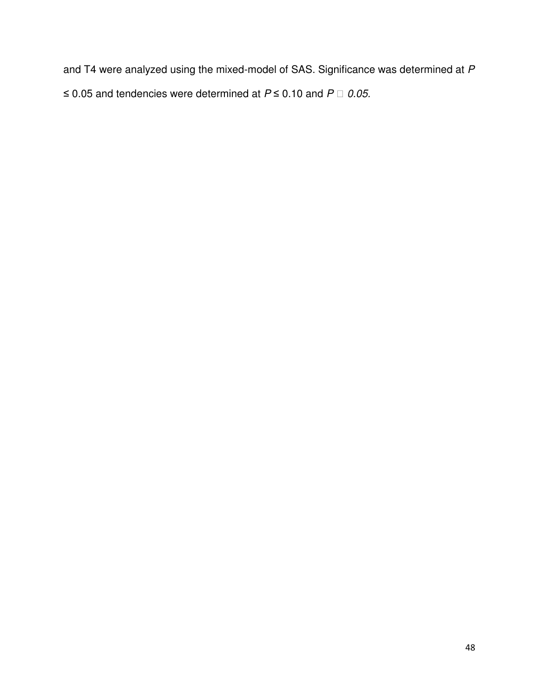and T4 were analyzed using the mixed-model of SAS. Significance was determined at P ≤ 0.05 and tendencies were determined at  $P$  ≤ 0.10 and  $P$  0.05.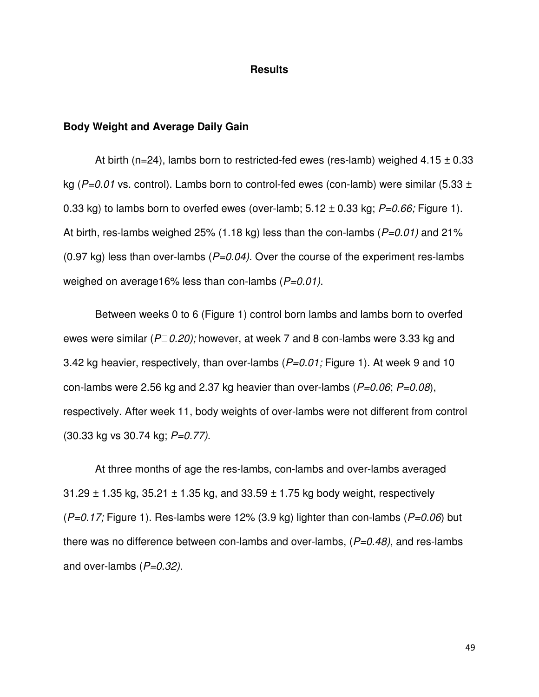### **Results**

### **Body Weight and Average Daily Gain**

At birth (n=24), lambs born to restricted-fed ewes (res-lamb) weighed  $4.15 \pm 0.33$ kg ( $P=0.01$  vs. control). Lambs born to control-fed ewes (con-lamb) were similar (5.33  $\pm$ 0.33 kg) to lambs born to overfed ewes (over-lamb;  $5.12 \pm 0.33$  kg;  $P=0.66$ ; Figure 1). At birth, res-lambs weighed 25% (1.18 kg) less than the con-lambs  $(P=0.01)$  and 21% (0.97 kg) less than over-lambs ( $P=0.04$ ). Over the course of the experiment res-lambs weighed on average16% less than con-lambs  $(P=0.01)$ .

Between weeks 0 to 6 (Figure 1) control born lambs and lambs born to overfed ewes were similar ( $P$  0.20); however, at week 7 and 8 con-lambs were 3.33 kg and 3.42 kg heavier, respectively, than over-lambs  $(P=0.01)$ ; Figure 1). At week 9 and 10 con-lambs were 2.56 kg and 2.37 kg heavier than over-lambs ( $P=0.06$ ;  $P=0.08$ ), respectively. After week 11, body weights of over-lambs were not different from control (30.33 kg vs 30.74 kg; P=0.77).

At three months of age the res-lambs, con-lambs and over-lambs averaged  $31.29 \pm 1.35$  kg,  $35.21 \pm 1.35$  kg, and  $33.59 \pm 1.75$  kg body weight, respectively  $(P=0.17;$  Figure 1). Res-lambs were 12% (3.9 kg) lighter than con-lambs ( $P=0.06$ ) but there was no difference between con-lambs and over-lambs,  $(P=0.48)$ , and res-lambs and over-lambs  $(P=0.32)$ .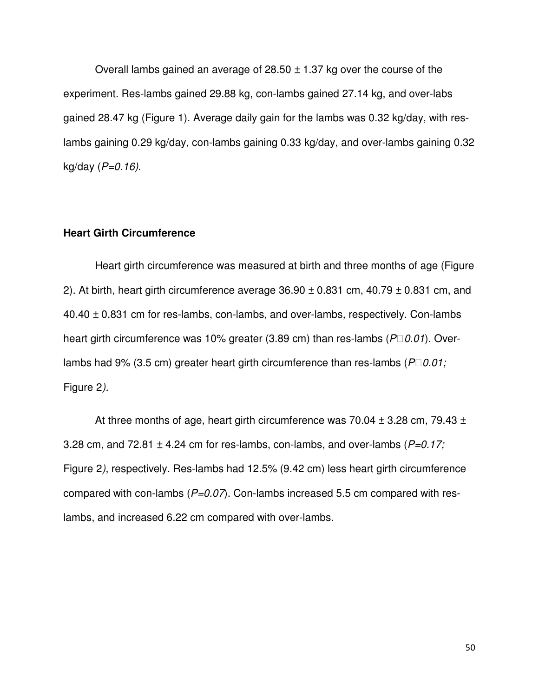Overall lambs gained an average of  $28.50 \pm 1.37$  kg over the course of the experiment. Res-lambs gained 29.88 kg, con-lambs gained 27.14 kg, and over-labs gained 28.47 kg (Figure 1). Average daily gain for the lambs was 0.32 kg/day, with reslambs gaining 0.29 kg/day, con-lambs gaining 0.33 kg/day, and over-lambs gaining 0.32  $kg/day (P=0.16).$ 

### **Heart Girth Circumference**

Heart girth circumference was measured at birth and three months of age (Figure 2). At birth, heart girth circumference average  $36.90 \pm 0.831$  cm,  $40.79 \pm 0.831$  cm, and 40.40 ± 0.831 cm for res-lambs, con-lambs, and over-lambs, respectively. Con-lambs heart girth circumference was 10% greater (3.89 cm) than res-lambs ( $P$  0.01). Overlambs had 9% (3.5 cm) greater heart girth circumference than res-lambs ( $P$  0.01; Figure 2).

At three months of age, heart girth circumference was 70.04  $\pm$  3.28 cm, 79.43  $\pm$ 3.28 cm, and 72.81  $\pm$  4.24 cm for res-lambs, con-lambs, and over-lambs ( $P=0.17$ ; Figure 2), respectively. Res-lambs had 12.5% (9.42 cm) less heart girth circumference compared with con-lambs  $(P=0.07)$ . Con-lambs increased 5.5 cm compared with reslambs, and increased 6.22 cm compared with over-lambs.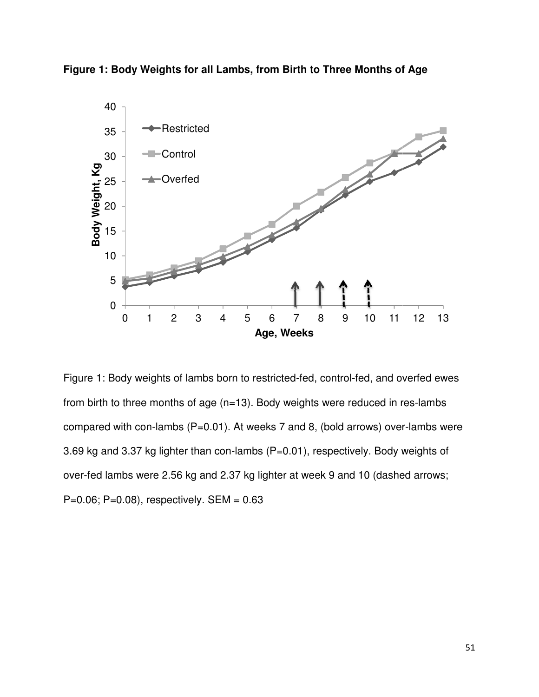



Figure 1: Body weights of lambs born to restricted-fed, control-fed, and overfed ewes Figure 1: Body weights of lambs born to restricted-fed, control-fed, and overfed ew<br>from birth to three months of age (n=13). Body weights were reduced in res-lambs from birth to three months of age (n=13). Body weights were reduced in res-lambs<br>compared with con-lambs (P=0.01). At weeks 7 and 8, (bold arrows) over-lambs were 3.69 kg and 3.37 kg lighter than con-lambs (P=0.01), respectively. Body weights of over-fed lambs were 2.56 kg and 2.37 kg lighter at week 9 and 10 (dashed arrows;  $P=0.06$ ;  $P=0.08$ ), respectively. SEM =  $0.63$ 0 1 2 3 4 5 6 7 8 9 10 11<br> **Age, Weeks**<br>
e 1: Body weights of lambs born to restricted-fed, control-fed, and c<br>
birth to three months of age (n=13). Body weights were reduced in<br>
pared with con-lambs (P=0.01). At weeks 7 0 1 2 3 4 5 6 7 8 9 10 11 12 13<br> **Age, Weeks**<br>
e 1: Body weights of lambs born to restricted-fed, control-fed, and overfed ew<br>
birth to three months of age (n=13). Body weights were reduced in res-lambs<br>
bared with con-la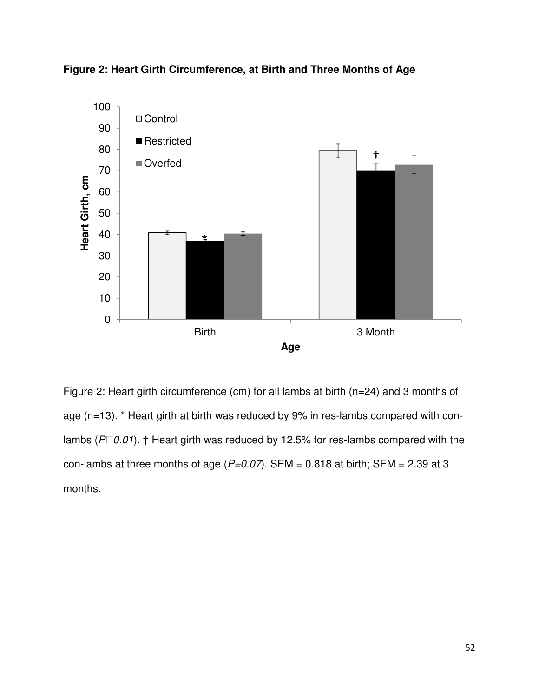



Figure 2: Heart girth circumference (cm) for all lambs at birth (n=24) and 3 months of age (n=13). \* Heart girth at birth was reduced by 9% in res-lambs compared with conlambs ( $P$  0.01). † Heart girth was reduced by 12.5% for res-lambs compared with the con-lambs at three months of age ( $P=0.07$ ). SEM = 0.818 at birth; SEM = 2.39 at 3 months.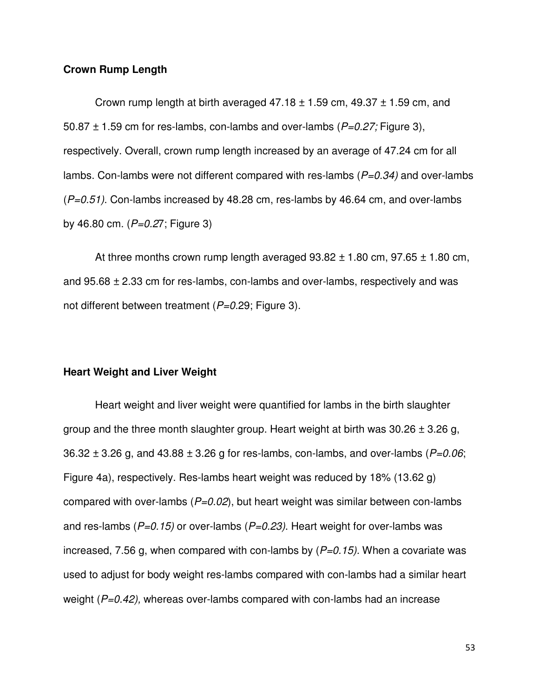# **Crown Rump Length**

Crown rump length at birth averaged  $47.18 \pm 1.59$  cm,  $49.37 \pm 1.59$  cm, and 50.87  $\pm$  1.59 cm for res-lambs, con-lambs and over-lambs ( $P=0.27$ ; Figure 3), respectively. Overall, crown rump length increased by an average of 47.24 cm for all lambs. Con-lambs were not different compared with res-lambs  $(P=0.34)$  and over-lambs  $(P=0.51)$ . Con-lambs increased by 48.28 cm, res-lambs by 46.64 cm, and over-lambs by 46.80 cm.  $(P=0.27;$  Figure 3)

At three months crown rump length averaged  $93.82 \pm 1.80$  cm,  $97.65 \pm 1.80$  cm, and  $95.68 \pm 2.33$  cm for res-lambs, con-lambs and over-lambs, respectively and was not different between treatment ( $P=0.29$ ; Figure 3).

#### **Heart Weight and Liver Weight**

Heart weight and liver weight were quantified for lambs in the birth slaughter group and the three month slaughter group. Heart weight at birth was  $30.26 \pm 3.26$  g, 36.32  $\pm$  3.26 g, and 43.88  $\pm$  3.26 g for res-lambs, con-lambs, and over-lambs (P=0.06; Figure 4a), respectively. Res-lambs heart weight was reduced by 18% (13.62 g) compared with over-lambs ( $P=0.02$ ), but heart weight was similar between con-lambs and res-lambs ( $P=0.15$ ) or over-lambs ( $P=0.23$ ). Heart weight for over-lambs was increased, 7.56 g, when compared with con-lambs by  $(P=0.15)$ . When a covariate was used to adjust for body weight res-lambs compared with con-lambs had a similar heart weight ( $P=0.42$ ), whereas over-lambs compared with con-lambs had an increase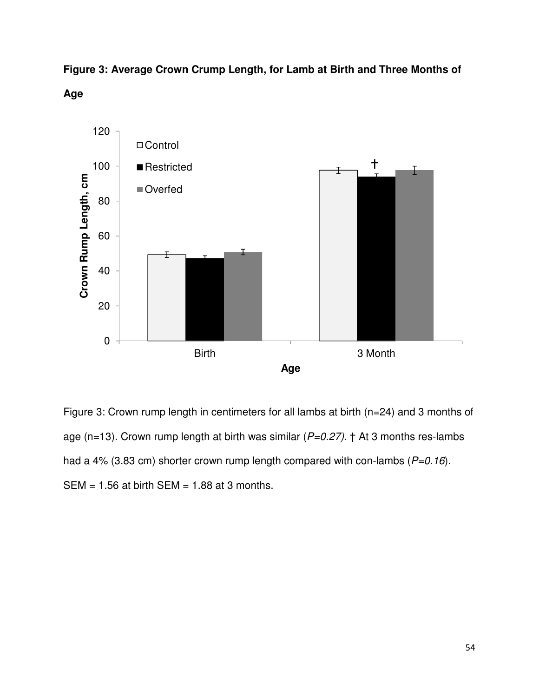**Figure 3: Average Crown Crump Length, for Lamb at Birth and Three Months of Age** 



Figure 3: Crown rump length in centimeters for all lambs at birth (n=24) and 3 months of age (n=13). Crown rump length at birth was similar ( $P=0.27$ ). † At 3 months res-lambs had a 4% (3.83 cm) shorter crown rump length compared with con-lambs ( $P=0.16$ ).  $SEM = 1.56$  at birth SEM = 1.88 at 3 months.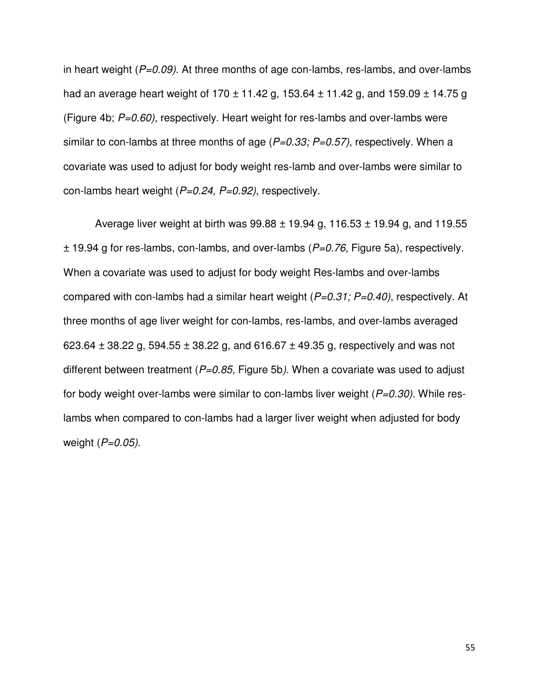in heart weight ( $P=0.09$ ). At three months of age con-lambs, res-lambs, and over-lambs had an average heart weight of 170  $\pm$  11.42 g, 153.64  $\pm$  11.42 g, and 159.09  $\pm$  14.75 g (Figure 4b;  $P=0.60$ ), respectively. Heart weight for res-lambs and over-lambs were similar to con-lambs at three months of age  $(P=0.33; P=0.57)$ , respectively. When a covariate was used to adjust for body weight res-lamb and over-lambs were similar to con-lambs heart weight  $(P=0.24, P=0.92)$ , respectively.

Average liver weight at birth was  $99.88 \pm 19.94$  g, 116.53  $\pm$  19.94 g, and 119.55  $\pm$  19.94 g for res-lambs, con-lambs, and over-lambs ( $P=0.76$ , Figure 5a), respectively. When a covariate was used to adjust for body weight Res-lambs and over-lambs compared with con-lambs had a similar heart weight  $(P=0.31; P=0.40)$ , respectively. At three months of age liver weight for con-lambs, res-lambs, and over-lambs averaged 623.64  $\pm$  38.22 g, 594.55  $\pm$  38.22 g, and 616.67  $\pm$  49.35 g, respectively and was not different between treatment ( $P=0.85$ , Figure 5b). When a covariate was used to adjust for body weight over-lambs were similar to con-lambs liver weight  $(P=0.30)$ . While reslambs when compared to con-lambs had a larger liver weight when adjusted for body weight  $(P=0.05)$ .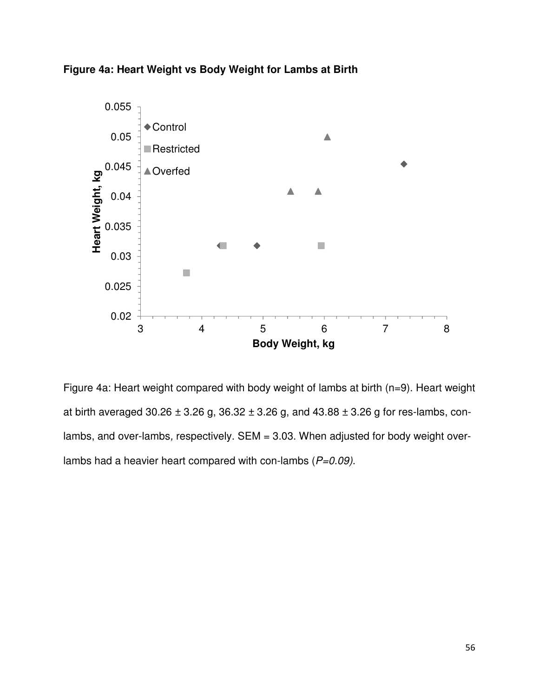



Figure 4a: Heart weight compared with body weight of lambs at birth (n=9). Heart weight at birth averaged 30.26  $\pm$  3.26 g, 36.32  $\pm$  3.26 g, and 43.88  $\pm$  3.26 g for res-lambs, conlambs, and over-lambs, respectively. SEM = 3.03. When adjusted for body weight overlambs had a heavier heart compared with con-lambs  $(P=0.09)$ .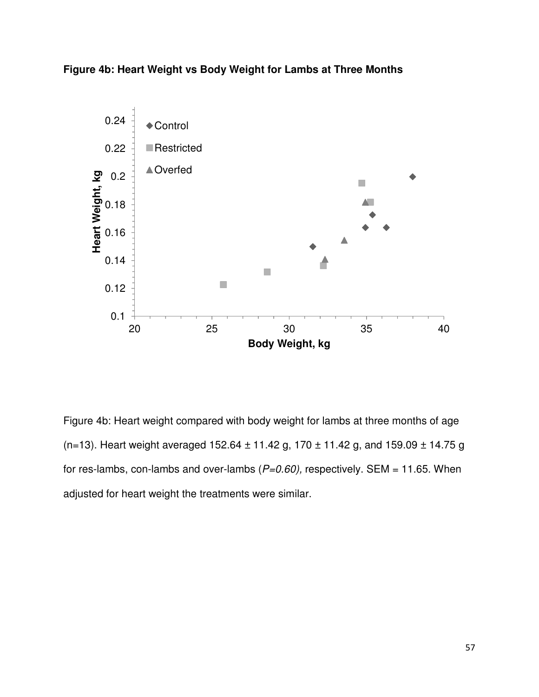**Figure 4b: Heart Weight vs Body Weight for Lambs at Three Months** 



Figure 4b: Heart weight compared with body weight for lambs at three months of age (n=13). Heart weight averaged 152.64  $\pm$  11.42 g, 170  $\pm$  11.42 g, and 159.09  $\pm$  14.75 g for res-lambs, con-lambs and over-lambs ( $P=0.60$ ), respectively. SEM = 11.65. When adjusted for heart weight the treatments were similar.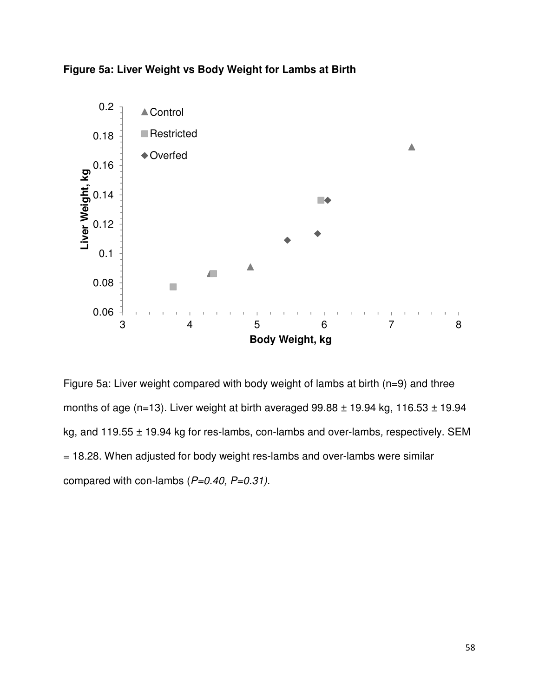



Figure 5a: Liver weight compared with body weight of lambs at birth (n=9) and three months of age (n=13). Liver weight at birth averaged  $99.88 \pm 19.94$  kg, 116.53  $\pm$  19.94 kg, and 119.55 ± 19.94 kg for res-lambs, con-lambs and over-lambs, respectively. SEM = 18.28. When adjusted for body weight res-lambs and over-lambs were similar compared with con-lambs  $(P=0.40, P=0.31)$ .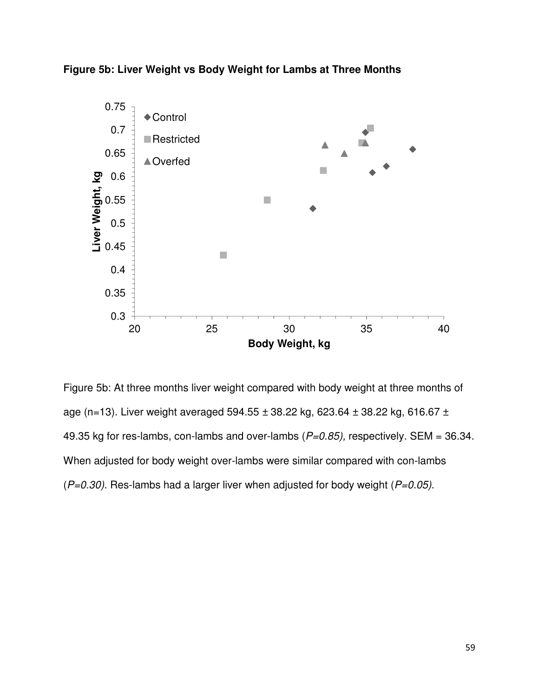



Figure 5b: At three months liver weight compared with body weight at three months of age (n=13). Liver weight averaged 594.55  $\pm$  38.22 kg, 623.64  $\pm$  38.22 kg, 616.67  $\pm$ 49.35 kg for res-lambs, con-lambs and over-lambs  $(P=0.85)$ , respectively. SEM = 36.34. When adjusted for body weight over-lambs were similar compared with con-lambs  $(P=0.30)$ . Res-lambs had a larger liver when adjusted for body weight ( $P=0.05$ ).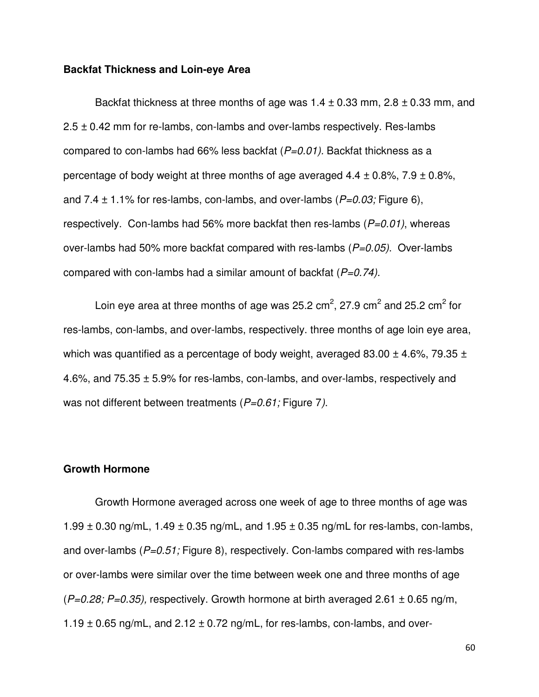#### **Backfat Thickness and Loin-eye Area**

Backfat thickness at three months of age was  $1.4 \pm 0.33$  mm,  $2.8 \pm 0.33$  mm, and  $2.5 \pm 0.42$  mm for re-lambs, con-lambs and over-lambs respectively. Res-lambs compared to con-lambs had 66% less backfat  $(P=0.01)$ . Backfat thickness as a percentage of body weight at three months of age averaged  $4.4 \pm 0.8\%$ ,  $7.9 \pm 0.8\%$ , and 7.4  $\pm$  1.1% for res-lambs, con-lambs, and over-lambs ( $P=0.03$ ; Figure 6), respectively. Con-lambs had 56% more backfat then res-lambs  $(P=0.01)$ , whereas over-lambs had 50% more backfat compared with res-lambs  $(P=0.05)$ . Over-lambs compared with con-lambs had a similar amount of backfat  $(P=0.74)$ .

Loin eye area at three months of age was 25.2 cm<sup>2</sup>, 27.9 cm<sup>2</sup> and 25.2 cm<sup>2</sup> for res-lambs, con-lambs, and over-lambs, respectively. three months of age loin eye area, which was quantified as a percentage of body weight, averaged  $83.00 \pm 4.6\%$ , 79.35  $\pm$ 4.6%, and 75.35 ± 5.9% for res-lambs, con-lambs, and over-lambs, respectively and was not different between treatments  $(P=0.61;$  Figure 7).

#### **Growth Hormone**

Growth Hormone averaged across one week of age to three months of age was 1.99  $\pm$  0.30 ng/mL, 1.49  $\pm$  0.35 ng/mL, and 1.95  $\pm$  0.35 ng/mL for res-lambs, con-lambs, and over-lambs ( $P=0.51$ ; Figure 8), respectively. Con-lambs compared with res-lambs or over-lambs were similar over the time between week one and three months of age  $(P=0.28; P=0.35)$ , respectively. Growth hormone at birth averaged 2.61  $\pm$  0.65 ng/m,  $1.19 \pm 0.65$  ng/mL, and  $2.12 \pm 0.72$  ng/mL, for res-lambs, con-lambs, and over-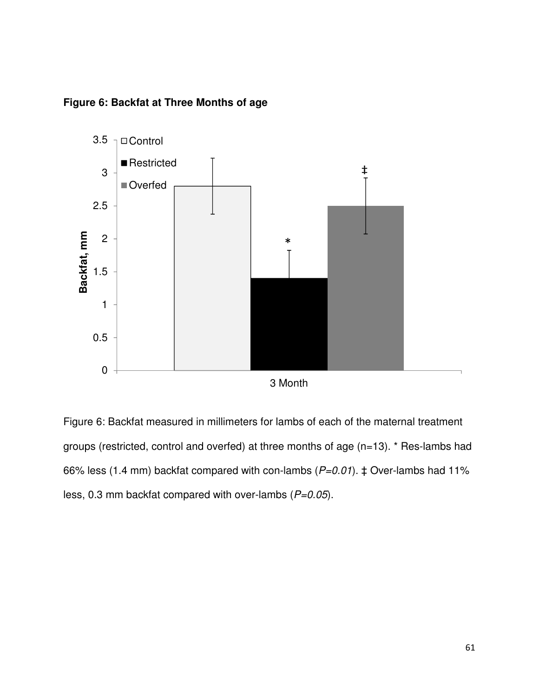

**Figure 6: Backfat at Three Months of age**

Figure 6: Backfat measured in millimeters for lambs of each of the maternal treatment groups (restricted, control and overfed) at three months of age (n=13). \* Res-lambs had 66% less (1.4 mm) backfat compared with con-lambs ( $P=0.01$ ).  $\ddagger$  Over-lambs had 11% less, 0.3 mm backfat compared with over-lambs  $(P=0.05)$ .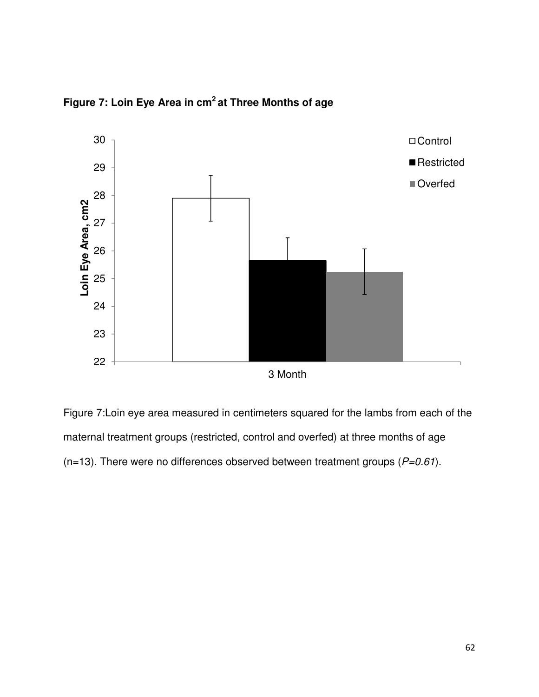

**Figure 7: Loin Eye Area in cm<sup>2</sup>at Three Months of age** 

Figure 7:Loin eye area measured in centimeters squared for the lambs from each of the maternal treatment groups (restricted, control and overfed) at three months of age (n=13). There were no differences observed between treatment groups ( $P=0.61$ ).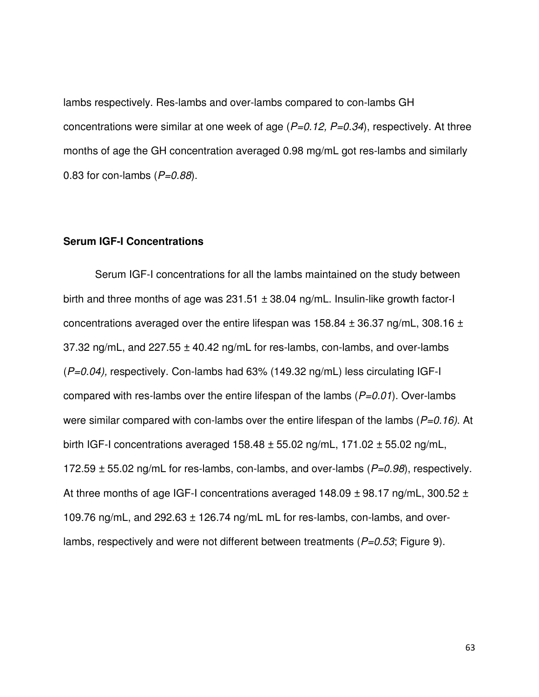lambs respectively. Res-lambs and over-lambs compared to con-lambs GH concentrations were similar at one week of age  $(P=0.12, P=0.34)$ , respectively. At three months of age the GH concentration averaged 0.98 mg/mL got res-lambs and similarly 0.83 for con-lambs  $(P=0.88)$ .

# **Serum IGF-I Concentrations**

Serum IGF-I concentrations for all the lambs maintained on the study between birth and three months of age was  $231.51 \pm 38.04$  ng/mL. Insulin-like growth factor-I concentrations averaged over the entire lifespan was  $158.84 \pm 36.37$  ng/mL, 308.16  $\pm$ 37.32 ng/mL, and  $227.55 \pm 40.42$  ng/mL for res-lambs, con-lambs, and over-lambs  $(P=0.04)$ , respectively. Con-lambs had 63% (149.32 ng/mL) less circulating IGF-I compared with res-lambs over the entire lifespan of the lambs  $(P=0.01)$ . Over-lambs were similar compared with con-lambs over the entire lifespan of the lambs ( $P=0.16$ ). At birth IGF-I concentrations averaged  $158.48 \pm 55.02$  ng/mL,  $171.02 \pm 55.02$  ng/mL, 172.59  $\pm$  55.02 ng/mL for res-lambs, con-lambs, and over-lambs ( $P=0.98$ ), respectively. At three months of age IGF-I concentrations averaged  $148.09 \pm 98.17$  ng/mL, 300.52  $\pm$ 109.76 ng/mL, and 292.63 ± 126.74 ng/mL mL for res-lambs, con-lambs, and overlambs, respectively and were not different between treatments ( $P=0.53$ ; Figure 9).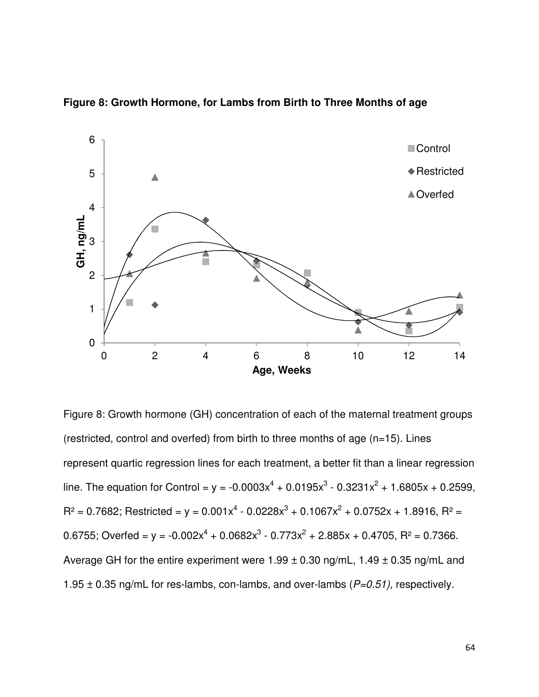

**Figure 8: Growth Hormone, for Lambs from Birth to Three Months of age** 

Figure 8: Growth hormone (GH) concentration of each of the maternal treatment groups (restricted, control and overfed) from birth to three months of age (n=15). Lines represent quartic regression lines for each treatment, a better fit than a linear regression line. The equation for Control =  $y = -0.0003x^{4} + 0.0195x^{3} - 0.3231x^{2} + 1.6805x + 0.2599$ ,  $R^2 = 0.7682$ ; Restricted = y =  $0.001x^4 - 0.0228x^3 + 0.1067x^2 + 0.0752x + 1.8916$ ,  $R^2 =$ 0.6755; Overfed = y = -0.002 $x^4$  + 0.0682 $x^3$  - 0.773 $x^2$  + 2.885x + 0.4705, R<sup>2</sup> = 0.7366. Average GH for the entire experiment were  $1.99 \pm 0.30$  ng/mL,  $1.49 \pm 0.35$  ng/mL and 1.95  $\pm$  0.35 ng/mL for res-lambs, con-lambs, and over-lambs ( $P=0.51$ ), respectively.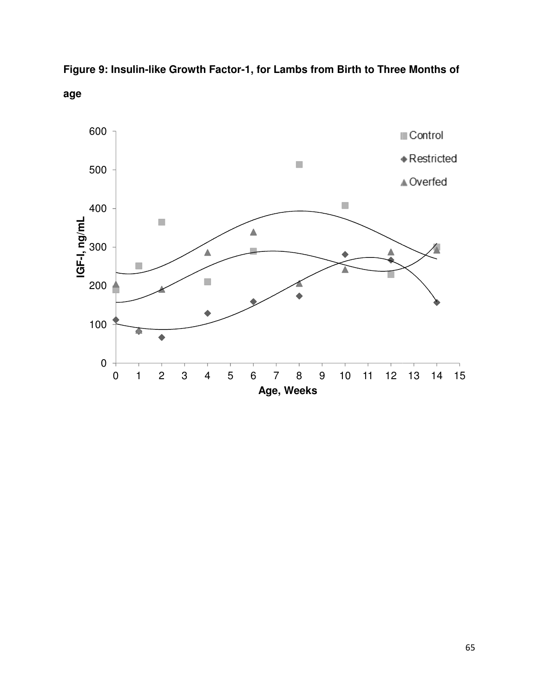

**Figure 9: Insulin-like Growth Factor like Growth Factor-1, for Lambs from Birth to Three Months of age**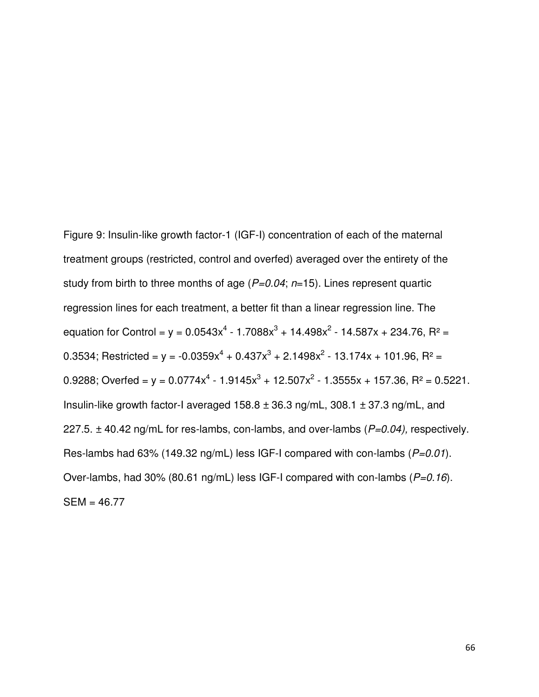Figure 9: Insulin-like growth factor-1 (IGF-I) concentration of each of the maternal treatment groups (restricted, control and overfed) averaged over the entirety of the study from birth to three months of age  $(P=0.04; n=15)$ . Lines represent quartic regression lines for each treatment, a better fit than a linear regression line. The equation for Control =  $y = 0.0543x^{4} - 1.7088x^{3} + 14.498x^{2} - 14.587x + 234.76$ , R<sup>2</sup> = 0.3534; Restricted = y =  $-0.0359x^{4} + 0.437x^{3} + 2.1498x^{2} - 13.174x + 101.96$ , R<sup>2</sup> = 0.9288; Overfed = y =  $0.0774x^4 - 1.9145x^3 + 12.507x^2 - 1.3555x + 157.36$ , R<sup>2</sup> = 0.5221. Insulin-like growth factor-I averaged  $158.8 \pm 36.3$  ng/mL,  $308.1 \pm 37.3$  ng/mL, and 227.5.  $\pm$  40.42 ng/mL for res-lambs, con-lambs, and over-lambs ( $P=0.04$ ), respectively. Res-lambs had 63% (149.32 ng/mL) less IGF-I compared with con-lambs  $(P=0.01)$ . Over-lambs, had 30% (80.61 ng/mL) less IGF-I compared with con-lambs  $(P=0.16)$ . SEM = 46.77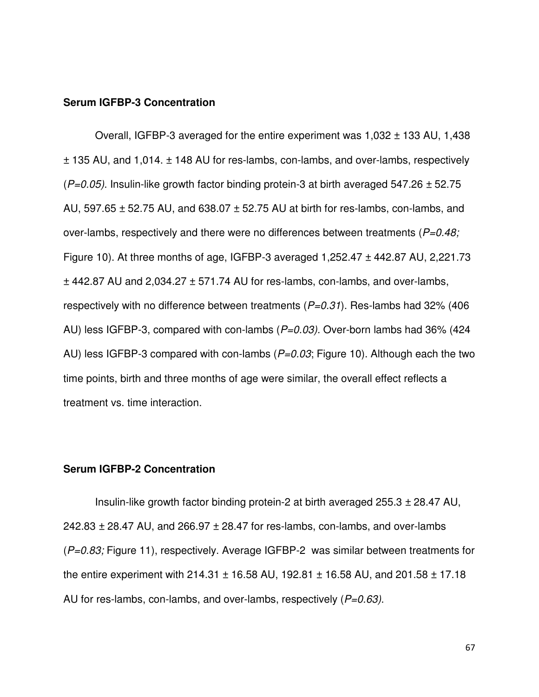### **Serum IGFBP-3 Concentration**

Overall, IGFBP-3 averaged for the entire experiment was 1,032 ± 133 AU, 1,438 ± 135 AU, and 1,014. ± 148 AU for res-lambs, con-lambs, and over-lambs, respectively  $(P=0.05)$ . Insulin-like growth factor binding protein-3 at birth averaged 547.26  $\pm$  52.75 AU, 597.65 ± 52.75 AU, and 638.07 ± 52.75 AU at birth for res-lambs, con-lambs, and over-lambs, respectively and there were no differences between treatments ( $P=0.48$ ; Figure 10). At three months of age, IGFBP-3 averaged 1,252.47 ± 442.87 AU, 2,221.73  $\pm$  442.87 AU and 2.034.27  $\pm$  571.74 AU for res-lambs, con-lambs, and over-lambs, respectively with no difference between treatments  $(P=0.31)$ . Res-lambs had 32% (406) AU) less IGFBP-3, compared with con-lambs  $(P=0.03)$ . Over-born lambs had 36% (424) AU) less IGFBP-3 compared with con-lambs  $(P=0.03;$  Figure 10). Although each the two time points, birth and three months of age were similar, the overall effect reflects a treatment vs. time interaction.

#### **Serum IGFBP-2 Concentration**

Insulin-like growth factor binding protein-2 at birth averaged 255.3 ± 28.47 AU, 242.83  $\pm$  28.47 AU, and 266.97  $\pm$  28.47 for res-lambs, con-lambs, and over-lambs  $(P=0.83;$  Figure 11), respectively. Average IGFBP-2 was similar between treatments for the entire experiment with 214.31  $\pm$  16.58 AU, 192.81  $\pm$  16.58 AU, and 201.58  $\pm$  17.18 AU for res-lambs, con-lambs, and over-lambs, respectively  $(P=0.63)$ .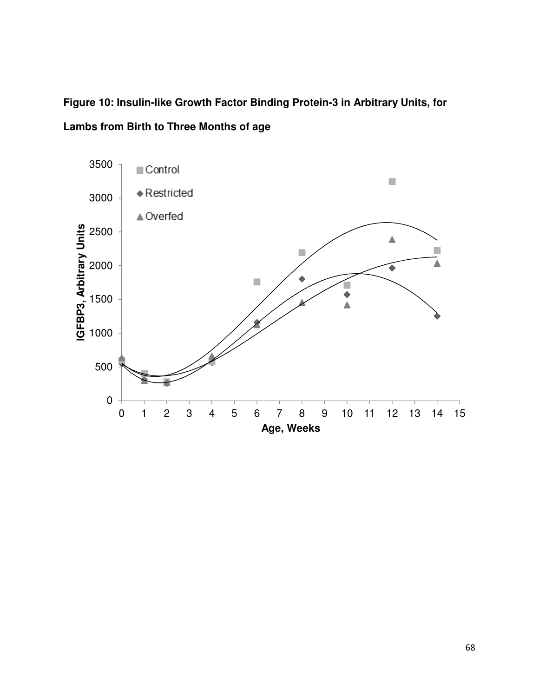Figure 10: Insulin-like Growth Factor Binding Protein-3 in Arbitrary Units, for **Lambs from Birth to Three Months of age** 

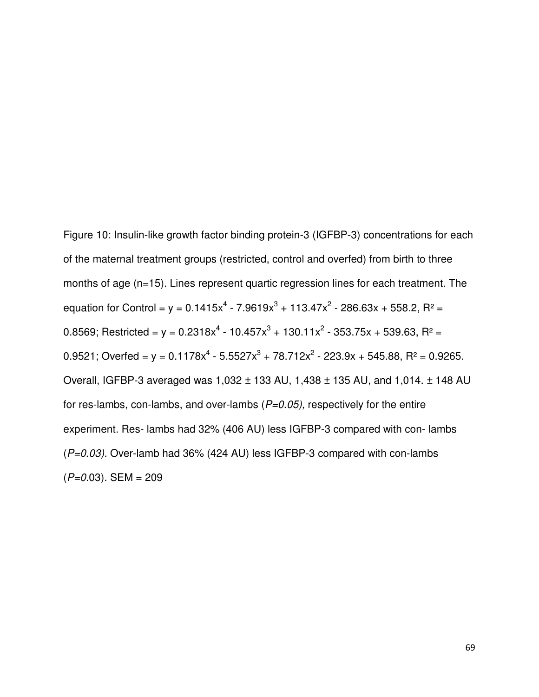Figure 10: Insulin-like growth factor binding protein-3 (IGFBP-3) concentrations for each of the maternal treatment groups (restricted, control and overfed) from birth to three months of age (n=15). Lines represent quartic regression lines for each treatment. The equation for Control = y = 0.1415 $x^4$  - 7.9619 $x^3$  + 113.47 $x^2$  - 286.63x + 558.2, R<sup>2</sup> = 0.8569; Restricted = y = 0.2318x<sup>4</sup> - 10.457x<sup>3</sup> + 130.11x<sup>2</sup> - 353.75x + 539.63, R<sup>2</sup> = 0.9521; Overfed = y = 0.1178x<sup>4</sup> - 5.5527x<sup>3</sup> + 78.712x<sup>2</sup> - 223.9x + 545.88, R<sup>2</sup> = 0.9265. Overall, IGFBP-3 averaged was 1,032 ± 133 AU, 1,438 ± 135 AU, and 1,014. ± 148 AU for res-lambs, con-lambs, and over-lambs  $(P=0.05)$ , respectively for the entire experiment. Res- lambs had 32% (406 AU) less IGFBP-3 compared with con- lambs  $(P=0.03)$ . Over-lamb had 36% (424 AU) less IGFBP-3 compared with con-lambs  $(P=0.03)$ . SEM = 209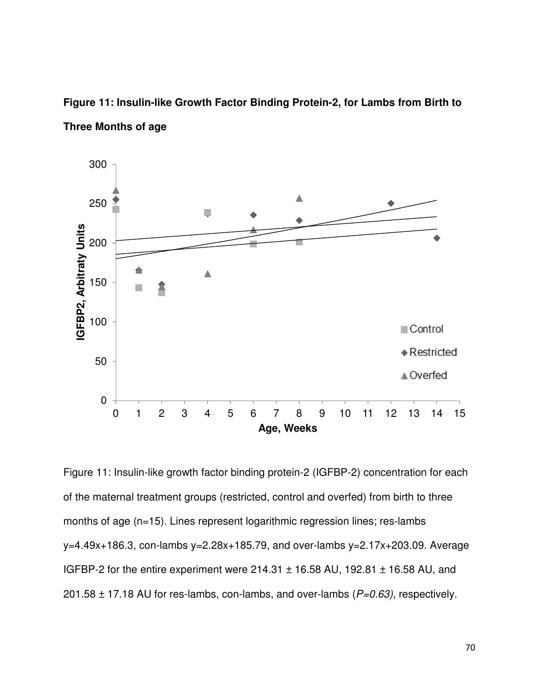

Figure 11: Insulin-like Growth Factor Binding Protein-2, for Lambs from Birth to **Three Months of age** 

Figure 11: Insulin-like growth factor binding protein-2 (IGFBP-2) concentration for each of the maternal treatment groups (restricted, control and overfed) from birth to three of the maternal treatment groups (restricted, control and overfed) from birth to<br>months of age (n=15). Lines represent logarithmic regression lines; res-lambs y=4.49x+186.3, con-lambs y=2.28x lambs y=2.28x+185.79, and over-lambs y=2.17x+203.09. Average lambs y=2.17x+203.09. Average IGFBP-2 for the entire experiment were 214.31  $\pm$  16.58 AU, 192.81  $\pm$  16.58 AU, and 201.58  $\pm$  17.18 AU for res-lambs, con-lambs, and over-lambs ( $P=0.63$ ), respectively. 2) concentration<br>ed) from birth to<br>lines; res-lambs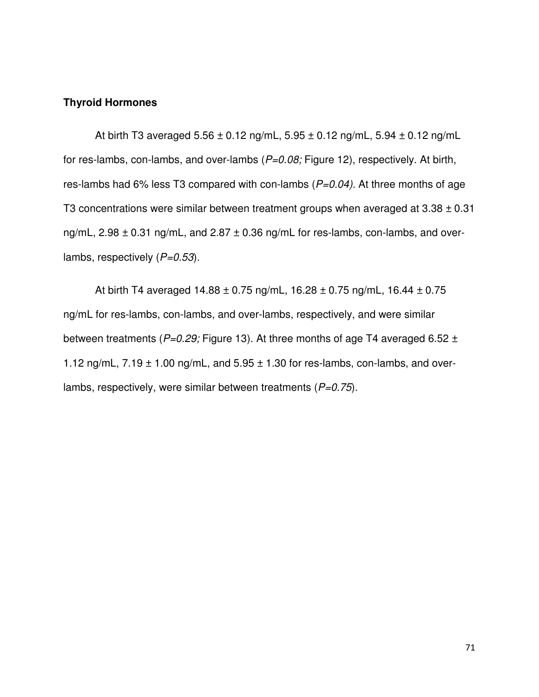### **Thyroid Hormones**

At birth T3 averaged  $5.56 \pm 0.12$  ng/mL,  $5.95 \pm 0.12$  ng/mL,  $5.94 \pm 0.12$  ng/mL for res-lambs, con-lambs, and over-lambs  $(P=0.08;$  Figure 12), respectively. At birth, res-lambs had 6% less T3 compared with con-lambs  $(P=0.04)$ . At three months of age T3 concentrations were similar between treatment groups when averaged at  $3.38 \pm 0.31$ ng/mL,  $2.98 \pm 0.31$  ng/mL, and  $2.87 \pm 0.36$  ng/mL for res-lambs, con-lambs, and overlambs, respectively  $(P=0.53)$ .

At birth T4 averaged  $14.88 \pm 0.75$  ng/mL,  $16.28 \pm 0.75$  ng/mL,  $16.44 \pm 0.75$ ng/mL for res-lambs, con-lambs, and over-lambs, respectively, and were similar between treatments ( $P=0.29$ ; Figure 13). At three months of age T4 averaged 6.52  $\pm$ 1.12 ng/mL,  $7.19 \pm 1.00$  ng/mL, and  $5.95 \pm 1.30$  for res-lambs, con-lambs, and overlambs, respectively, were similar between treatments ( $P=0.75$ ).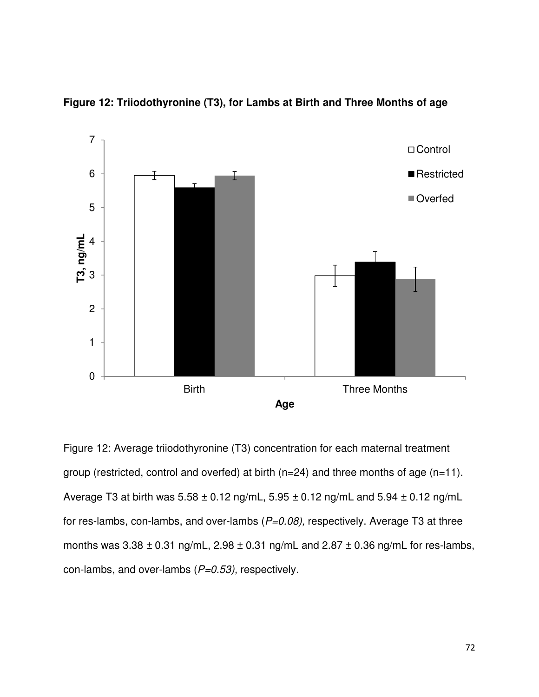

**Figure 12: Triiodothyronine (T3), for Lambs at Birth and Three Months of age** 

Figure 12: Average triiodothyronine (T3) concentration for each maternal treatment group (restricted, control and overfed) at birth (n=24) and three months of age (n=11). Average T3 at birth was  $5.58 \pm 0.12$  ng/mL,  $5.95 \pm 0.12$  ng/mL and  $5.94 \pm 0.12$  ng/mL for res-lambs, con-lambs, and over-lambs  $(P=0.08)$ , respectively. Average T3 at three months was  $3.38 \pm 0.31$  ng/mL,  $2.98 \pm 0.31$  ng/mL and  $2.87 \pm 0.36$  ng/mL for res-lambs, con-lambs, and over-lambs  $(P=0.53)$ , respectively.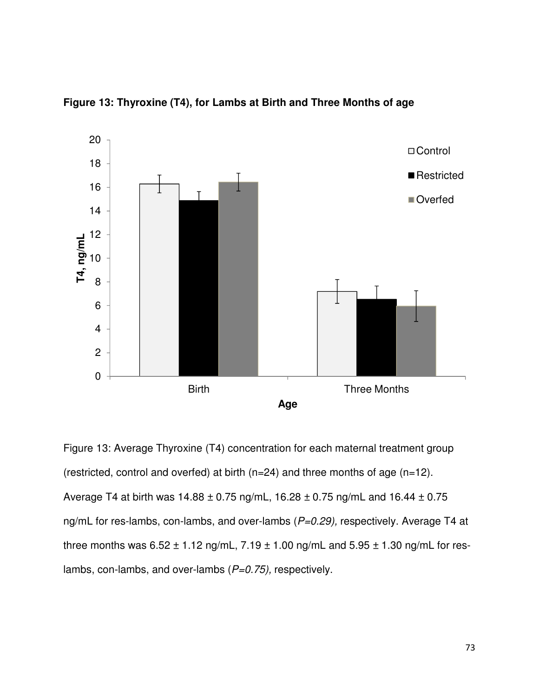

**Figure 13: Thyroxine (T4), for Lambs at Birth and Three Months of age** 

Figure 13: Average Thyroxine (T4) concentration for each maternal treatment group (restricted, control and overfed) at birth (n=24) and three months of age (n=12). Average T4 at birth was  $14.88 \pm 0.75$  ng/mL,  $16.28 \pm 0.75$  ng/mL and  $16.44 \pm 0.75$ ng/mL for res-lambs, con-lambs, and over-lambs  $(P=0.29)$ , respectively. Average T4 at three months was  $6.52 \pm 1.12$  ng/mL,  $7.19 \pm 1.00$  ng/mL and  $5.95 \pm 1.30$  ng/mL for reslambs, con-lambs, and over-lambs  $(P=0.75)$ , respectively.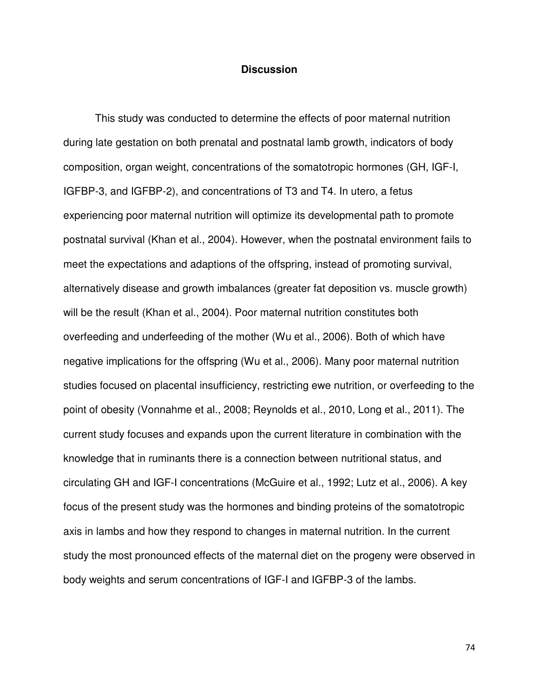### **Discussion**

This study was conducted to determine the effects of poor maternal nutrition during late gestation on both prenatal and postnatal lamb growth, indicators of body composition, organ weight, concentrations of the somatotropic hormones (GH, IGF-I, IGFBP-3, and IGFBP-2), and concentrations of T3 and T4. In utero, a fetus experiencing poor maternal nutrition will optimize its developmental path to promote postnatal survival (Khan et al., 2004). However, when the postnatal environment fails to meet the expectations and adaptions of the offspring, instead of promoting survival, alternatively disease and growth imbalances (greater fat deposition vs. muscle growth) will be the result (Khan et al., 2004). Poor maternal nutrition constitutes both overfeeding and underfeeding of the mother (Wu et al., 2006). Both of which have negative implications for the offspring (Wu et al., 2006). Many poor maternal nutrition studies focused on placental insufficiency, restricting ewe nutrition, or overfeeding to the point of obesity (Vonnahme et al., 2008; Reynolds et al., 2010, Long et al., 2011). The current study focuses and expands upon the current literature in combination with the knowledge that in ruminants there is a connection between nutritional status, and circulating GH and IGF-I concentrations (McGuire et al., 1992; Lutz et al., 2006). A key focus of the present study was the hormones and binding proteins of the somatotropic axis in lambs and how they respond to changes in maternal nutrition. In the current study the most pronounced effects of the maternal diet on the progeny were observed in body weights and serum concentrations of IGF-I and IGFBP-3 of the lambs.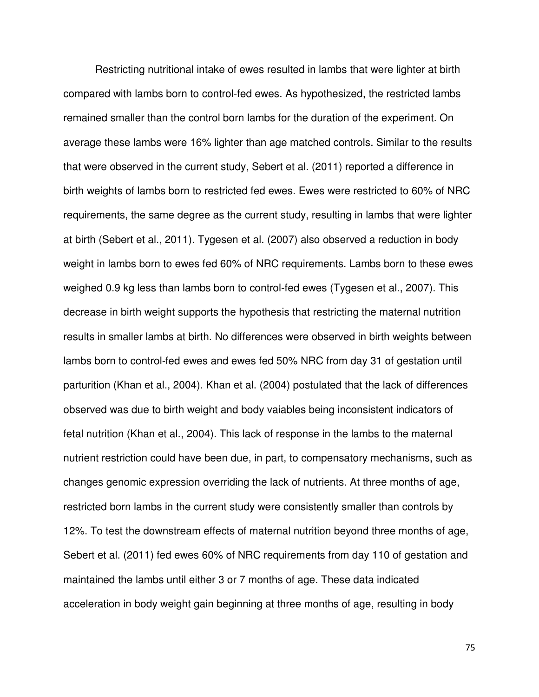Restricting nutritional intake of ewes resulted in lambs that were lighter at birth compared with lambs born to control-fed ewes. As hypothesized, the restricted lambs remained smaller than the control born lambs for the duration of the experiment. On average these lambs were 16% lighter than age matched controls. Similar to the results that were observed in the current study, Sebert et al. (2011) reported a difference in birth weights of lambs born to restricted fed ewes. Ewes were restricted to 60% of NRC requirements, the same degree as the current study, resulting in lambs that were lighter at birth (Sebert et al., 2011). Tygesen et al. (2007) also observed a reduction in body weight in lambs born to ewes fed 60% of NRC requirements. Lambs born to these ewes weighed 0.9 kg less than lambs born to control-fed ewes (Tygesen et al., 2007). This decrease in birth weight supports the hypothesis that restricting the maternal nutrition results in smaller lambs at birth. No differences were observed in birth weights between lambs born to control-fed ewes and ewes fed 50% NRC from day 31 of gestation until parturition (Khan et al., 2004). Khan et al. (2004) postulated that the lack of differences observed was due to birth weight and body vaiables being inconsistent indicators of fetal nutrition (Khan et al., 2004). This lack of response in the lambs to the maternal nutrient restriction could have been due, in part, to compensatory mechanisms, such as changes genomic expression overriding the lack of nutrients. At three months of age, restricted born lambs in the current study were consistently smaller than controls by 12%. To test the downstream effects of maternal nutrition beyond three months of age, Sebert et al. (2011) fed ewes 60% of NRC requirements from day 110 of gestation and maintained the lambs until either 3 or 7 months of age. These data indicated acceleration in body weight gain beginning at three months of age, resulting in body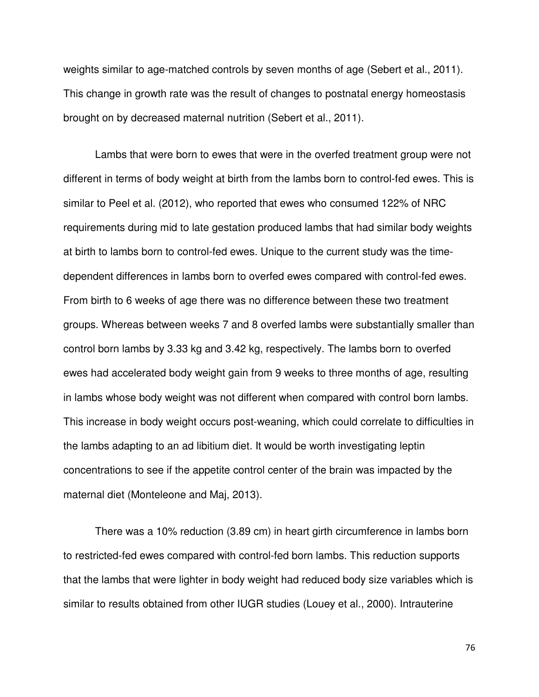weights similar to age-matched controls by seven months of age (Sebert et al., 2011). This change in growth rate was the result of changes to postnatal energy homeostasis brought on by decreased maternal nutrition (Sebert et al., 2011).

Lambs that were born to ewes that were in the overfed treatment group were not different in terms of body weight at birth from the lambs born to control-fed ewes. This is similar to Peel et al. (2012), who reported that ewes who consumed 122% of NRC requirements during mid to late gestation produced lambs that had similar body weights at birth to lambs born to control-fed ewes. Unique to the current study was the timedependent differences in lambs born to overfed ewes compared with control-fed ewes. From birth to 6 weeks of age there was no difference between these two treatment groups. Whereas between weeks 7 and 8 overfed lambs were substantially smaller than control born lambs by 3.33 kg and 3.42 kg, respectively. The lambs born to overfed ewes had accelerated body weight gain from 9 weeks to three months of age, resulting in lambs whose body weight was not different when compared with control born lambs. This increase in body weight occurs post-weaning, which could correlate to difficulties in the lambs adapting to an ad libitium diet. It would be worth investigating leptin concentrations to see if the appetite control center of the brain was impacted by the maternal diet (Monteleone and Maj, 2013).

There was a 10% reduction (3.89 cm) in heart girth circumference in lambs born to restricted-fed ewes compared with control-fed born lambs. This reduction supports that the lambs that were lighter in body weight had reduced body size variables which is similar to results obtained from other IUGR studies (Louey et al., 2000). Intrauterine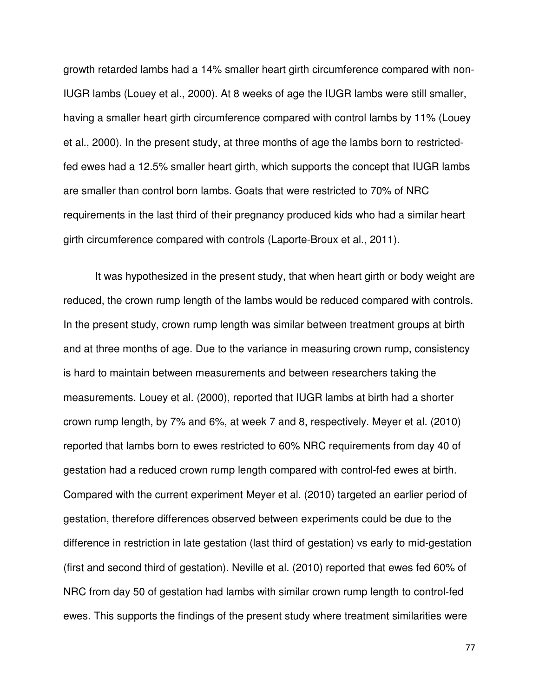growth retarded lambs had a 14% smaller heart girth circumference compared with non-IUGR lambs (Louey et al., 2000). At 8 weeks of age the IUGR lambs were still smaller, having a smaller heart girth circumference compared with control lambs by 11% (Louey et al., 2000). In the present study, at three months of age the lambs born to restrictedfed ewes had a 12.5% smaller heart girth, which supports the concept that IUGR lambs are smaller than control born lambs. Goats that were restricted to 70% of NRC requirements in the last third of their pregnancy produced kids who had a similar heart girth circumference compared with controls (Laporte-Broux et al., 2011).

It was hypothesized in the present study, that when heart girth or body weight are reduced, the crown rump length of the lambs would be reduced compared with controls. In the present study, crown rump length was similar between treatment groups at birth and at three months of age. Due to the variance in measuring crown rump, consistency is hard to maintain between measurements and between researchers taking the measurements. Louey et al. (2000), reported that IUGR lambs at birth had a shorter crown rump length, by 7% and 6%, at week 7 and 8, respectively. Meyer et al. (2010) reported that lambs born to ewes restricted to 60% NRC requirements from day 40 of gestation had a reduced crown rump length compared with control-fed ewes at birth. Compared with the current experiment Meyer et al. (2010) targeted an earlier period of gestation, therefore differences observed between experiments could be due to the difference in restriction in late gestation (last third of gestation) vs early to mid-gestation (first and second third of gestation). Neville et al. (2010) reported that ewes fed 60% of NRC from day 50 of gestation had lambs with similar crown rump length to control-fed ewes. This supports the findings of the present study where treatment similarities were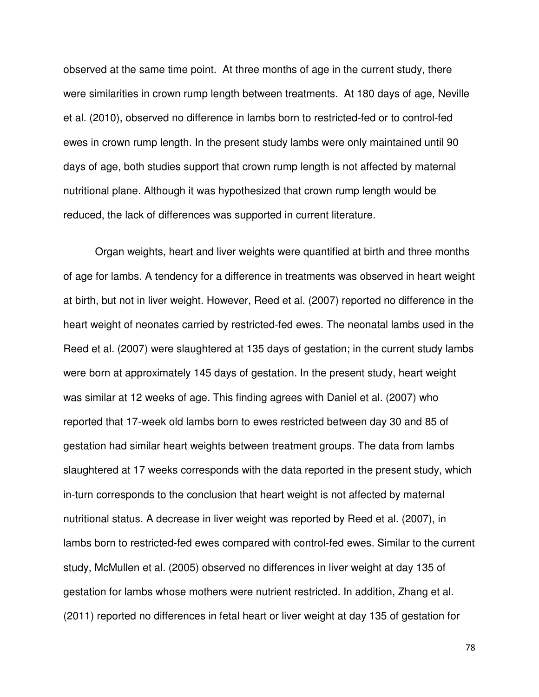observed at the same time point. At three months of age in the current study, there were similarities in crown rump length between treatments. At 180 days of age, Neville et al. (2010), observed no difference in lambs born to restricted-fed or to control-fed ewes in crown rump length. In the present study lambs were only maintained until 90 days of age, both studies support that crown rump length is not affected by maternal nutritional plane. Although it was hypothesized that crown rump length would be reduced, the lack of differences was supported in current literature.

Organ weights, heart and liver weights were quantified at birth and three months of age for lambs. A tendency for a difference in treatments was observed in heart weight at birth, but not in liver weight. However, Reed et al. (2007) reported no difference in the heart weight of neonates carried by restricted-fed ewes. The neonatal lambs used in the Reed et al. (2007) were slaughtered at 135 days of gestation; in the current study lambs were born at approximately 145 days of gestation. In the present study, heart weight was similar at 12 weeks of age. This finding agrees with Daniel et al. (2007) who reported that 17-week old lambs born to ewes restricted between day 30 and 85 of gestation had similar heart weights between treatment groups. The data from lambs slaughtered at 17 weeks corresponds with the data reported in the present study, which in-turn corresponds to the conclusion that heart weight is not affected by maternal nutritional status. A decrease in liver weight was reported by Reed et al. (2007), in lambs born to restricted-fed ewes compared with control-fed ewes. Similar to the current study, McMullen et al. (2005) observed no differences in liver weight at day 135 of gestation for lambs whose mothers were nutrient restricted. In addition, Zhang et al. (2011) reported no differences in fetal heart or liver weight at day 135 of gestation for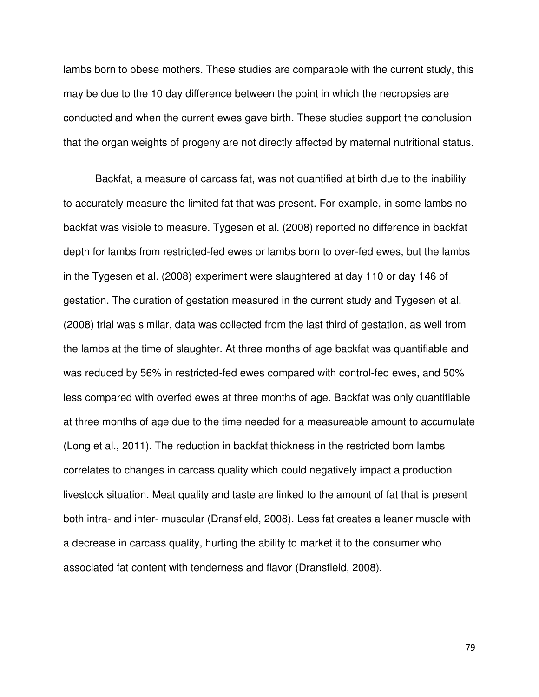lambs born to obese mothers. These studies are comparable with the current study, this may be due to the 10 day difference between the point in which the necropsies are conducted and when the current ewes gave birth. These studies support the conclusion that the organ weights of progeny are not directly affected by maternal nutritional status.

Backfat, a measure of carcass fat, was not quantified at birth due to the inability to accurately measure the limited fat that was present. For example, in some lambs no backfat was visible to measure. Tygesen et al. (2008) reported no difference in backfat depth for lambs from restricted-fed ewes or lambs born to over-fed ewes, but the lambs in the Tygesen et al. (2008) experiment were slaughtered at day 110 or day 146 of gestation. The duration of gestation measured in the current study and Tygesen et al. (2008) trial was similar, data was collected from the last third of gestation, as well from the lambs at the time of slaughter. At three months of age backfat was quantifiable and was reduced by 56% in restricted-fed ewes compared with control-fed ewes, and 50% less compared with overfed ewes at three months of age. Backfat was only quantifiable at three months of age due to the time needed for a measureable amount to accumulate (Long et al., 2011). The reduction in backfat thickness in the restricted born lambs correlates to changes in carcass quality which could negatively impact a production livestock situation. Meat quality and taste are linked to the amount of fat that is present both intra- and inter- muscular (Dransfield, 2008). Less fat creates a leaner muscle with a decrease in carcass quality, hurting the ability to market it to the consumer who associated fat content with tenderness and flavor (Dransfield, 2008).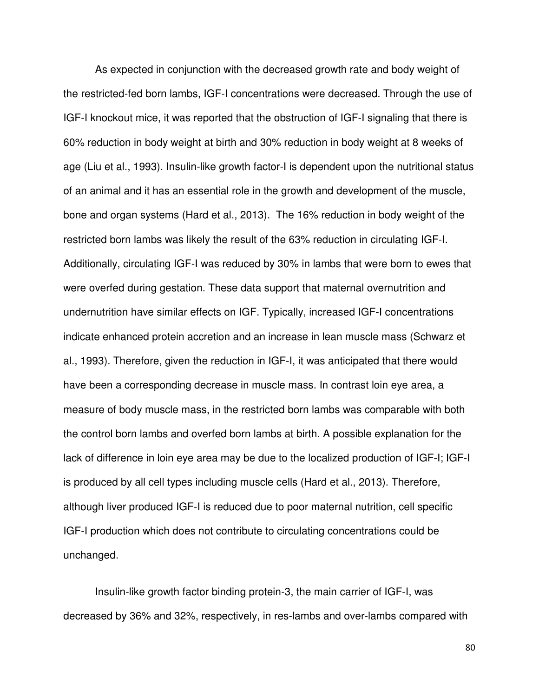As expected in conjunction with the decreased growth rate and body weight of the restricted-fed born lambs, IGF-I concentrations were decreased. Through the use of IGF-I knockout mice, it was reported that the obstruction of IGF-I signaling that there is 60% reduction in body weight at birth and 30% reduction in body weight at 8 weeks of age (Liu et al., 1993). Insulin-like growth factor-I is dependent upon the nutritional status of an animal and it has an essential role in the growth and development of the muscle, bone and organ systems (Hard et al., 2013). The 16% reduction in body weight of the restricted born lambs was likely the result of the 63% reduction in circulating IGF-I. Additionally, circulating IGF-I was reduced by 30% in lambs that were born to ewes that were overfed during gestation. These data support that maternal overnutrition and undernutrition have similar effects on IGF. Typically, increased IGF-I concentrations indicate enhanced protein accretion and an increase in lean muscle mass (Schwarz et al., 1993). Therefore, given the reduction in IGF-I, it was anticipated that there would have been a corresponding decrease in muscle mass. In contrast loin eye area, a measure of body muscle mass, in the restricted born lambs was comparable with both the control born lambs and overfed born lambs at birth. A possible explanation for the lack of difference in loin eye area may be due to the localized production of IGF-I; IGF-I is produced by all cell types including muscle cells (Hard et al., 2013). Therefore, although liver produced IGF-I is reduced due to poor maternal nutrition, cell specific IGF-I production which does not contribute to circulating concentrations could be unchanged.

Insulin-like growth factor binding protein-3, the main carrier of IGF-I, was decreased by 36% and 32%, respectively, in res-lambs and over-lambs compared with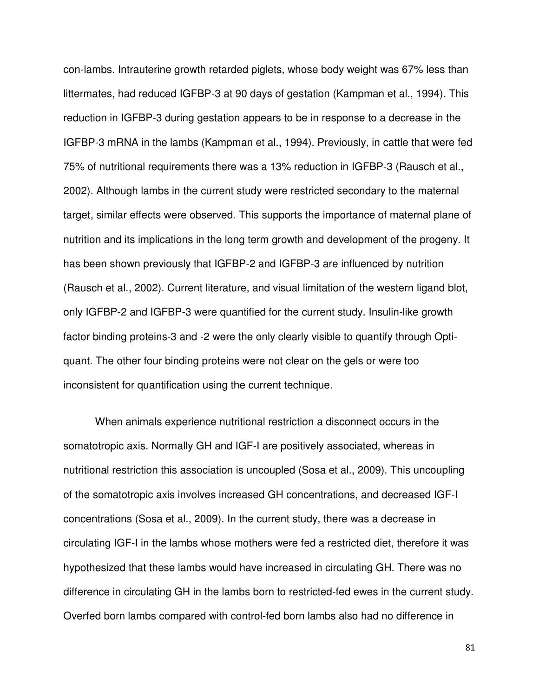con-lambs. Intrauterine growth retarded piglets, whose body weight was 67% less than littermates, had reduced IGFBP-3 at 90 days of gestation (Kampman et al., 1994). This reduction in IGFBP-3 during gestation appears to be in response to a decrease in the IGFBP-3 mRNA in the lambs (Kampman et al., 1994). Previously, in cattle that were fed 75% of nutritional requirements there was a 13% reduction in IGFBP-3 (Rausch et al., 2002). Although lambs in the current study were restricted secondary to the maternal target, similar effects were observed. This supports the importance of maternal plane of nutrition and its implications in the long term growth and development of the progeny. It has been shown previously that IGFBP-2 and IGFBP-3 are influenced by nutrition (Rausch et al., 2002). Current literature, and visual limitation of the western ligand blot, only IGFBP-2 and IGFBP-3 were quantified for the current study. Insulin-like growth factor binding proteins-3 and -2 were the only clearly visible to quantify through Optiquant. The other four binding proteins were not clear on the gels or were too inconsistent for quantification using the current technique.

When animals experience nutritional restriction a disconnect occurs in the somatotropic axis. Normally GH and IGF-I are positively associated, whereas in nutritional restriction this association is uncoupled (Sosa et al., 2009). This uncoupling of the somatotropic axis involves increased GH concentrations, and decreased IGF-I concentrations (Sosa et al., 2009). In the current study, there was a decrease in circulating IGF-I in the lambs whose mothers were fed a restricted diet, therefore it was hypothesized that these lambs would have increased in circulating GH. There was no difference in circulating GH in the lambs born to restricted-fed ewes in the current study. Overfed born lambs compared with control-fed born lambs also had no difference in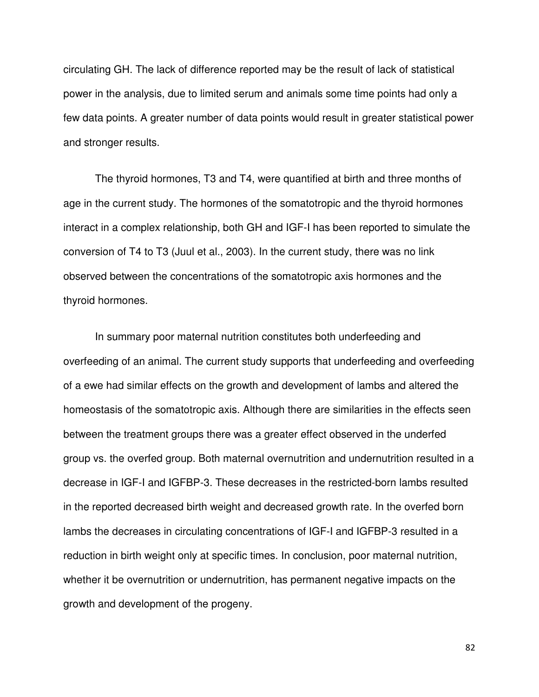circulating GH. The lack of difference reported may be the result of lack of statistical power in the analysis, due to limited serum and animals some time points had only a few data points. A greater number of data points would result in greater statistical power and stronger results.

The thyroid hormones, T3 and T4, were quantified at birth and three months of age in the current study. The hormones of the somatotropic and the thyroid hormones interact in a complex relationship, both GH and IGF-I has been reported to simulate the conversion of T4 to T3 (Juul et al., 2003). In the current study, there was no link observed between the concentrations of the somatotropic axis hormones and the thyroid hormones.

 In summary poor maternal nutrition constitutes both underfeeding and overfeeding of an animal. The current study supports that underfeeding and overfeeding of a ewe had similar effects on the growth and development of lambs and altered the homeostasis of the somatotropic axis. Although there are similarities in the effects seen between the treatment groups there was a greater effect observed in the underfed group vs. the overfed group. Both maternal overnutrition and undernutrition resulted in a decrease in IGF-I and IGFBP-3. These decreases in the restricted-born lambs resulted in the reported decreased birth weight and decreased growth rate. In the overfed born lambs the decreases in circulating concentrations of IGF-I and IGFBP-3 resulted in a reduction in birth weight only at specific times. In conclusion, poor maternal nutrition, whether it be overnutrition or undernutrition, has permanent negative impacts on the growth and development of the progeny.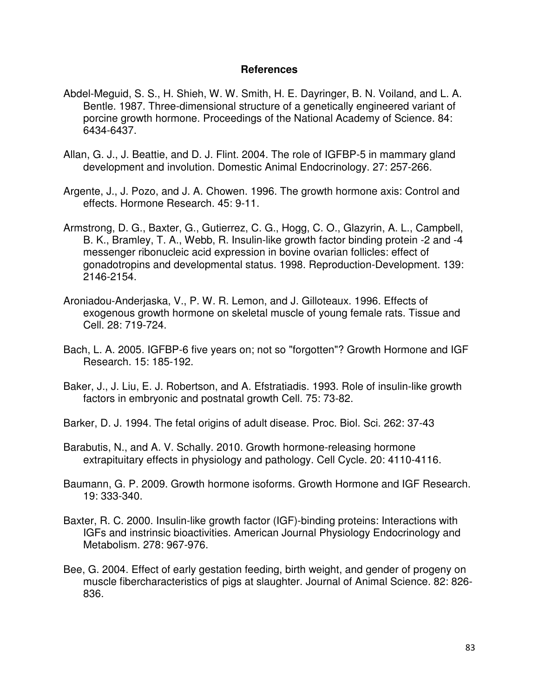## **References**

- Abdel-Meguid, S. S., H. Shieh, W. W. Smith, H. E. Dayringer, B. N. Voiland, and L. A. Bentle. 1987. Three-dimensional structure of a genetically engineered variant of porcine growth hormone. Proceedings of the National Academy of Science. 84: 6434-6437.
- Allan, G. J., J. Beattie, and D. J. Flint. 2004. The role of IGFBP-5 in mammary gland development and involution. Domestic Animal Endocrinology. 27: 257-266.
- Argente, J., J. Pozo, and J. A. Chowen. 1996. The growth hormone axis: Control and effects. Hormone Research. 45: 9-11.
- Armstrong, D. G., Baxter, G., Gutierrez, C. G., Hogg, C. O., Glazyrin, A. L., Campbell, B. K., Bramley, T. A., Webb, R. Insulin-like growth factor binding protein -2 and -4 messenger ribonucleic acid expression in bovine ovarian follicles: effect of gonadotropins and developmental status. 1998. Reproduction-Development. 139: 2146-2154.
- Aroniadou-Anderjaska, V., P. W. R. Lemon, and J. Gilloteaux. 1996. Effects of exogenous growth hormone on skeletal muscle of young female rats. Tissue and Cell. 28: 719-724.
- Bach, L. A. 2005. IGFBP-6 five years on; not so "forgotten"? Growth Hormone and IGF Research. 15: 185-192.
- Baker, J., J. Liu, E. J. Robertson, and A. Efstratiadis. 1993. Role of insulin-like growth factors in embryonic and postnatal growth Cell. 75: 73-82.
- Barker, D. J. 1994. The fetal origins of adult disease. Proc. Biol. Sci. 262: 37-43
- Barabutis, N., and A. V. Schally. 2010. Growth hormone-releasing hormone extrapituitary effects in physiology and pathology. Cell Cycle. 20: 4110-4116.
- Baumann, G. P. 2009. Growth hormone isoforms. Growth Hormone and IGF Research. 19: 333-340.
- Baxter, R. C. 2000. Insulin-like growth factor (IGF)-binding proteins: Interactions with IGFs and instrinsic bioactivities. American Journal Physiology Endocrinology and Metabolism. 278: 967-976.
- Bee, G. 2004. Effect of early gestation feeding, birth weight, and gender of progeny on muscle fibercharacteristics of pigs at slaughter. Journal of Animal Science. 82: 826- 836.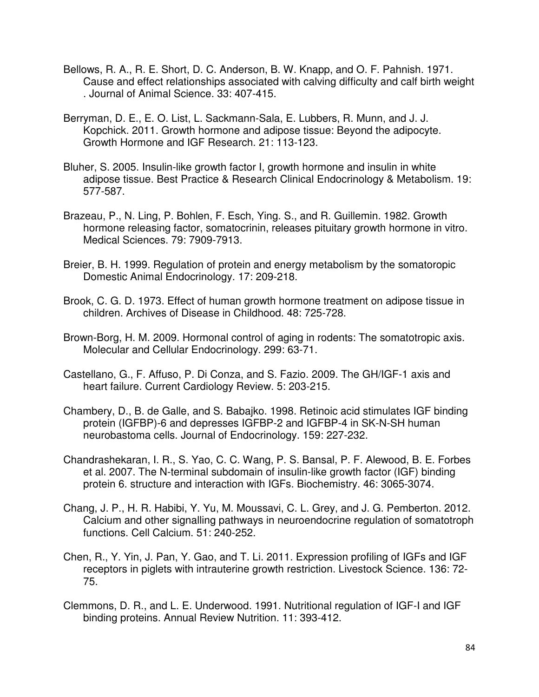- Bellows, R. A., R. E. Short, D. C. Anderson, B. W. Knapp, and O. F. Pahnish. 1971. Cause and effect relationships associated with calving difficulty and calf birth weight . Journal of Animal Science. 33: 407-415.
- Berryman, D. E., E. O. List, L. Sackmann-Sala, E. Lubbers, R. Munn, and J. J. Kopchick. 2011. Growth hormone and adipose tissue: Beyond the adipocyte. Growth Hormone and IGF Research. 21: 113-123.
- Bluher, S. 2005. Insulin-like growth factor I, growth hormone and insulin in white adipose tissue. Best Practice & Research Clinical Endocrinology & Metabolism. 19: 577-587.
- Brazeau, P., N. Ling, P. Bohlen, F. Esch, Ying. S., and R. Guillemin. 1982. Growth hormone releasing factor, somatocrinin, releases pituitary growth hormone in vitro. Medical Sciences. 79: 7909-7913.
- Breier, B. H. 1999. Regulation of protein and energy metabolism by the somatoropic Domestic Animal Endocrinology. 17: 209-218.
- Brook, C. G. D. 1973. Effect of human growth hormone treatment on adipose tissue in children. Archives of Disease in Childhood. 48: 725-728.
- Brown-Borg, H. M. 2009. Hormonal control of aging in rodents: The somatotropic axis. Molecular and Cellular Endocrinology. 299: 63-71.
- Castellano, G., F. Affuso, P. Di Conza, and S. Fazio. 2009. The GH/IGF-1 axis and heart failure. Current Cardiology Review. 5: 203-215.
- Chambery, D., B. de Galle, and S. Babajko. 1998. Retinoic acid stimulates IGF binding protein (IGFBP)-6 and depresses IGFBP-2 and IGFBP-4 in SK-N-SH human neurobastoma cells. Journal of Endocrinology. 159: 227-232.
- Chandrashekaran, I. R., S. Yao, C. C. Wang, P. S. Bansal, P. F. Alewood, B. E. Forbes et al. 2007. The N-terminal subdomain of insulin-like growth factor (IGF) binding protein 6. structure and interaction with IGFs. Biochemistry. 46: 3065-3074.
- Chang, J. P., H. R. Habibi, Y. Yu, M. Moussavi, C. L. Grey, and J. G. Pemberton. 2012. Calcium and other signalling pathways in neuroendocrine regulation of somatotroph functions. Cell Calcium. 51: 240-252.
- Chen, R., Y. Yin, J. Pan, Y. Gao, and T. Li. 2011. Expression profiling of IGFs and IGF receptors in piglets with intrauterine growth restriction. Livestock Science. 136: 72- 75.
- Clemmons, D. R., and L. E. Underwood. 1991. Nutritional regulation of IGF-I and IGF binding proteins. Annual Review Nutrition. 11: 393-412.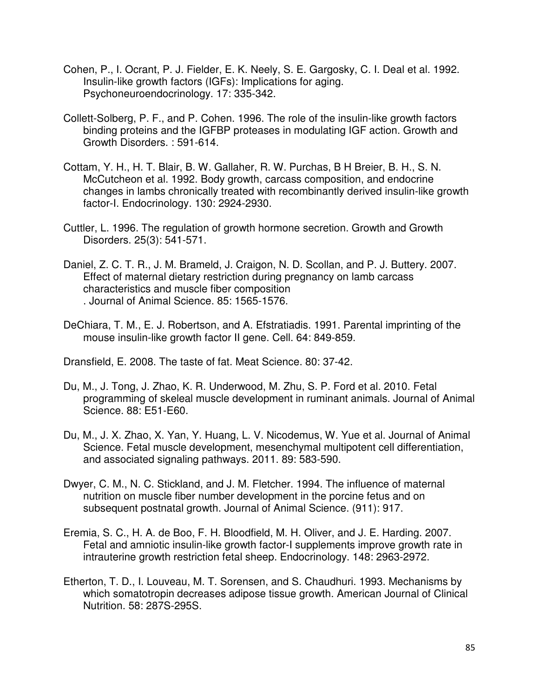- Cohen, P., I. Ocrant, P. J. Fielder, E. K. Neely, S. E. Gargosky, C. I. Deal et al. 1992. Insulin-like growth factors (IGFs): Implications for aging. Psychoneuroendocrinology. 17: 335-342.
- Collett-Solberg, P. F., and P. Cohen. 1996. The role of the insulin-like growth factors binding proteins and the IGFBP proteases in modulating IGF action. Growth and Growth Disorders. : 591-614.
- Cottam, Y. H., H. T. Blair, B. W. Gallaher, R. W. Purchas, B H Breier, B. H., S. N. McCutcheon et al. 1992. Body growth, carcass composition, and endocrine changes in lambs chronically treated with recombinantly derived insulin-like growth factor-I. Endocrinology. 130: 2924-2930.
- Cuttler, L. 1996. The regulation of growth hormone secretion. Growth and Growth Disorders. 25(3): 541-571.
- Daniel, Z. C. T. R., J. M. Brameld, J. Craigon, N. D. Scollan, and P. J. Buttery. 2007. Effect of maternal dietary restriction during pregnancy on lamb carcass characteristics and muscle fiber composition . Journal of Animal Science. 85: 1565-1576.
- DeChiara, T. M., E. J. Robertson, and A. Efstratiadis. 1991. Parental imprinting of the mouse insulin-like growth factor II gene. Cell. 64: 849-859.

Dransfield, E. 2008. The taste of fat. Meat Science. 80: 37-42.

- Du, M., J. Tong, J. Zhao, K. R. Underwood, M. Zhu, S. P. Ford et al. 2010. Fetal programming of skeleal muscle development in ruminant animals. Journal of Animal Science. 88: E51-E60.
- Du, M., J. X. Zhao, X. Yan, Y. Huang, L. V. Nicodemus, W. Yue et al. Journal of Animal Science. Fetal muscle development, mesenchymal multipotent cell differentiation, and associated signaling pathways. 2011. 89: 583-590.
- Dwyer, C. M., N. C. Stickland, and J. M. Fletcher. 1994. The influence of maternal nutrition on muscle fiber number development in the porcine fetus and on subsequent postnatal growth. Journal of Animal Science. (911): 917.
- Eremia, S. C., H. A. de Boo, F. H. Bloodfield, M. H. Oliver, and J. E. Harding. 2007. Fetal and amniotic insulin-like growth factor-I supplements improve growth rate in intrauterine growth restriction fetal sheep. Endocrinology. 148: 2963-2972.
- Etherton, T. D., I. Louveau, M. T. Sorensen, and S. Chaudhuri. 1993. Mechanisms by which somatotropin decreases adipose tissue growth. American Journal of Clinical Nutrition. 58: 287S-295S.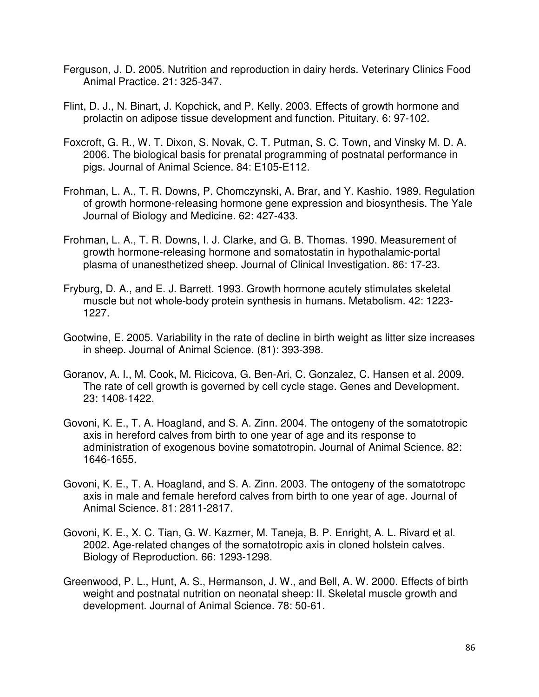- Ferguson, J. D. 2005. Nutrition and reproduction in dairy herds. Veterinary Clinics Food Animal Practice. 21: 325-347.
- Flint, D. J., N. Binart, J. Kopchick, and P. Kelly. 2003. Effects of growth hormone and prolactin on adipose tissue development and function. Pituitary. 6: 97-102.
- Foxcroft, G. R., W. T. Dixon, S. Novak, C. T. Putman, S. C. Town, and Vinsky M. D. A. 2006. The biological basis for prenatal programming of postnatal performance in pigs. Journal of Animal Science. 84: E105-E112.
- Frohman, L. A., T. R. Downs, P. Chomczynski, A. Brar, and Y. Kashio. 1989. Regulation of growth hormone-releasing hormone gene expression and biosynthesis. The Yale Journal of Biology and Medicine. 62: 427-433.
- Frohman, L. A., T. R. Downs, I. J. Clarke, and G. B. Thomas. 1990. Measurement of growth hormone-releasing hormone and somatostatin in hypothalamic-portal plasma of unanesthetized sheep. Journal of Clinical Investigation. 86: 17-23.
- Fryburg, D. A., and E. J. Barrett. 1993. Growth hormone acutely stimulates skeletal muscle but not whole-body protein synthesis in humans. Metabolism. 42: 1223- 1227.
- Gootwine, E. 2005. Variability in the rate of decline in birth weight as litter size increases in sheep. Journal of Animal Science. (81): 393-398.
- Goranov, A. I., M. Cook, M. Ricicova, G. Ben-Ari, C. Gonzalez, C. Hansen et al. 2009. The rate of cell growth is governed by cell cycle stage. Genes and Development. 23: 1408-1422.
- Govoni, K. E., T. A. Hoagland, and S. A. Zinn. 2004. The ontogeny of the somatotropic axis in hereford calves from birth to one year of age and its response to administration of exogenous bovine somatotropin. Journal of Animal Science. 82: 1646-1655.
- Govoni, K. E., T. A. Hoagland, and S. A. Zinn. 2003. The ontogeny of the somatotropc axis in male and female hereford calves from birth to one year of age. Journal of Animal Science. 81: 2811-2817.
- Govoni, K. E., X. C. Tian, G. W. Kazmer, M. Taneja, B. P. Enright, A. L. Rivard et al. 2002. Age-related changes of the somatotropic axis in cloned holstein calves. Biology of Reproduction. 66: 1293-1298.
- Greenwood, P. L., Hunt, A. S., Hermanson, J. W., and Bell, A. W. 2000. Effects of birth weight and postnatal nutrition on neonatal sheep: II. Skeletal muscle growth and development. Journal of Animal Science. 78: 50-61.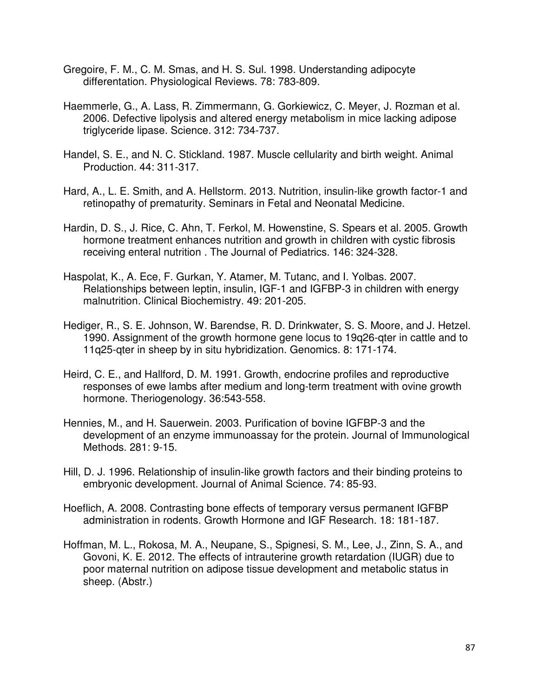- Gregoire, F. M., C. M. Smas, and H. S. Sul. 1998. Understanding adipocyte differentation. Physiological Reviews. 78: 783-809.
- Haemmerle, G., A. Lass, R. Zimmermann, G. Gorkiewicz, C. Meyer, J. Rozman et al. 2006. Defective lipolysis and altered energy metabolism in mice lacking adipose triglyceride lipase. Science. 312: 734-737.
- Handel, S. E., and N. C. Stickland. 1987. Muscle cellularity and birth weight. Animal Production. 44: 311-317.
- Hard, A., L. E. Smith, and A. Hellstorm. 2013. Nutrition, insulin-like growth factor-1 and retinopathy of prematurity. Seminars in Fetal and Neonatal Medicine.
- Hardin, D. S., J. Rice, C. Ahn, T. Ferkol, M. Howenstine, S. Spears et al. 2005. Growth hormone treatment enhances nutrition and growth in children with cystic fibrosis receiving enteral nutrition . The Journal of Pediatrics. 146: 324-328.
- Haspolat, K., A. Ece, F. Gurkan, Y. Atamer, M. Tutanc, and I. Yolbas. 2007. Relationships between leptin, insulin, IGF-1 and IGFBP-3 in children with energy malnutrition. Clinical Biochemistry. 49: 201-205.
- Hediger, R., S. E. Johnson, W. Barendse, R. D. Drinkwater, S. S. Moore, and J. Hetzel. 1990. Assignment of the growth hormone gene locus to 19q26-qter in cattle and to 11q25-qter in sheep by in situ hybridization. Genomics. 8: 171-174.
- Heird, C. E., and Hallford, D. M. 1991. Growth, endocrine profiles and reproductive responses of ewe lambs after medium and long-term treatment with ovine growth hormone. Theriogenology. 36:543-558.
- Hennies, M., and H. Sauerwein. 2003. Purification of bovine IGFBP-3 and the development of an enzyme immunoassay for the protein. Journal of Immunological Methods. 281: 9-15.
- Hill, D. J. 1996. Relationship of insulin-like growth factors and their binding proteins to embryonic development. Journal of Animal Science. 74: 85-93.
- Hoeflich, A. 2008. Contrasting bone effects of temporary versus permanent IGFBP administration in rodents. Growth Hormone and IGF Research. 18: 181-187.
- Hoffman, M. L., Rokosa, M. A., Neupane, S., Spignesi, S. M., Lee, J., Zinn, S. A., and Govoni, K. E. 2012. The effects of intrauterine growth retardation (IUGR) due to poor maternal nutrition on adipose tissue development and metabolic status in sheep. (Abstr.)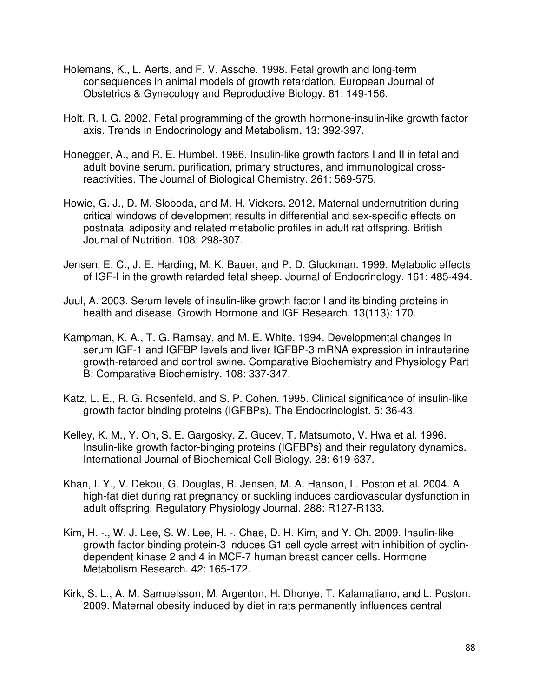- Holemans, K., L. Aerts, and F. V. Assche. 1998. Fetal growth and long-term consequences in animal models of growth retardation. European Journal of Obstetrics & Gynecology and Reproductive Biology. 81: 149-156.
- Holt, R. I. G. 2002. Fetal programming of the growth hormone-insulin-like growth factor axis. Trends in Endocrinology and Metabolism. 13: 392-397.
- Honegger, A., and R. E. Humbel. 1986. Insulin-like growth factors I and II in fetal and adult bovine serum. purification, primary structures, and immunological crossreactivities. The Journal of Biological Chemistry. 261: 569-575.
- Howie, G. J., D. M. Sloboda, and M. H. Vickers. 2012. Maternal undernutrition during critical windows of development results in differential and sex-specific effects on postnatal adiposity and related metabolic profiles in adult rat offspring. British Journal of Nutrition. 108: 298-307.
- Jensen, E. C., J. E. Harding, M. K. Bauer, and P. D. Gluckman. 1999. Metabolic effects of IGF-I in the growth retarded fetal sheep. Journal of Endocrinology. 161: 485-494.
- Juul, A. 2003. Serum levels of insulin-like growth factor I and its binding proteins in health and disease. Growth Hormone and IGF Research. 13(113): 170.
- Kampman, K. A., T. G. Ramsay, and M. E. White. 1994. Developmental changes in serum IGF-1 and IGFBP levels and liver IGFBP-3 mRNA expression in intrauterine growth-retarded and control swine. Comparative Biochemistry and Physiology Part B: Comparative Biochemistry. 108: 337-347.
- Katz, L. E., R. G. Rosenfeld, and S. P. Cohen. 1995. Clinical significance of insulin-like growth factor binding proteins (IGFBPs). The Endocrinologist. 5: 36-43.
- Kelley, K. M., Y. Oh, S. E. Gargosky, Z. Gucev, T. Matsumoto, V. Hwa et al. 1996. Insulin-like growth factor-binging proteins (IGFBPs) and their regulatory dynamics. International Journal of Biochemical Cell Biology. 28: 619-637.
- Khan, I. Y., V. Dekou, G. Douglas, R. Jensen, M. A. Hanson, L. Poston et al. 2004. A high-fat diet during rat pregnancy or suckling induces cardiovascular dysfunction in adult offspring. Regulatory Physiology Journal. 288: R127-R133.
- Kim, H. -., W. J. Lee, S. W. Lee, H. -. Chae, D. H. Kim, and Y. Oh. 2009. Insulin-like growth factor binding protein-3 induces G1 cell cycle arrest with inhibition of cyclindependent kinase 2 and 4 in MCF-7 human breast cancer cells. Hormone Metabolism Research. 42: 165-172.
- Kirk, S. L., A. M. Samuelsson, M. Argenton, H. Dhonye, T. Kalamatiano, and L. Poston. 2009. Maternal obesity induced by diet in rats permanently influences central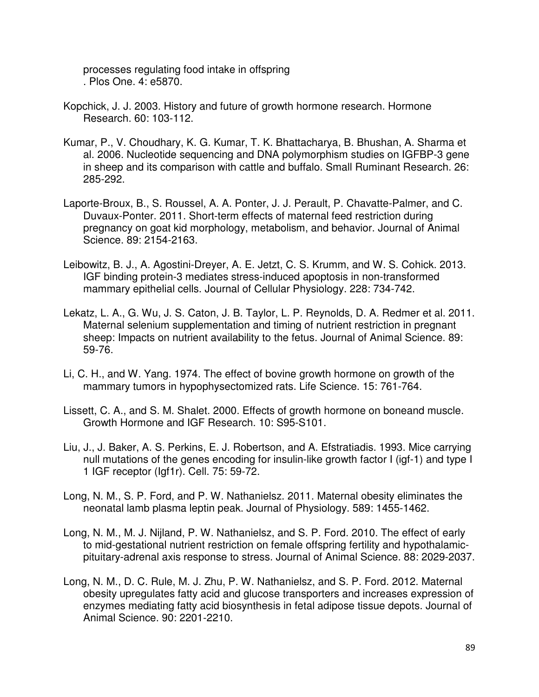processes regulating food intake in offspring . Plos One. 4: e5870.

- Kopchick, J. J. 2003. History and future of growth hormone research. Hormone Research. 60: 103-112.
- Kumar, P., V. Choudhary, K. G. Kumar, T. K. Bhattacharya, B. Bhushan, A. Sharma et al. 2006. Nucleotide sequencing and DNA polymorphism studies on IGFBP-3 gene in sheep and its comparison with cattle and buffalo. Small Ruminant Research. 26: 285-292.
- Laporte-Broux, B., S. Roussel, A. A. Ponter, J. J. Perault, P. Chavatte-Palmer, and C. Duvaux-Ponter. 2011. Short-term effects of maternal feed restriction during pregnancy on goat kid morphology, metabolism, and behavior. Journal of Animal Science. 89: 2154-2163.
- Leibowitz, B. J., A. Agostini-Dreyer, A. E. Jetzt, C. S. Krumm, and W. S. Cohick. 2013. IGF binding protein-3 mediates stress-induced apoptosis in non-transformed mammary epithelial cells. Journal of Cellular Physiology. 228: 734-742.
- Lekatz, L. A., G. Wu, J. S. Caton, J. B. Taylor, L. P. Reynolds, D. A. Redmer et al. 2011. Maternal selenium supplementation and timing of nutrient restriction in pregnant sheep: Impacts on nutrient availability to the fetus. Journal of Animal Science. 89: 59-76.
- Li, C. H., and W. Yang. 1974. The effect of bovine growth hormone on growth of the mammary tumors in hypophysectomized rats. Life Science. 15: 761-764.
- Lissett, C. A., and S. M. Shalet. 2000. Effects of growth hormone on boneand muscle. Growth Hormone and IGF Research. 10: S95-S101.
- Liu, J., J. Baker, A. S. Perkins, E. J. Robertson, and A. Efstratiadis. 1993. Mice carrying null mutations of the genes encoding for insulin-like growth factor I (igf-1) and type I 1 IGF receptor (Igf1r). Cell. 75: 59-72.
- Long, N. M., S. P. Ford, and P. W. Nathanielsz. 2011. Maternal obesity eliminates the neonatal lamb plasma leptin peak. Journal of Physiology. 589: 1455-1462.
- Long, N. M., M. J. Nijland, P. W. Nathanielsz, and S. P. Ford. 2010. The effect of early to mid-gestational nutrient restriction on female offspring fertility and hypothalamicpituitary-adrenal axis response to stress. Journal of Animal Science. 88: 2029-2037.
- Long, N. M., D. C. Rule, M. J. Zhu, P. W. Nathanielsz, and S. P. Ford. 2012. Maternal obesity upregulates fatty acid and glucose transporters and increases expression of enzymes mediating fatty acid biosynthesis in fetal adipose tissue depots. Journal of Animal Science. 90: 2201-2210.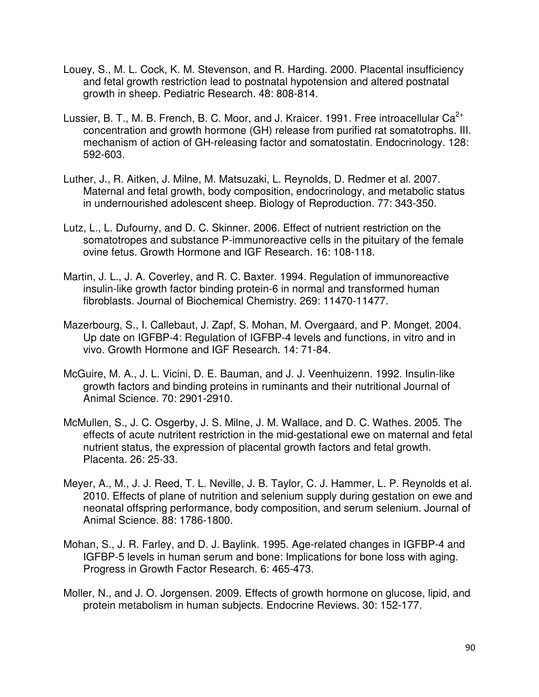- Louey, S., M. L. Cock, K. M. Stevenson, and R. Harding. 2000. Placental insufficiency and fetal growth restriction lead to postnatal hypotension and altered postnatal growth in sheep. Pediatric Research. 48: 808-814.
- Lussier, B. T., M. B. French, B. C. Moor, and J. Kraicer. 1991. Free introacellular  $Ca^{2+}$ concentration and growth hormone (GH) release from purified rat somatotrophs. III. mechanism of action of GH-releasing factor and somatostatin. Endocrinology. 128: 592-603.
- Luther, J., R. Aitken, J. Milne, M. Matsuzaki, L. Reynolds, D. Redmer et al. 2007. Maternal and fetal growth, body composition, endocrinology, and metabolic status in undernourished adolescent sheep. Biology of Reproduction. 77: 343-350.
- Lutz, L., L. Dufourny, and D. C. Skinner. 2006. Effect of nutrient restriction on the somatotropes and substance P-immunoreactive cells in the pituitary of the female ovine fetus. Growth Hormone and IGF Research. 16: 108-118.
- Martin, J. L., J. A. Coverley, and R. C. Baxter. 1994. Regulation of immunoreactive insulin-like growth factor binding protein-6 in normal and transformed human fibroblasts. Journal of Biochemical Chemistry. 269: 11470-11477.
- Mazerbourg, S., I. Callebaut, J. Zapf, S. Mohan, M. Overgaard, and P. Monget. 2004. Up date on IGFBP-4: Regulation of IGFBP-4 levels and functions, in vitro and in vivo. Growth Hormone and IGF Research. 14: 71-84.
- McGuire, M. A., J. L. Vicini, D. E. Bauman, and J. J. Veenhuizenn. 1992. Insulin-like growth factors and binding proteins in ruminants and their nutritional Journal of Animal Science. 70: 2901-2910.
- McMullen, S., J. C. Osgerby, J. S. Milne, J. M. Wallace, and D. C. Wathes. 2005. The effects of acute nutritent restriction in the mid-gestational ewe on maternal and fetal nutrient status, the expression of placental growth factors and fetal growth. Placenta. 26: 25-33.
- Meyer, A., M., J. J. Reed, T. L. Neville, J. B. Taylor, C. J. Hammer, L. P. Reynolds et al. 2010. Effects of plane of nutrition and selenium supply during gestation on ewe and neonatal offspring performance, body composition, and serum selenium. Journal of Animal Science. 88: 1786-1800.
- Mohan, S., J. R. Farley, and D. J. Baylink. 1995. Age-related changes in IGFBP-4 and IGFBP-5 levels in human serum and bone: Implications for bone loss with aging. Progress in Growth Factor Research. 6: 465-473.
- Moller, N., and J. O. Jorgensen. 2009. Effects of growth hormone on glucose, lipid, and protein metabolism in human subjects. Endocrine Reviews. 30: 152-177.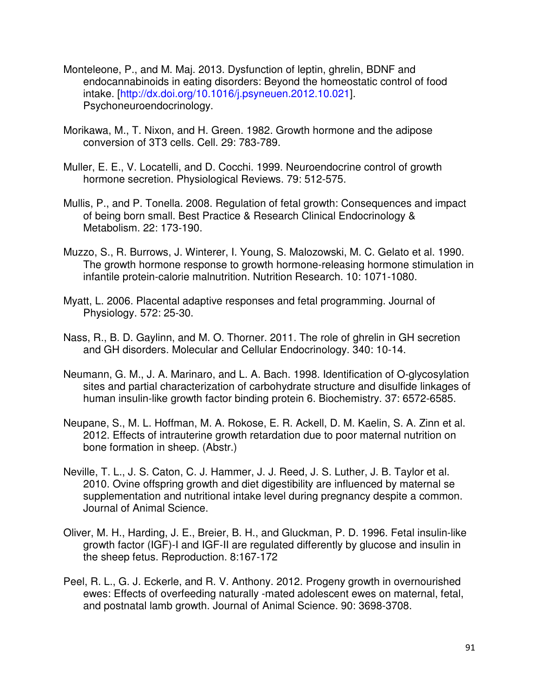- Monteleone, P., and M. Maj. 2013. Dysfunction of leptin, ghrelin, BDNF and endocannabinoids in eating disorders: Beyond the homeostatic control of food intake. [http://dx.doi.org/10.1016/j.psyneuen.2012.10.021]. Psychoneuroendocrinology.
- Morikawa, M., T. Nixon, and H. Green. 1982. Growth hormone and the adipose conversion of 3T3 cells. Cell. 29: 783-789.
- Muller, E. E., V. Locatelli, and D. Cocchi. 1999. Neuroendocrine control of growth hormone secretion. Physiological Reviews. 79: 512-575.
- Mullis, P., and P. Tonella. 2008. Regulation of fetal growth: Consequences and impact of being born small. Best Practice & Research Clinical Endocrinology & Metabolism. 22: 173-190.
- Muzzo, S., R. Burrows, J. Winterer, I. Young, S. Malozowski, M. C. Gelato et al. 1990. The growth hormone response to growth hormone-releasing hormone stimulation in infantile protein-calorie malnutrition. Nutrition Research. 10: 1071-1080.
- Myatt, L. 2006. Placental adaptive responses and fetal programming. Journal of Physiology. 572: 25-30.
- Nass, R., B. D. Gaylinn, and M. O. Thorner. 2011. The role of ghrelin in GH secretion and GH disorders. Molecular and Cellular Endocrinology. 340: 10-14.
- Neumann, G. M., J. A. Marinaro, and L. A. Bach. 1998. Identification of O-glycosylation sites and partial characterization of carbohydrate structure and disulfide linkages of human insulin-like growth factor binding protein 6. Biochemistry. 37: 6572-6585.
- Neupane, S., M. L. Hoffman, M. A. Rokose, E. R. Ackell, D. M. Kaelin, S. A. Zinn et al. 2012. Effects of intrauterine growth retardation due to poor maternal nutrition on bone formation in sheep. (Abstr.)
- Neville, T. L., J. S. Caton, C. J. Hammer, J. J. Reed, J. S. Luther, J. B. Taylor et al. 2010. Ovine offspring growth and diet digestibility are influenced by maternal se supplementation and nutritional intake level during pregnancy despite a common. Journal of Animal Science.
- Oliver, M. H., Harding, J. E., Breier, B. H., and Gluckman, P. D. 1996. Fetal insulin-like growth factor (IGF)-I and IGF-II are regulated differently by glucose and insulin in the sheep fetus. Reproduction. 8:167-172
- Peel, R. L., G. J. Eckerle, and R. V. Anthony. 2012. Progeny growth in overnourished ewes: Effects of overfeeding naturally -mated adolescent ewes on maternal, fetal, and postnatal lamb growth. Journal of Animal Science. 90: 3698-3708.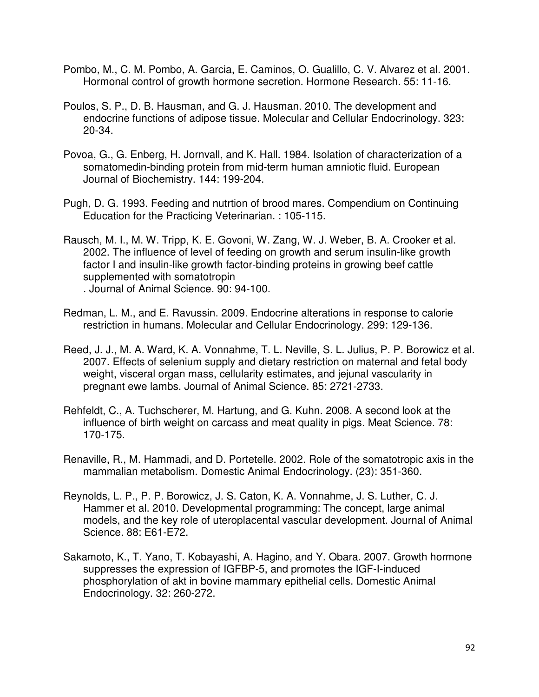- Pombo, M., C. M. Pombo, A. Garcia, E. Caminos, O. Gualillo, C. V. Alvarez et al. 2001. Hormonal control of growth hormone secretion. Hormone Research. 55: 11-16.
- Poulos, S. P., D. B. Hausman, and G. J. Hausman. 2010. The development and endocrine functions of adipose tissue. Molecular and Cellular Endocrinology. 323: 20-34.
- Povoa, G., G. Enberg, H. Jornvall, and K. Hall. 1984. Isolation of characterization of a somatomedin-binding protein from mid-term human amniotic fluid. European Journal of Biochemistry. 144: 199-204.
- Pugh, D. G. 1993. Feeding and nutrtion of brood mares. Compendium on Continuing Education for the Practicing Veterinarian. : 105-115.
- Rausch, M. I., M. W. Tripp, K. E. Govoni, W. Zang, W. J. Weber, B. A. Crooker et al. 2002. The influence of level of feeding on growth and serum insulin-like growth factor I and insulin-like growth factor-binding proteins in growing beef cattle supplemented with somatotropin . Journal of Animal Science. 90: 94-100.
- Redman, L. M., and E. Ravussin. 2009. Endocrine alterations in response to calorie restriction in humans. Molecular and Cellular Endocrinology. 299: 129-136.
- Reed, J. J., M. A. Ward, K. A. Vonnahme, T. L. Neville, S. L. Julius, P. P. Borowicz et al. 2007. Effects of selenium supply and dietary restriction on maternal and fetal body weight, visceral organ mass, cellularity estimates, and jejunal vascularity in pregnant ewe lambs. Journal of Animal Science. 85: 2721-2733.
- Rehfeldt, C., A. Tuchscherer, M. Hartung, and G. Kuhn. 2008. A second look at the influence of birth weight on carcass and meat quality in pigs. Meat Science. 78: 170-175.
- Renaville, R., M. Hammadi, and D. Portetelle. 2002. Role of the somatotropic axis in the mammalian metabolism. Domestic Animal Endocrinology. (23): 351-360.
- Reynolds, L. P., P. P. Borowicz, J. S. Caton, K. A. Vonnahme, J. S. Luther, C. J. Hammer et al. 2010. Developmental programming: The concept, large animal models, and the key role of uteroplacental vascular development. Journal of Animal Science. 88: E61-E72.
- Sakamoto, K., T. Yano, T. Kobayashi, A. Hagino, and Y. Obara. 2007. Growth hormone suppresses the expression of IGFBP-5, and promotes the IGF-I-induced phosphorylation of akt in bovine mammary epithelial cells. Domestic Animal Endocrinology. 32: 260-272.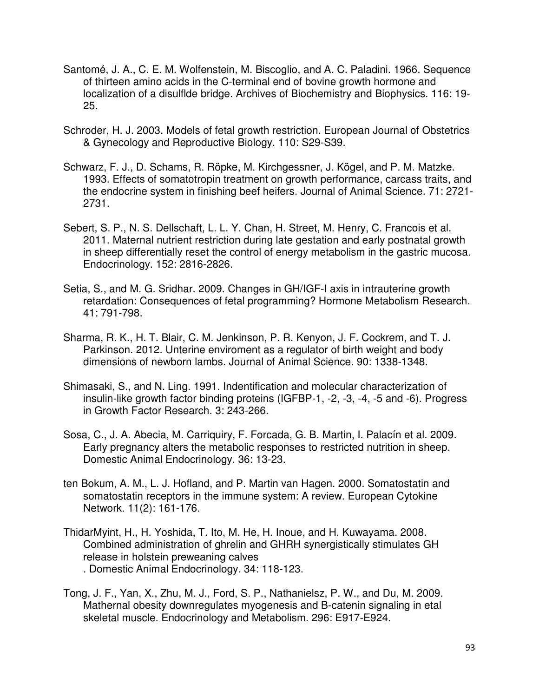- Santomé, J. A., C. E. M. Wolfenstein, M. Biscoglio, and A. C. Paladini. 1966. Sequence of thirteen amino acids in the C-terminal end of bovine growth hormone and localization of a disulflde bridge. Archives of Biochemistry and Biophysics. 116: 19- 25.
- Schroder, H. J. 2003. Models of fetal growth restriction. European Journal of Obstetrics & Gynecology and Reproductive Biology. 110: S29-S39.
- Schwarz, F. J., D. Schams, R. Röpke, M. Kirchgessner, J. Kögel, and P. M. Matzke. 1993. Effects of somatotropin treatment on growth performance, carcass traits, and the endocrine system in finishing beef heifers. Journal of Animal Science. 71: 2721- 2731.
- Sebert, S. P., N. S. Dellschaft, L. L. Y. Chan, H. Street, M. Henry, C. Francois et al. 2011. Maternal nutrient restriction during late gestation and early postnatal growth in sheep differentially reset the control of energy metabolism in the gastric mucosa. Endocrinology. 152: 2816-2826.
- Setia, S., and M. G. Sridhar. 2009. Changes in GH/IGF-I axis in intrauterine growth retardation: Consequences of fetal programming? Hormone Metabolism Research. 41: 791-798.
- Sharma, R. K., H. T. Blair, C. M. Jenkinson, P. R. Kenyon, J. F. Cockrem, and T. J. Parkinson. 2012. Unterine enviroment as a regulator of birth weight and body dimensions of newborn lambs. Journal of Animal Science. 90: 1338-1348.
- Shimasaki, S., and N. Ling. 1991. Indentification and molecular characterization of insulin-like growth factor binding proteins (IGFBP-1, -2, -3, -4, -5 and -6). Progress in Growth Factor Research. 3: 243-266.
- Sosa, C., J. A. Abecia, M. Carriquiry, F. Forcada, G. B. Martin, I. Palacín et al. 2009. Early pregnancy alters the metabolic responses to restricted nutrition in sheep. Domestic Animal Endocrinology. 36: 13-23.
- ten Bokum, A. M., L. J. Hofland, and P. Martin van Hagen. 2000. Somatostatin and somatostatin receptors in the immune system: A review. European Cytokine Network. 11(2): 161-176.
- ThidarMyint, H., H. Yoshida, T. Ito, M. He, H. Inoue, and H. Kuwayama. 2008. Combined administration of ghrelin and GHRH synergistically stimulates GH release in holstein preweaning calves . Domestic Animal Endocrinology. 34: 118-123.
- Tong, J. F., Yan, X., Zhu, M. J., Ford, S. P., Nathanielsz, P. W., and Du, M. 2009. Mathernal obesity downregulates myogenesis and B-catenin signaling in etal skeletal muscle. Endocrinology and Metabolism. 296: E917-E924.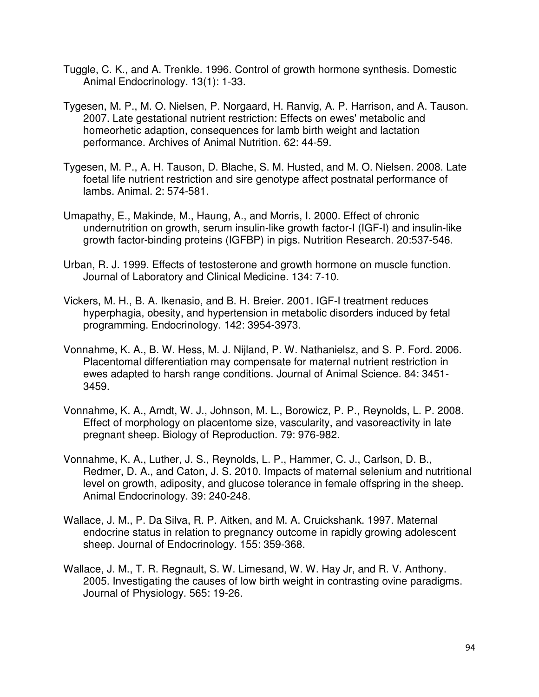- Tuggle, C. K., and A. Trenkle. 1996. Control of growth hormone synthesis. Domestic Animal Endocrinology. 13(1): 1-33.
- Tygesen, M. P., M. O. Nielsen, P. Norgaard, H. Ranvig, A. P. Harrison, and A. Tauson. 2007. Late gestational nutrient restriction: Effects on ewes' metabolic and homeorhetic adaption, consequences for lamb birth weight and lactation performance. Archives of Animal Nutrition. 62: 44-59.
- Tygesen, M. P., A. H. Tauson, D. Blache, S. M. Husted, and M. O. Nielsen. 2008. Late foetal life nutrient restriction and sire genotype affect postnatal performance of lambs. Animal. 2: 574-581.
- Umapathy, E., Makinde, M., Haung, A., and Morris, I. 2000. Effect of chronic undernutrition on growth, serum insulin-like growth factor-I (IGF-I) and insulin-like growth factor-binding proteins (IGFBP) in pigs. Nutrition Research. 20:537-546.
- Urban, R. J. 1999. Effects of testosterone and growth hormone on muscle function. Journal of Laboratory and Clinical Medicine. 134: 7-10.
- Vickers, M. H., B. A. Ikenasio, and B. H. Breier. 2001. IGF-I treatment reduces hyperphagia, obesity, and hypertension in metabolic disorders induced by fetal programming. Endocrinology. 142: 3954-3973.
- Vonnahme, K. A., B. W. Hess, M. J. Nijland, P. W. Nathanielsz, and S. P. Ford. 2006. Placentomal differentiation may compensate for maternal nutrient restriction in ewes adapted to harsh range conditions. Journal of Animal Science. 84: 3451- 3459.
- Vonnahme, K. A., Arndt, W. J., Johnson, M. L., Borowicz, P. P., Reynolds, L. P. 2008. Effect of morphology on placentome size, vascularity, and vasoreactivity in late pregnant sheep. Biology of Reproduction. 79: 976-982.
- Vonnahme, K. A., Luther, J. S., Reynolds, L. P., Hammer, C. J., Carlson, D. B., Redmer, D. A., and Caton, J. S. 2010. Impacts of maternal selenium and nutritional level on growth, adiposity, and glucose tolerance in female offspring in the sheep. Animal Endocrinology. 39: 240-248.
- Wallace, J. M., P. Da Silva, R. P. Aitken, and M. A. Cruickshank. 1997. Maternal endocrine status in relation to pregnancy outcome in rapidly growing adolescent sheep. Journal of Endocrinology. 155: 359-368.
- Wallace, J. M., T. R. Regnault, S. W. Limesand, W. W. Hay Jr, and R. V. Anthony. 2005. Investigating the causes of low birth weight in contrasting ovine paradigms. Journal of Physiology. 565: 19-26.